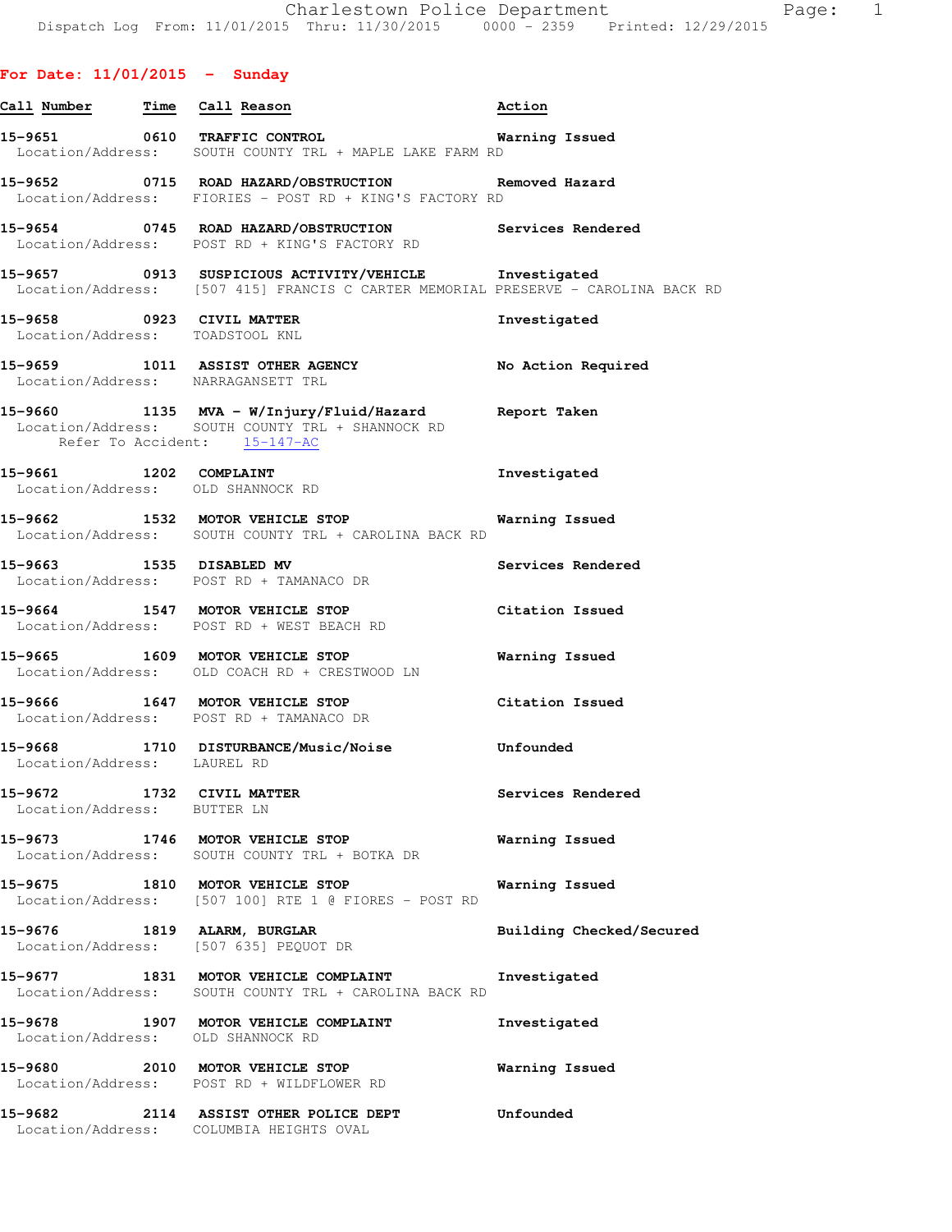|  | For Date: 11/01/2015 | Sunday |  |
|--|----------------------|--------|--|
|  |                      |        |  |

| Call Number | Time | Call Reason                                                                        | Action         |
|-------------|------|------------------------------------------------------------------------------------|----------------|
| 15–9651     | 0610 | TRAFFIC CONTROL<br>Location/Address: SOUTH COUNTY TRL + MAPLE LAKE FARM RD         | Warning Issued |
| 15–9652     | 0715 | ROAD HAZARD/OBSTRUCTION<br>Location/Address: FIORIES - POST RD + KING'S FACTORY RD | Removed Hazard |

**15-9654 0745 ROAD HAZARD/OBSTRUCTION Services Rendered**  Location/Address: POST RD + KING'S FACTORY RD

**15-9657 0913 SUSPICIOUS ACTIVITY/VEHICLE Investigated**  Location/Address: [507 415] FRANCIS C CARTER MEMORIAL PRESERVE - CAROLINA BACK RD

**15-9658 0923 CIVIL MATTER Investigated**  Location/Address: TOADSTOOL KNL

**15-9659 1011 ASSIST OTHER AGENCY No Action Required**  Location/Address: NARRAGANSETT TRL

- **15-9660 1135 MVA W/Injury/Fluid/Hazard Report Taken**  Location/Address: SOUTH COUNTY TRL + SHANNOCK RD Refer To Accident: 15-147-AC
- **15-9661 1202 COMPLAINT Investigated**  Location/Address: OLD SHANNOCK RD

**15-9662 1532 MOTOR VEHICLE STOP Warning Issued**  Location/Address: SOUTH COUNTY TRL + CAROLINA BACK RD

**15-9663 1535 DISABLED MV Services Rendered**  Location/Address: POST RD + TAMANACO DR

**15-9664 1547 MOTOR VEHICLE STOP Citation Issued**  Location/Address: POST RD + WEST BEACH RD

**15-9665 1609 MOTOR VEHICLE STOP Warning Issued**  Location/Address: OLD COACH RD + CRESTWOOD LN

**15-9666 1647 MOTOR VEHICLE STOP Citation Issued**  Location/Address: POST RD + TAMANACO DR

**15-9668 1710 DISTURBANCE/Music/Noise Unfounded**  Location/Address: LAUREL RD

**15-9672 1732 CIVIL MATTER Services Rendered**  Location/Address: BUTTER LN

**15-9673 1746 MOTOR VEHICLE STOP Warning Issued**  Location/Address: SOUTH COUNTY TRL + BOTKA DR

**15-9675 1810 MOTOR VEHICLE STOP Warning Issued**  Location/Address: [507 100] RTE 1 @ FIORES - POST RD

**15-9676 1819 ALARM, BURGLAR Building Checked/Secured**  Location/Address: [507 635] PEQUOT DR **15-9677 1831 MOTOR VEHICLE COMPLAINT Investigated**  Location/Address: SOUTH COUNTY TRL + CAROLINA BACK RD

**15-9678 1907 MOTOR VEHICLE COMPLAINT Investigated**  Location/Address: OLD SHANNOCK RD

**15-9680 2010 MOTOR VEHICLE STOP Warning Issued**  Location/Address: POST RD + WILDFLOWER RD

**15-9682 2114 ASSIST OTHER POLICE DEPT Unfounded**  Location/Address: COLUMBIA HEIGHTS OVAL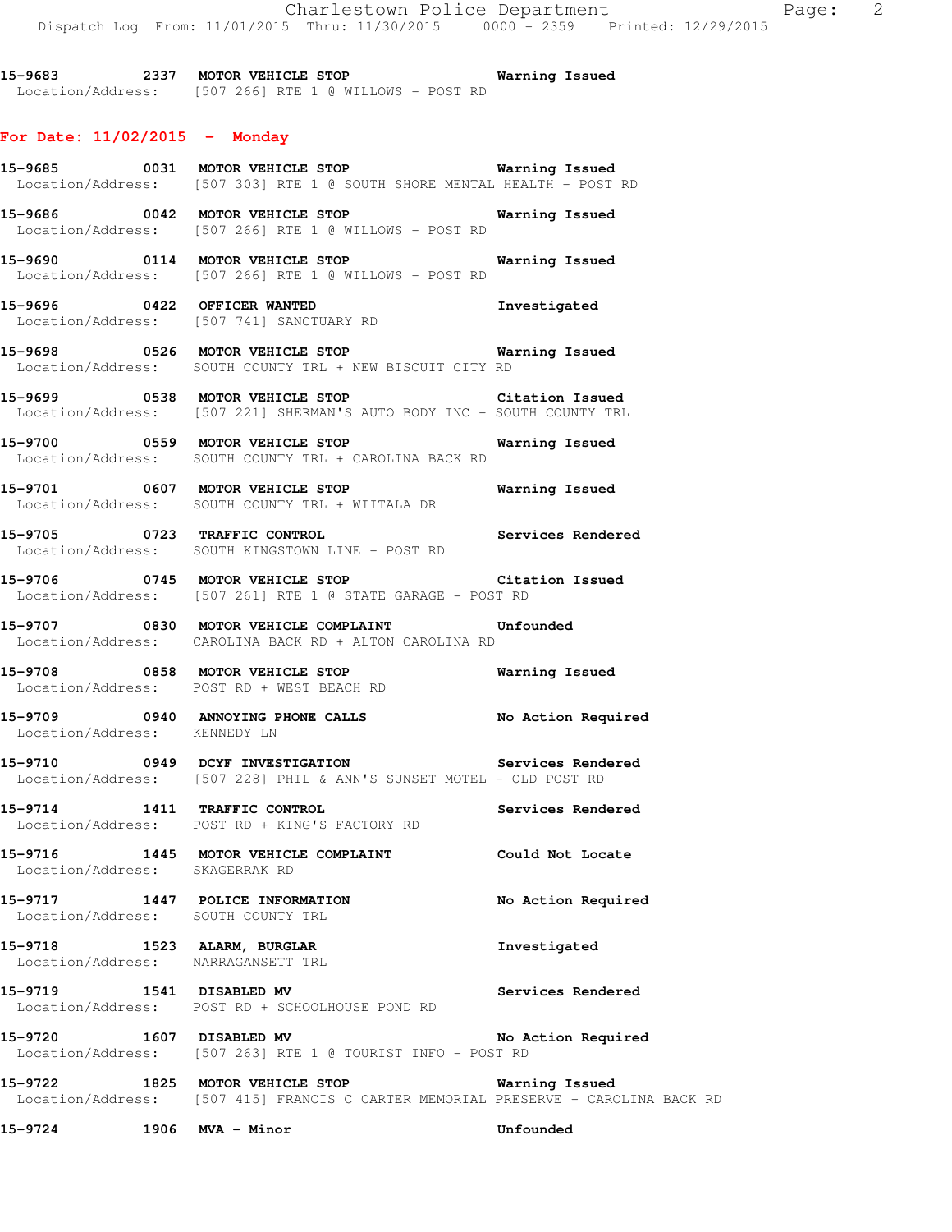**15-9683 2337 MOTOR VEHICLE STOP Warning Issued**  Location/Address: [507 266] RTE 1 @ WILLOWS - POST RD

## **For Date: 11/02/2015 - Monday**

**15-9685 0031 MOTOR VEHICLE STOP Warning Issued**  Location/Address: [507 303] RTE 1 @ SOUTH SHORE MENTAL HEALTH - POST RD **15-9686 0042 MOTOR VEHICLE STOP Warning Issued**  Location/Address: [507 266] RTE 1 @ WILLOWS - POST RD **15-9690 0114 MOTOR VEHICLE STOP Warning Issued**  Location/Address: [507 266] RTE 1 @ WILLOWS - POST RD **15-9696 0422 OFFICER WANTED Investigated**  Location/Address: [507 741] SANCTUARY RD **15-9698 0526 MOTOR VEHICLE STOP Warning Issued**  Location/Address: SOUTH COUNTY TRL + NEW BISCUIT CITY RD **15-9699 0538 MOTOR VEHICLE STOP Citation Issued**  Location/Address: [507 221] SHERMAN'S AUTO BODY INC - SOUTH COUNTY TRL **15-9700 0559 MOTOR VEHICLE STOP Warning Issued**  Location/Address: SOUTH COUNTY TRL + CAROLINA BACK RD **15-9701 0607 MOTOR VEHICLE STOP Warning Issued**  Location/Address: SOUTH COUNTY TRL + WIITALA DR **15-9705 0723 TRAFFIC CONTROL Services Rendered**  Location/Address: SOUTH KINGSTOWN LINE - POST RD **15-9706 0745 MOTOR VEHICLE STOP Citation Issued**  Location/Address: [507 261] RTE 1 @ STATE GARAGE - POST RD **15-9707 0830 MOTOR VEHICLE COMPLAINT Unfounded**  Location/Address: CAROLINA BACK RD + ALTON CAROLINA RD **15-9708 0858 MOTOR VEHICLE STOP Warning Issued**  Location/Address: POST RD + WEST BEACH RD **15-9709 0940 ANNOYING PHONE CALLS No Action Required**  Location/Address: KENNEDY LN **15-9710 0949 DCYF INVESTIGATION Services Rendered**  Location/Address: [507 228] PHIL & ANN'S SUNSET MOTEL - OLD POST RD **15-9714 1411 TRAFFIC CONTROL Services Rendered**  Location/Address: POST RD + KING'S FACTORY RD **15-9716 1445 MOTOR VEHICLE COMPLAINT Could Not Locate**  Location/Address: SKAGERRAK RD **15-9717 1447 POLICE INFORMATION No Action Required**  Location/Address: SOUTH COUNTY TRL **15-9718 1523 ALARM, BURGLAR Investigated**  Location/Address: NARRAGANSETT TRL **15-9719 1541 DISABLED MV Services Rendered**  Location/Address: POST RD + SCHOOLHOUSE POND RD **15-9720 1607 DISABLED MV No Action Required**  Location/Address: [507 263] RTE 1 @ TOURIST INFO - POST RD **15-9722 1825 MOTOR VEHICLE STOP Warning Issued** 

Location/Address: [507 415] FRANCIS C CARTER MEMORIAL PRESERVE - CAROLINA BACK RD

**15-9724 1906 MVA - Minor Unfounded**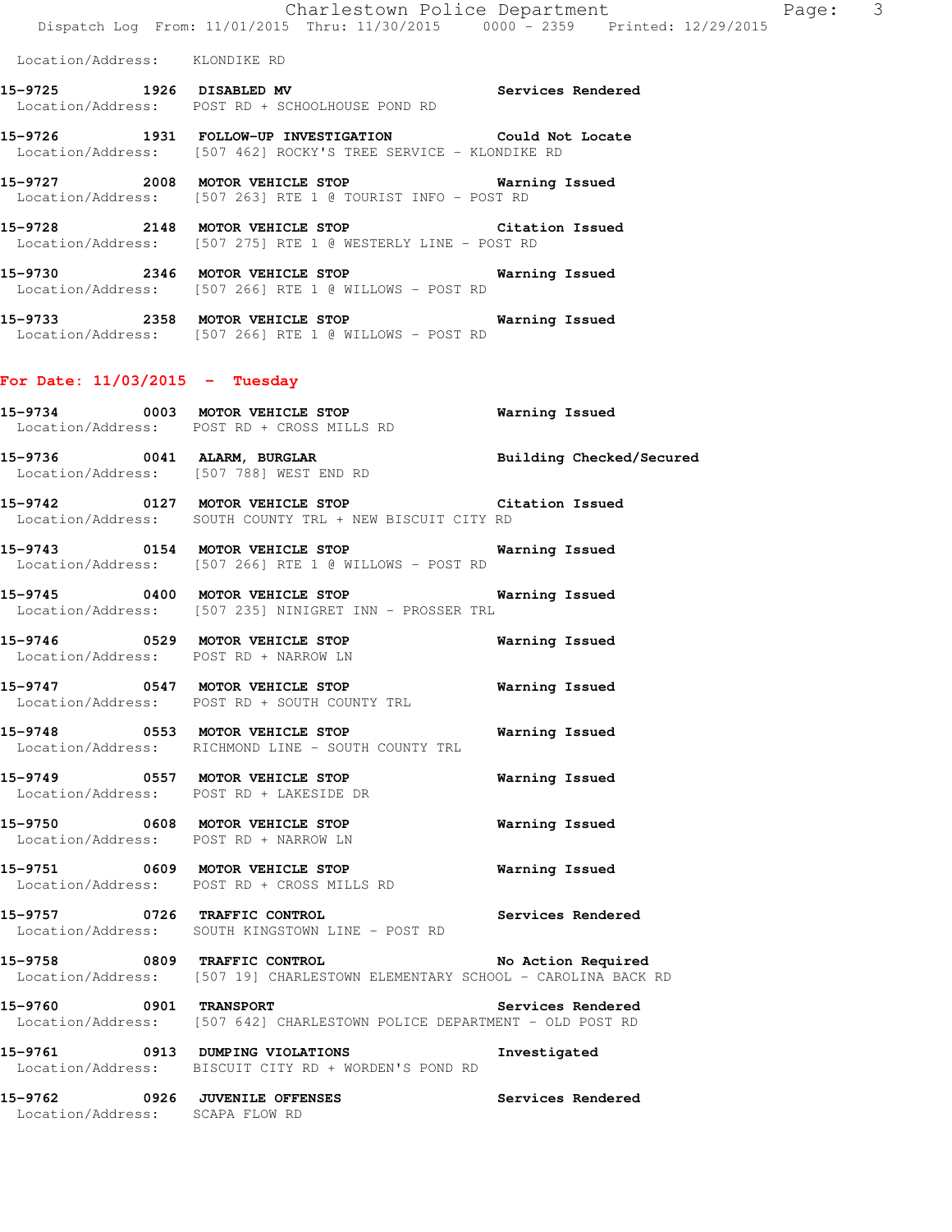Location/Address: KLONDIKE RD

- **15-9725 1926 DISABLED MV Services Rendered**  Location/Address: POST RD + SCHOOLHOUSE POND RD
- **15-9726 1931 FOLLOW-UP INVESTIGATION Could Not Locate**  Location/Address: [507 462] ROCKY'S TREE SERVICE - KLONDIKE RD
- **15-9727 2008 MOTOR VEHICLE STOP Warning Issued**  Location/Address: [507 263] RTE 1 @ TOURIST INFO - POST RD
- **15-9728 2148 MOTOR VEHICLE STOP Citation Issued**  Location/Address: [507 275] RTE 1 @ WESTERLY LINE - POST RD
- **15-9730 2346 MOTOR VEHICLE STOP Warning Issued**  Location/Address: [507 266] RTE 1 @ WILLOWS - POST RD
- **15-9733 2358 MOTOR VEHICLE STOP Warning Issued**  Location/Address: [507 266] RTE 1 @ WILLOWS - POST RD

## **For Date: 11/03/2015 - Tuesday**

- **15-9734 0003 MOTOR VEHICLE STOP Warning Issued**  Location/Address: POST RD + CROSS MILLS RD
- **15-9736 0041 ALARM, BURGLAR Building Checked/Secured**  Location/Address: [507 788] WEST END RD
- **15-9742 0127 MOTOR VEHICLE STOP Citation Issued**  Location/Address: SOUTH COUNTY TRL + NEW BISCUIT CITY RD
- **15-9743 0154 MOTOR VEHICLE STOP Warning Issued**  Location/Address: [507 266] RTE 1 @ WILLOWS - POST RD
- **15-9745 0400 MOTOR VEHICLE STOP Warning Issued**  Location/Address: [507 235] NINIGRET INN - PROSSER TRL
- **15-9746 0529 MOTOR VEHICLE STOP Warning Issued**  Location/Address: POST RD + NARROW LN
- **15-9747 0547 MOTOR VEHICLE STOP Warning Issued**  Location/Address: POST RD + SOUTH COUNTY TRL
- **15-9748 0553 MOTOR VEHICLE STOP Warning Issued**  Location/Address: RICHMOND LINE - SOUTH COUNTY TRL
- **15-9749 0557 MOTOR VEHICLE STOP Warning Issued**  Location/Address: POST RD + LAKESIDE DR
- **15-9750 0608 MOTOR VEHICLE STOP Warning Issued**  Location/Address: POST RD + NARROW LN
- **15-9751 0609 MOTOR VEHICLE STOP Warning Issued**  Location/Address: POST RD + CROSS MILLS RD
- **15-9757 0726 TRAFFIC CONTROL Services Rendered**  Location/Address: SOUTH KINGSTOWN LINE - POST RD
- **15-9758 0809 TRAFFIC CONTROL No Action Required**  Location/Address: [507 19] CHARLESTOWN ELEMENTARY SCHOOL - CAROLINA BACK RD
- **15-9760 0901 TRANSPORT Services Rendered**  Location/Address: [507 642] CHARLESTOWN POLICE DEPARTMENT - OLD POST RD
- **15-9761 0913 DUMPING VIOLATIONS Investigated**  Location/Address: BISCUIT CITY RD + WORDEN'S POND RD
- **15-9762 0926 JUVENILE OFFENSES Services Rendered**  Location/Address: SCAPA FLOW RD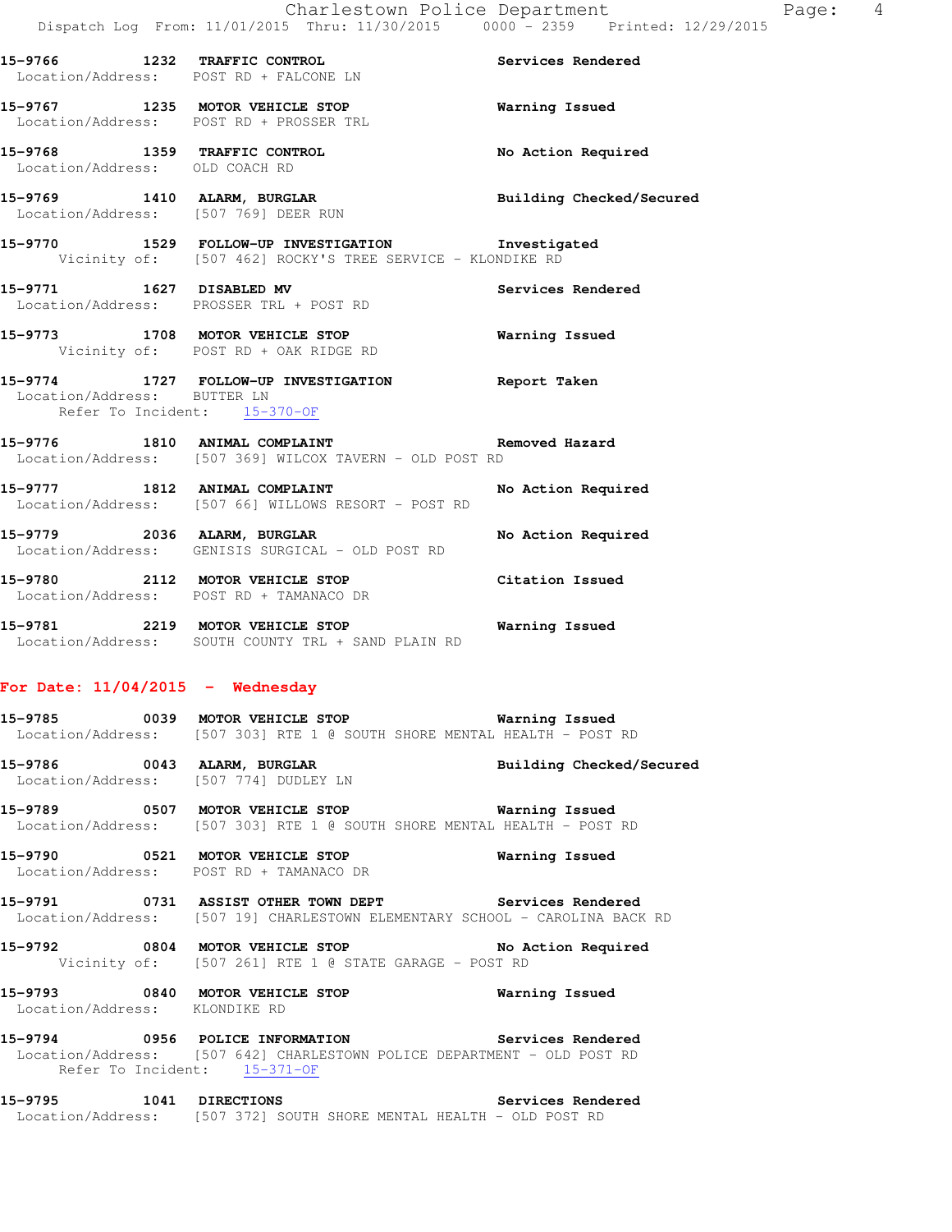Location/Address: POST RD + FALCONE LN **15-9767 1235 MOTOR VEHICLE STOP Warning Issued**  Location/Address: POST RD + PROSSER TRL **15-9768 1359 TRAFFIC CONTROL No Action Required**  Location/Address: OLD COACH RD

**15-9769 1410 ALARM, BURGLAR Building Checked/Secured**  Location/Address: [507 769] DEER RUN

**15-9770 1529 FOLLOW-UP INVESTIGATION Investigated**  Vicinity of: [507 462] ROCKY'S TREE SERVICE - KLONDIKE RD

15-9771 1627 DISABLED MV **Services Rendered** Location/Address: PROSSER TRL + POST RD

**15-9773 1708 MOTOR VEHICLE STOP Warning Issued**  Vicinity of: POST RD + OAK RIDGE RD

**15-9774 1727 FOLLOW-UP INVESTIGATION Report Taken**  Location/Address: BUTTER LN Refer To Incident: 15-370-OF

**15-9776 1810 ANIMAL COMPLAINT Removed Hazard**  Location/Address: [507 369] WILCOX TAVERN - OLD POST RD

**15-9777 1812 ANIMAL COMPLAINT No Action Required**  Location/Address: [507 66] WILLOWS RESORT - POST RD

**15-9779 2036 ALARM, BURGLAR No Action Required**  Location/Address: GENISIS SURGICAL - OLD POST RD

**15-9780 2112 MOTOR VEHICLE STOP Citation Issued**  Location/Address: POST RD + TAMANACO DR

**15-9781 2219 MOTOR VEHICLE STOP Warning Issued**  Location/Address: SOUTH COUNTY TRL + SAND PLAIN RD

## **For Date: 11/04/2015 - Wednesday**

**15-9785 0039 MOTOR VEHICLE STOP Warning Issued**  Location/Address: [507 303] RTE 1 @ SOUTH SHORE MENTAL HEALTH - POST RD

**15-9786 0043 ALARM, BURGLAR Building Checked/Secured**  Location/Address: [507 774] DUDLEY LN

**15-9789 0507 MOTOR VEHICLE STOP Warning Issued**  Location/Address: [507 303] RTE 1 @ SOUTH SHORE MENTAL HEALTH - POST RD

**15-9790 0521 MOTOR VEHICLE STOP Warning Issued**  Location/Address: POST RD + TAMANACO DR

**15-9791 0731 ASSIST OTHER TOWN DEPT Services Rendered**  Location/Address: [507 19] CHARLESTOWN ELEMENTARY SCHOOL - CAROLINA BACK RD

**15-9792 0804 MOTOR VEHICLE STOP No Action Required**  Vicinity of: [507 261] RTE 1 @ STATE GARAGE - POST RD

**15-9793 0840 MOTOR VEHICLE STOP Warning Issued**  Location/Address: KLONDIKE RD

**15-9794 0956 POLICE INFORMATION Services Rendered**  Location/Address: [507 642] CHARLESTOWN POLICE DEPARTMENT - OLD POST RD Refer To Incident: 15-371-OF

**15-9795 1041 DIRECTIONS Services Rendered**  Location/Address: [507 372] SOUTH SHORE MENTAL HEALTH - OLD POST RD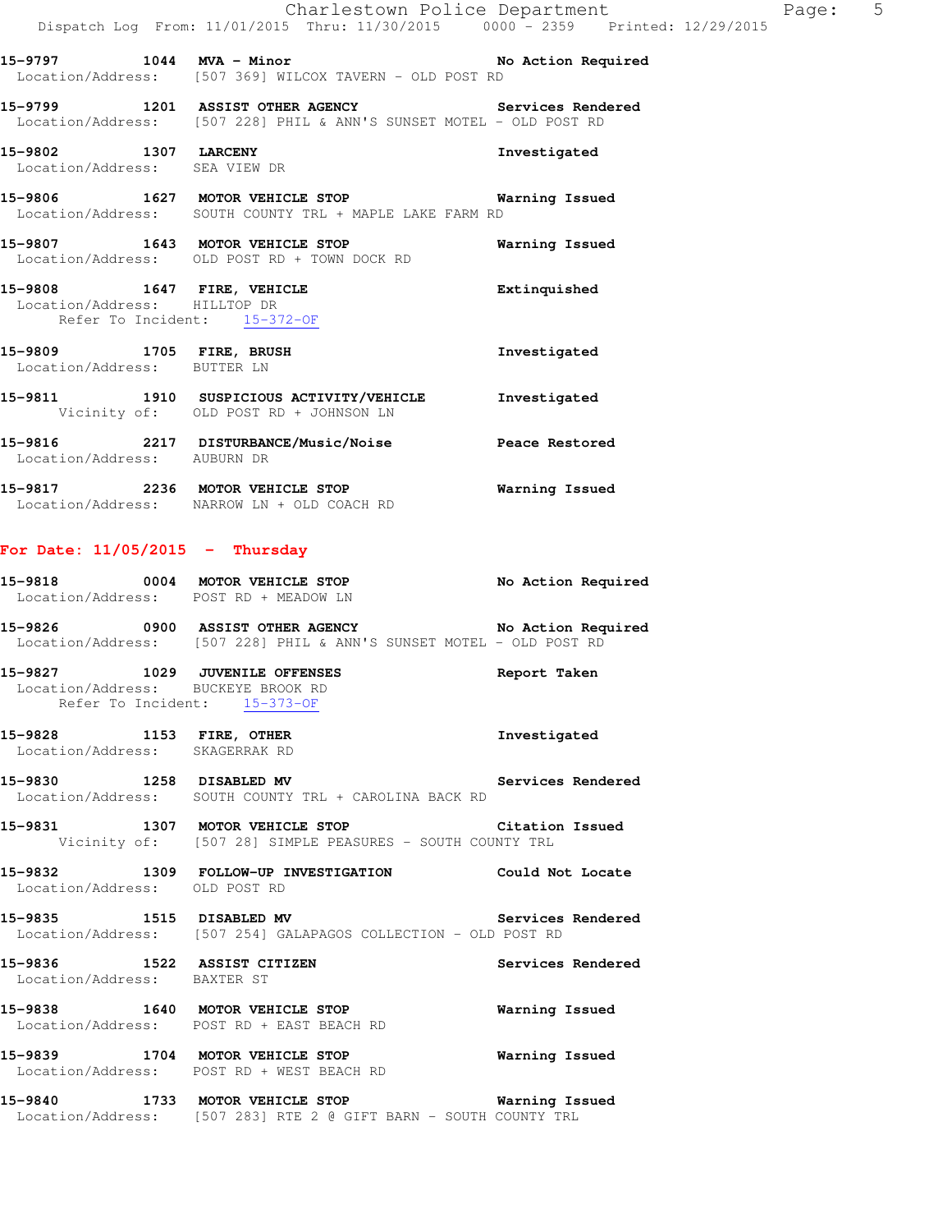**15-9797 1044 MVA - Minor No Action Required**  Location/Address: [507 369] WILCOX TAVERN - OLD POST RD

**15-9799 1201 ASSIST OTHER AGENCY Services Rendered**  Location/Address: [507 228] PHIL & ANN'S SUNSET MOTEL - OLD POST RD

**15-9802 1307 LARCENY Investigated**  Location/Address: SEA VIEW DR

**15-9806 1627 MOTOR VEHICLE STOP Warning Issued**  Location/Address: SOUTH COUNTY TRL + MAPLE LAKE FARM RD

**15-9807 1643 MOTOR VEHICLE STOP Warning Issued**  Location/Address: OLD POST RD + TOWN DOCK RD

**15-9808 1647 FIRE, VEHICLE Extinquished**  Location/Address: HILLTOP DR Refer To Incident: 15-372-OF

**15-9809 1705 FIRE, BRUSH Investigated**  Location/Address: BUTTER LN **15-9811 1910 SUSPICIOUS ACTIVITY/VEHICLE Investigated**  Vicinity of: OLD POST RD + JOHNSON LN

**15-9816 2217 DISTURBANCE/Music/Noise Peace Restored**  Location/Address: AUBURN DR **15-9817 2236 MOTOR VEHICLE STOP Warning Issued** 

Location/Address: NARROW LN + OLD COACH RD

### **For Date: 11/05/2015 - Thursday**

| 15-9818           | 0004 | MOTOR VEHICLE STOP                                | No Action Required |
|-------------------|------|---------------------------------------------------|--------------------|
|                   |      | Location/Address: POST RD + MEADOW LN             |                    |
| 15-9826           | 0900 | <b>ASSIST OTHER AGENCY</b>                        | No Action Required |
| Location/Address: |      | [507 228] PHIL & ANN'S SUNSET MOTEL - OLD POST RD |                    |

**15-9827 1029 JUVENILE OFFENSES Report Taken**  Location/Address: BUCKEYE BROOK RD Refer To Incident: 15-373-OF

**15-9828 1153 FIRE, OTHER Investigated**  Location/Address: SKAGERRAK RD

**15-9830 1258 DISABLED MV Services Rendered**  Location/Address: SOUTH COUNTY TRL + CAROLINA BACK RD

**15-9831 1307 MOTOR VEHICLE STOP Citation Issued**  Vicinity of: [507 28] SIMPLE PEASURES - SOUTH COUNTY TRL

**15-9832 1309 FOLLOW-UP INVESTIGATION Could Not Locate**  Location/Address: OLD POST RD

**15-9835 1515 DISABLED MV Services Rendered**  Location/Address: [507 254] GALAPAGOS COLLECTION - OLD POST RD

**15-9836 1522 ASSIST CITIZEN Services Rendered**  Location/Address: BAXTER ST

**15-9838 1640 MOTOR VEHICLE STOP Warning Issued**  Location/Address: POST RD + EAST BEACH RD

**15-9839 1704 MOTOR VEHICLE STOP Warning Issued**  Location/Address: POST RD + WEST BEACH RD

**15-9840 1733 MOTOR VEHICLE STOP Warning Issued**  Location/Address: [507 283] RTE 2 @ GIFT BARN - SOUTH COUNTY TRL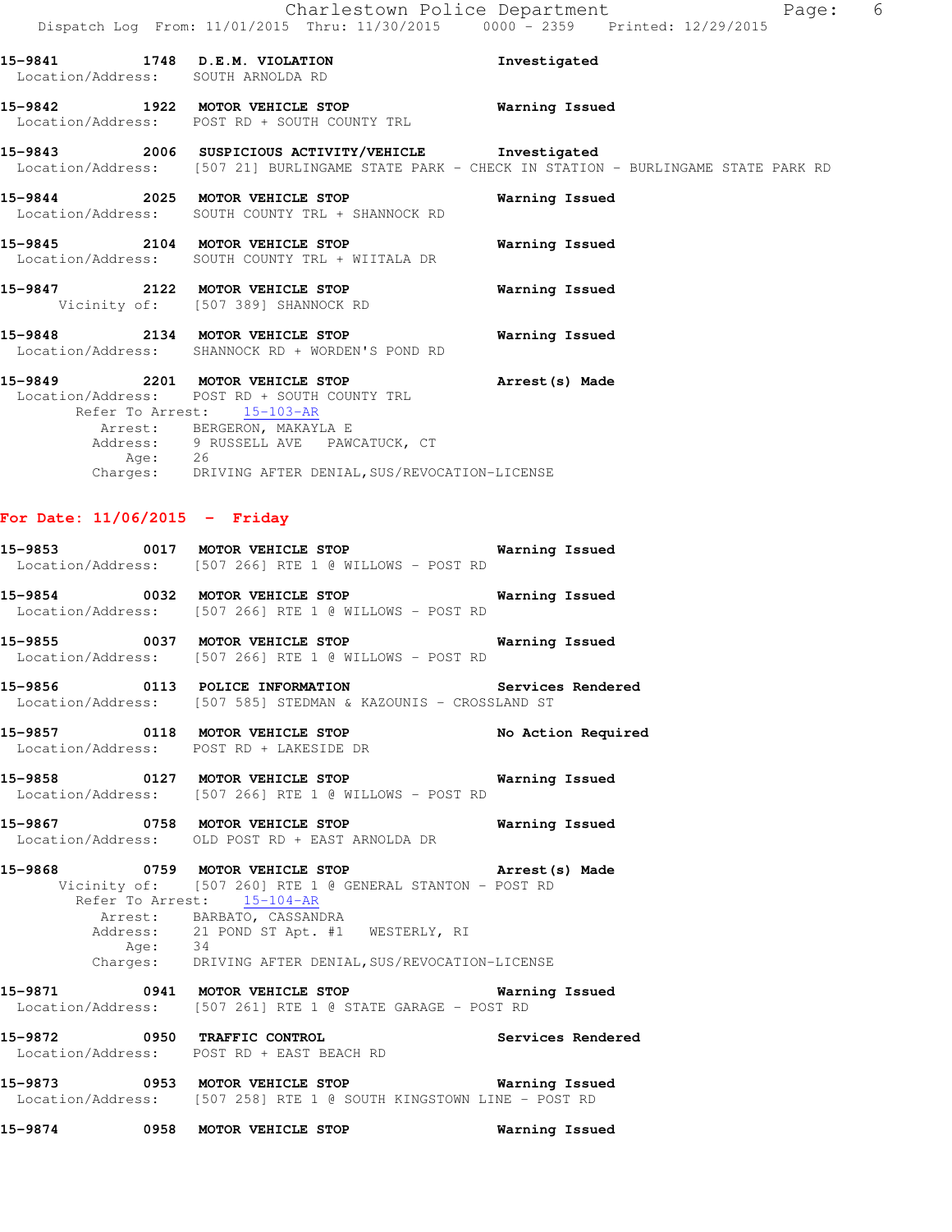| 15-9841 1748 D.E.M. VIOLATION<br>Location/Address: SOUTH ARNOLDA RD                                                                                                                                                    | Investigated                                                                                   |
|------------------------------------------------------------------------------------------------------------------------------------------------------------------------------------------------------------------------|------------------------------------------------------------------------------------------------|
| 15-9842 1922 MOTOR VEHICLE STOP<br>Location/Address: POST RD + SOUTH COUNTY TRL                                                                                                                                        | Warning Issued                                                                                 |
| 15-9843 2006 SUSPICIOUS ACTIVITY/VEHICLE Investigated                                                                                                                                                                  | Location/Address: [507 21] BURLINGAME STATE PARK - CHECK IN STATION - BURLINGAME STATE PARK RD |
| 15-9844 2025 MOTOR VEHICLE STOP <b>WATER WATER</b><br>Location/Address: SOUTH COUNTY TRL + SHANNOCK RD                                                                                                                 |                                                                                                |
| Location/Address: SOUTH COUNTY TRL + WIITALA DR                                                                                                                                                                        |                                                                                                |
| 15-9847 2122 MOTOR VEHICLE STOP<br>Vicinity of: [507 389] SHANNOCK RD                                                                                                                                                  | Warning Issued                                                                                 |
| 15-9848 2134 MOTOR VEHICLE STOP Warning Issued<br>Location/Address: SHANNOCK RD + WORDEN'S POND RD                                                                                                                     |                                                                                                |
| 15-9849 2201 MOTOR VEHICLE STOP <b>Arrest</b> (s) Made<br>Location/Address: POST RD + SOUTH COUNTY TRL<br>Refer To Arrest: 15-103-AR<br>Arrest: BERGERON, MAKAYLA E<br>Address: 9 RUSSELL AVE PAWCATUCK, CT<br>Age: 26 |                                                                                                |
| Charges: DRIVING AFTER DENIAL, SUS/REVOCATION-LICENSE                                                                                                                                                                  |                                                                                                |

## **For Date: 11/06/2015 - Friday**

|  | 15-9874 0958 MOTOR VEHICLE STOP 6 Warning Issued                                                                                                                                                                                     |  |
|--|--------------------------------------------------------------------------------------------------------------------------------------------------------------------------------------------------------------------------------------|--|
|  | 15-9873 0953 MOTOR VEHICLE STOP 6 Warning Issued<br>Location/Address: [507 258] RTE 1 @ SOUTH KINGSTOWN LINE - POST RD                                                                                                               |  |
|  | 15-9872 0950 TRAFFIC CONTROL Services Rendered<br>Location/Address: POST RD + EAST BEACH RD                                                                                                                                          |  |
|  | 15-9871 0941 MOTOR VEHICLE STOP <b>Warning Issued</b><br>Location/Address: [507 261] RTE 1 @ STATE GARAGE - POST RD                                                                                                                  |  |
|  | Vicinity of: [507 260] RTE 1 @ GENERAL STANTON - POST RD<br>Refer To Arrest: 15-104-AR<br>Arrest: BARBATO, CASSANDRA<br>Address: 21 POND ST Apt. #1 WESTERLY, RI<br>Age: 34<br>Charges: DRIVING AFTER DENIAL, SUS/REVOCATION-LICENSE |  |
|  | Location/Address: OLD POST RD + EAST ARNOLDA DR<br>15-9868 0759 MOTOR VEHICLE STOP 15-9868 Made                                                                                                                                      |  |
|  | 15-9858 0127 MOTOR VEHICLE STOP 6 Warning Issued<br>Location/Address: [507 266] RTE 1 @ WILLOWS - POST RD<br>15-9867 0758 MOTOR VEHICLE STOP <b>Manual</b> 15-9867                                                                   |  |
|  | 15-9857 0118 MOTOR VEHICLE STOP No Action Required<br>Location/Address: POST RD + LAKESIDE DR                                                                                                                                        |  |
|  | 15-9856 0113 POLICE INFORMATION Services Rendered<br>Location/Address: [507 585] STEDMAN & KAZOUNIS - CROSSLAND ST                                                                                                                   |  |
|  | 15-9855 0037 MOTOR VEHICLE STOP <b>WATER</b> Warning Issued<br>Location/Address: [507 266] RTE 1 @ WILLOWS - POST RD                                                                                                                 |  |
|  | 15-9854 0032 MOTOR VEHICLE STOP <b>Warning Issued</b><br>Location/Address: [507 266] RTE 1 @ WILLOWS - POST RD                                                                                                                       |  |
|  | 15-9853 0017 MOTOR VEHICLE STOP 6 Warning Issued<br>Location/Address: [507 266] RTE 1 @ WILLOWS - POST RD                                                                                                                            |  |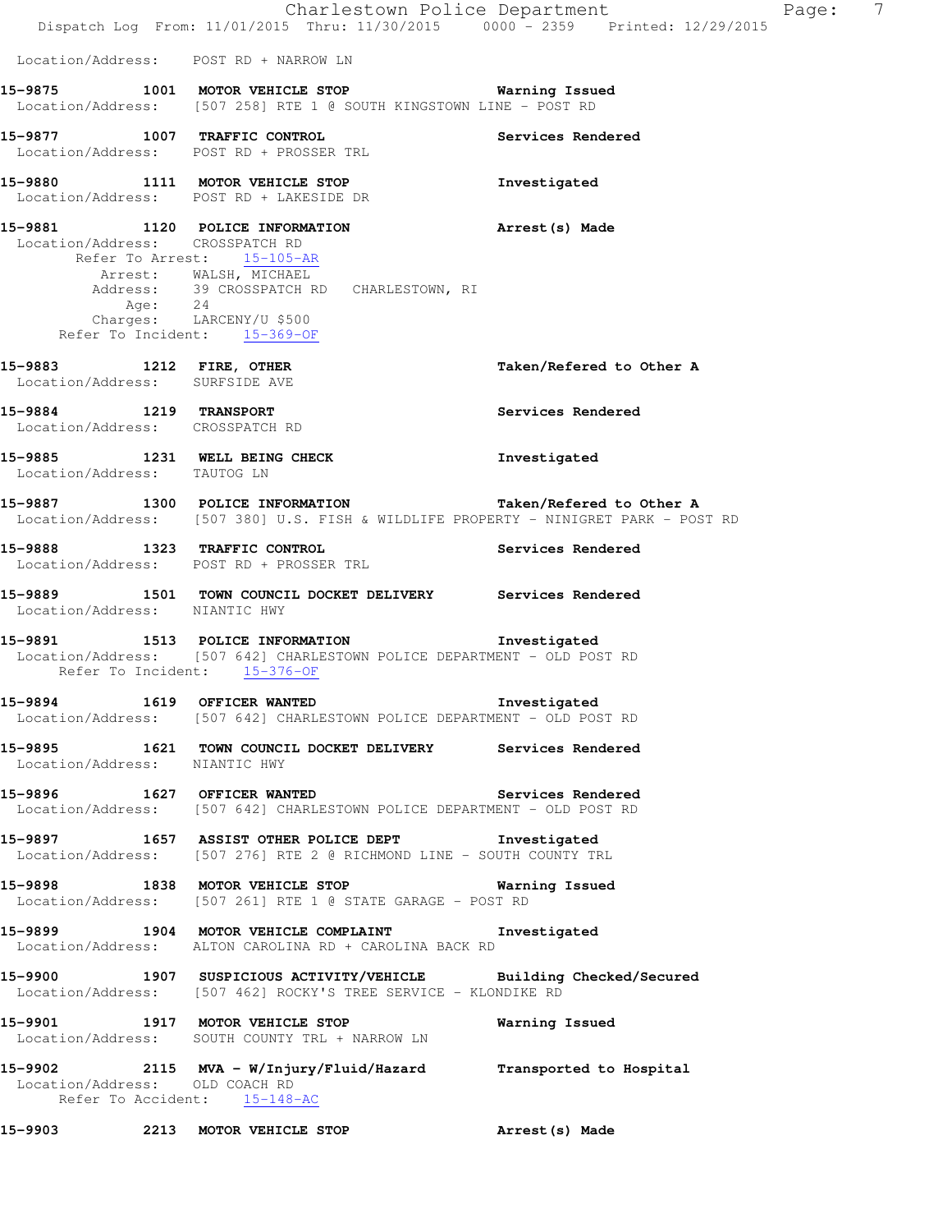|                                                            | Charlestown Police Department<br>Dispatch Log From: 11/01/2015 Thru: 11/30/2015 0000 - 2359 Printed: 12/29/2015                                                                                             |                          | 7<br>Page: |
|------------------------------------------------------------|-------------------------------------------------------------------------------------------------------------------------------------------------------------------------------------------------------------|--------------------------|------------|
| Location/Address: POST RD + NARROW LN                      |                                                                                                                                                                                                             |                          |            |
|                                                            | 15-9875 1001 MOTOR VEHICLE STOP 6 Warning Issued<br>Location/Address: [507 258] RTE 1 @ SOUTH KINGSTOWN LINE - POST RD                                                                                      |                          |            |
|                                                            | 15-9877 1007 TRAFFIC CONTROL<br>Location/Address: POST RD + PROSSER TRL                                                                                                                                     | Services Rendered        |            |
|                                                            | 15-9880 1111 MOTOR VEHICLE STOP<br>Location/Address: POST RD + LAKESIDE DR                                                                                                                                  | Investigated             |            |
| Location/Address: CROSSPATCH RD                            | 15-9881 1120 POLICE INFORMATION<br>Refer To Arrest: 15-105-AR<br>Arrest: WALSH, MICHAEL<br>Address: 39 CROSSPATCH RD CHARLESTOWN, RI<br>Age: 24<br>Charges: LARCENY/U \$500<br>Refer To Incident: 15-369-OF | Arrest(s) Made           |            |
| 15-9883 1212 FIRE, OTHER<br>Location/Address: SURFSIDE AVE |                                                                                                                                                                                                             | Taken/Refered to Other A |            |
| 15-9884 1219 TRANSPORT<br>Location/Address: CROSSPATCH RD  |                                                                                                                                                                                                             | Services Rendered        |            |
| Location/Address: TAUTOG LN                                | 15-9885 1231 WELL BEING CHECK                                                                                                                                                                               | Investigated             |            |
|                                                            | 15-9887 1300 POLICE INFORMATION Taken/Refered to Other A<br>Location/Address: [507 380] U.S. FISH & WILDLIFE PROPERTY - NINIGRET PARK - POST RD                                                             |                          |            |
| 15-9888 1323 TRAFFIC CONTROL                               | Location/Address: POST RD + PROSSER TRL                                                                                                                                                                     | Services Rendered        |            |
| Location/Address: NIANTIC HWY                              | 15-9889 1501 TOWN COUNCIL DOCKET DELIVERY Services Rendered                                                                                                                                                 |                          |            |
|                                                            | 15-9891 1513 POLICE INFORMATION<br>Location/Address: [507 642] CHARLESTOWN POLICE DEPARTMENT - OLD POST RD<br>Refer To Incident: 15-376-OF                                                                  | Investigated             |            |
|                                                            | 15-9894 1619 OFFICER WANTED 10-1 Investigated<br>Location/Address: [507 642] CHARLESTOWN POLICE DEPARTMENT - OLD POST RD                                                                                    |                          |            |
| Location/Address: NIANTIC HWY                              | 15-9895 1621 TOWN COUNCIL DOCKET DELIVERY Services Rendered                                                                                                                                                 |                          |            |
|                                                            | 15-9896 1627 OFFICER WANTED Services Rendered<br>Location/Address: [507 642] CHARLESTOWN POLICE DEPARTMENT - OLD POST RD                                                                                    |                          |            |
|                                                            | 15-9897 1657 ASSIST OTHER POLICE DEPT 1nvestigated<br>Location/Address: [507 276] RTE 2 @ RICHMOND LINE - SOUTH COUNTY TRL                                                                                  |                          |            |
|                                                            | 15-9898 1838 MOTOR VEHICLE STOP 6 Warning Issued<br>Location/Address: [507 261] RTE 1 @ STATE GARAGE - POST RD                                                                                              |                          |            |
|                                                            | 15-9899 1904 MOTOR VEHICLE COMPLAINT 1nvestigated<br>Location/Address: ALTON CAROLINA RD + CAROLINA BACK RD                                                                                                 |                          |            |
|                                                            | 15-9900 1907 SUSPICIOUS ACTIVITY/VEHICLE Building Checked/Secured<br>Location/Address: [507 462] ROCKY'S TREE SERVICE - KLONDIKE RD                                                                         |                          |            |
|                                                            | 15-9901 1917 MOTOR VEHICLE STOP<br>Location/Address: SOUTH COUNTY TRL + NARROW LN                                                                                                                           | Warning Issued           |            |
| Location/Address: OLD COACH RD                             | 15-9902 2115 MVA - W/Injury/Fluid/Hazard Transported to Hospital<br>Refer To Accident: 15-148-AC                                                                                                            |                          |            |
|                                                            | 15-9903 2213 MOTOR VEHICLE STOP                                                                                                                                                                             | Arrest(s) Made           |            |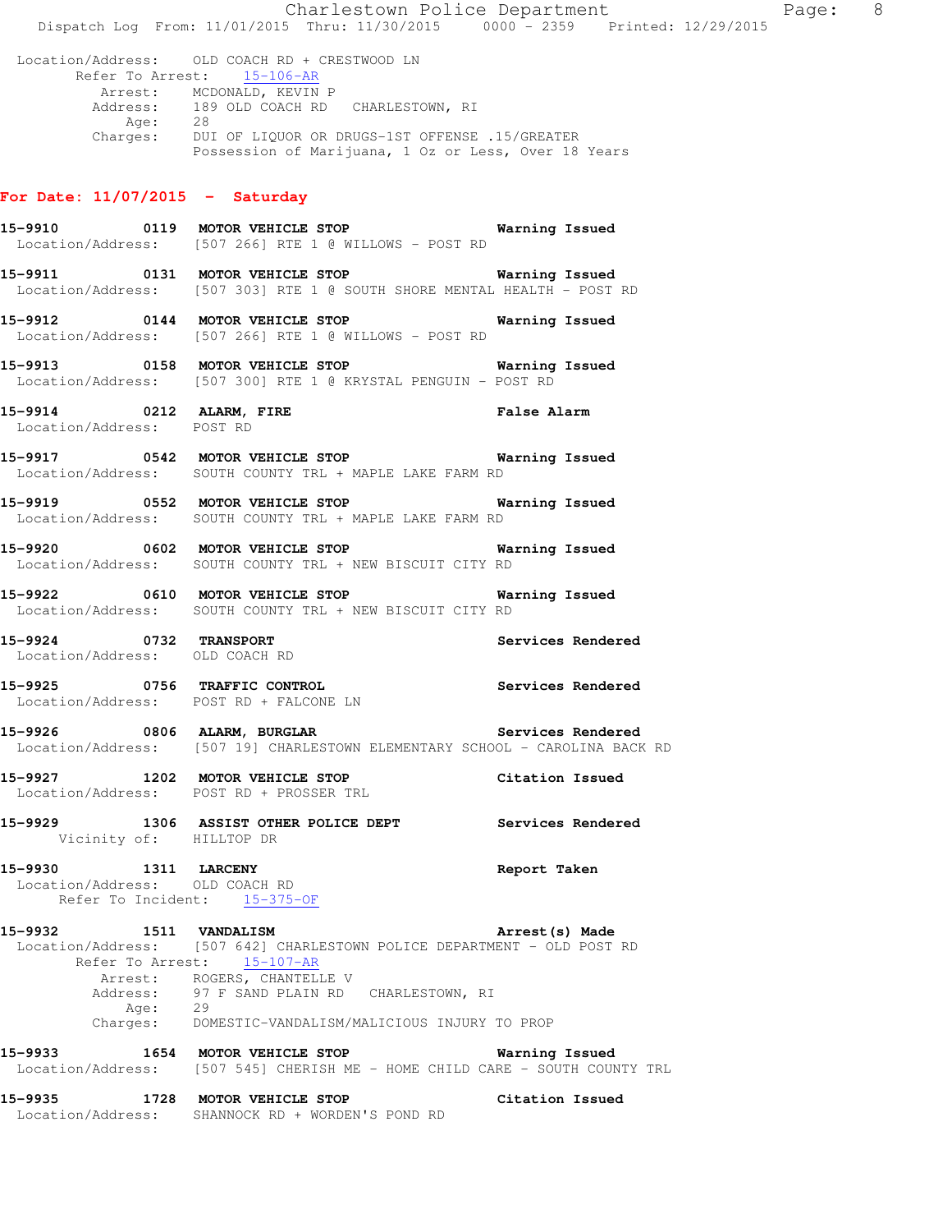Charlestown Police Department Page: 8 Dispatch Log From: 11/01/2015 Thru: 11/30/2015 0000 - 2359 Printed: 12/29/2015 Location/Address: OLD COACH RD + CRESTWOOD LN Refer To Arrest: 15-106-AR Arrest: MCDONALD, KEVIN P 189 OLD COACH RD CHARLESTOWN, RI Address: 189<br>Age: 28 Charges: DUI OF LIQUOR OR DRUGS-1ST OFFENSE .15/GREATER Possession of Marijuana, 1 Oz or Less, Over 18 Years **For Date: 11/07/2015 - Saturday 15-9910 0119 MOTOR VEHICLE STOP Warning Issued**  Location/Address: [507 266] RTE 1 @ WILLOWS - POST RD **15-9911 0131 MOTOR VEHICLE STOP Warning Issued**  Location/Address: [507 303] RTE 1 @ SOUTH SHORE MENTAL HEALTH - POST RD **15-9912 0144 MOTOR VEHICLE STOP Warning Issued**  Location/Address: [507 266] RTE 1 @ WILLOWS - POST RD **15-9913 0158 MOTOR VEHICLE STOP Warning Issued**  Location/Address: [507 300] RTE 1 @ KRYSTAL PENGUIN - POST RD **15-9914 0212 ALARM, FIRE False Alarm** 

**15-9917 0542 MOTOR VEHICLE STOP Warning Issued**  Location/Address: SOUTH COUNTY TRL + MAPLE LAKE FARM RD

**15-9919 0552 MOTOR VEHICLE STOP Warning Issued**  Location/Address: SOUTH COUNTY TRL + MAPLE LAKE FARM RD

**15-9920 0602 MOTOR VEHICLE STOP Warning Issued**  Location/Address: SOUTH COUNTY TRL + NEW BISCUIT CITY RD

**15-9922 0610 MOTOR VEHICLE STOP Warning Issued**  Location/Address: SOUTH COUNTY TRL + NEW BISCUIT CITY RD

**15-9924 0732 TRANSPORT Services Rendered**  Location/Address: OLD COACH RD

**15-9925 0756 TRAFFIC CONTROL Services Rendered**  Location/Address: POST RD + FALCONE LN

15-9926 **0806 ALARM, BURGLAR Services Rendered** Location/Address: [507 19] CHARLESTOWN ELEMENTARY SCHOOL - CAROLINA BACK RD

**15-9927 1202 MOTOR VEHICLE STOP Citation Issued**  Location/Address: POST RD + PROSSER TRL

**15-9929 1306 ASSIST OTHER POLICE DEPT Services Rendered**  Vicinity of: HILLTOP DR

**15-9930 1311 LARCENY Report Taken**  Location/Address: OLD COACH RD Refer To Incident: 15-375-OF

Location/Address: POST RD

**15-9932 1511 VANDALISM Arrest(s) Made**  Location/Address: [507 642] CHARLESTOWN POLICE DEPARTMENT - OLD POST RD Refer To Arrest: 15-107-AR Arrest: ROGERS, CHANTELLE V 97 F SAND PLAIN RD CHARLESTOWN, RI Address: 97<br>Age: 29 Charges: DOMESTIC-VANDALISM/MALICIOUS INJURY TO PROP

**15-9933 1654 MOTOR VEHICLE STOP Warning Issued**  Location/Address: [507 545] CHERISH ME - HOME CHILD CARE - SOUTH COUNTY TRL

**15-9935 1728 MOTOR VEHICLE STOP Citation Issued**  Location/Address: SHANNOCK RD + WORDEN'S POND RD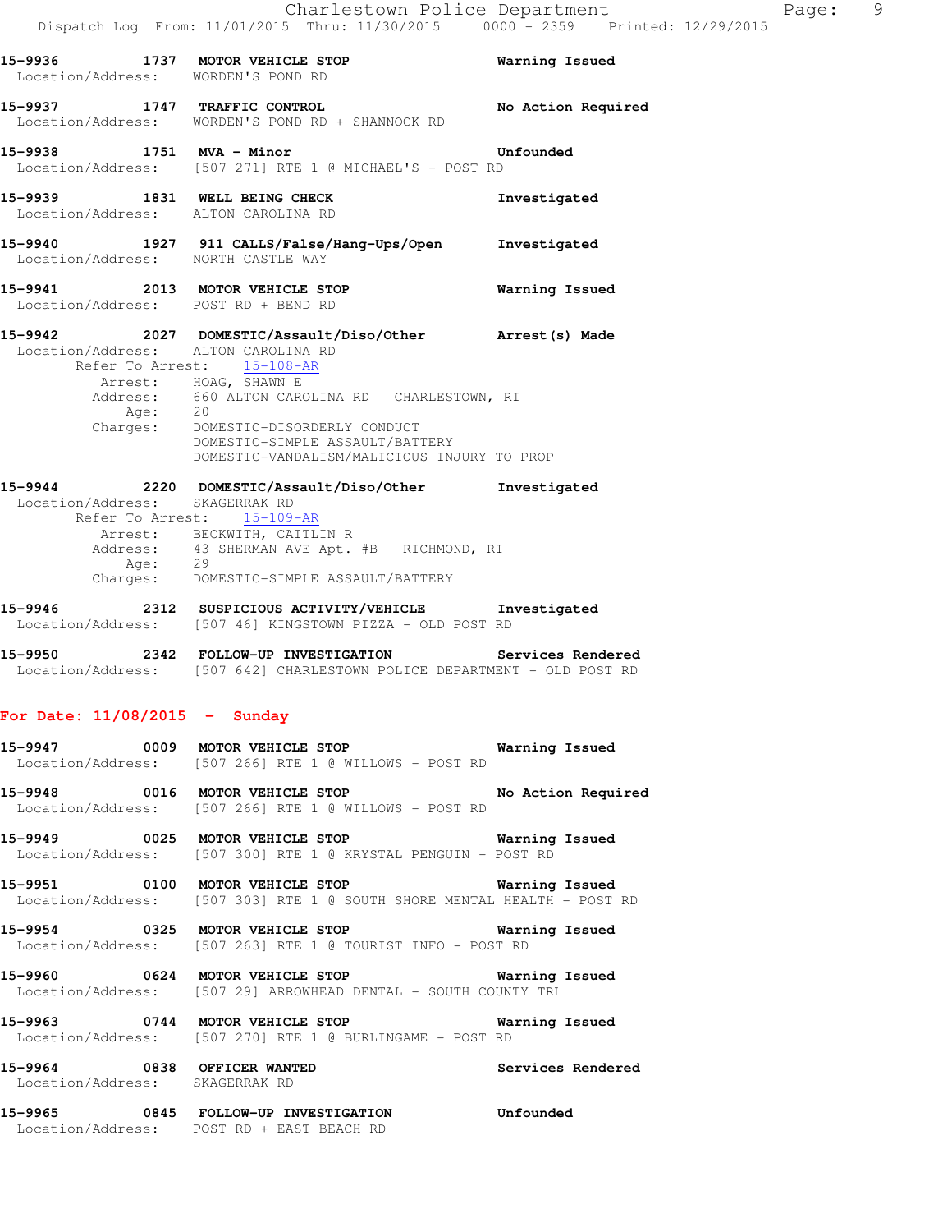|                                 |      | 15-9936 1737 MOTOR VEHICLE STOP Warning Issued<br>Location/Address: WORDEN'S POND RD                                             |                       |
|---------------------------------|------|----------------------------------------------------------------------------------------------------------------------------------|-----------------------|
|                                 |      |                                                                                                                                  |                       |
|                                 |      | 15-9937 1747 TRAFFIC CONTROL<br>Location/Address: WORDEN'S POND RD + SHANNOCK RD                                                 | No Action Required    |
|                                 |      |                                                                                                                                  |                       |
| 15-9938 1751 MVA - Minor        |      |                                                                                                                                  | Unfounded             |
|                                 |      | Location/Address: [507 271] RTE 1 @ MICHAEL'S - POST RD                                                                          |                       |
|                                 |      | 15-9939 1831 WELL BEING CHECK                                                                                                    | Investigated          |
|                                 |      | Location/Address: ALTON CAROLINA RD                                                                                              |                       |
|                                 |      | 15-9940 1927 911 CALLS/False/Hang-Ups/Open Investigated<br>Location/Address: NORTH CASTLE WAY                                    |                       |
|                                 |      |                                                                                                                                  |                       |
|                                 |      | 15-9941 2013 MOTOR VEHICLE STOP<br>Location/Address: POST RD + BEND RD                                                           | <b>Warning Issued</b> |
|                                 |      |                                                                                                                                  |                       |
|                                 |      | 15-9942 2027 DOMESTIC/Assault/Diso/Other Arrest(s) Made<br>Location/Address: ALTON CAROLINA RD                                   |                       |
|                                 |      | Refer To Arrest: 15-108-AR                                                                                                       |                       |
|                                 |      | Arrest: HOAG, SHAWN E<br>Address: 660 ALTON CAROLINA RD CHARLESTOWN, RI                                                          |                       |
|                                 | Age: | 20                                                                                                                               |                       |
|                                 |      | Charges: DOMESTIC-DISORDERLY CONDUCT<br>DOMESTIC-SIMPLE ASSAULT/BATTERY                                                          |                       |
|                                 |      | DOMESTIC-VANDALISM/MALICIOUS INJURY TO PROP                                                                                      |                       |
|                                 |      | 15-9944 2220 DOMESTIC/Assault/Diso/Other Investigated                                                                            |                       |
|                                 |      | Location/Address: SKAGERRAK RD<br>Refer To Arrest: 15-109-AR                                                                     |                       |
|                                 |      | Arrest: BECKWITH, CAITLIN R                                                                                                      |                       |
|                                 |      | Address: 43 SHERMAN AVE Apt. #B RICHMOND, RI                                                                                     |                       |
|                                 |      | Age: 29<br>Charges: DOMESTIC-SIMPLE ASSAULT/BATTERY                                                                              |                       |
|                                 |      | 15-9946 2312 SUSPICIOUS ACTIVITY/VEHICLE Investigated                                                                            |                       |
|                                 |      | Location/Address: [507 46] KINGSTOWN PIZZA - OLD POST RD                                                                         |                       |
|                                 |      | 15-9950 2342 FOLLOW-UP INVESTIGATION Services Rendered                                                                           |                       |
|                                 |      | Location/Address: [507 642] CHARLESTOWN POLICE DEPARTMENT - OLD POST RD                                                          |                       |
|                                 |      |                                                                                                                                  |                       |
| For Date: $11/08/2015$ - Sunday |      |                                                                                                                                  |                       |
|                                 |      | 15-9947 0009 MOTOR VEHICLE STOP <b>Manual</b> Marning Issued                                                                     |                       |
|                                 |      | Location/Address: [507 266] RTE 1 @ WILLOWS - POST RD                                                                            |                       |
|                                 |      | 15-9948 0016 MOTOR VEHICLE STOP No Action Required<br>Location/Address: [507 266] RTE 1 @ WILLOWS - POST RD                      |                       |
|                                 |      |                                                                                                                                  |                       |
|                                 |      | 15-9949 0025 MOTOR VEHICLE STOP<br>Location/Address: [507 300] RTE 1 @ KRYSTAL PENGUIN - POST RD                                 | <b>Warning Issued</b> |
|                                 |      |                                                                                                                                  |                       |
|                                 |      | 15-9951 0100 MOTOR VEHICLE STOP <b>Warning Issued</b><br>Location/Address: [507 303] RTE 1 @ SOUTH SHORE MENTAL HEALTH - POST RD |                       |
|                                 |      |                                                                                                                                  |                       |
|                                 |      | 15-9954 0325 MOTOR VEHICLE STOP<br>Location/Address: [507 263] RTE 1 @ TOURIST INFO - POST RD                                    | <b>Warning Issued</b> |
|                                 |      |                                                                                                                                  |                       |
|                                 |      | 15-9960 0624 MOTOR VEHICLE STOP Warning Issued<br>Location/Address: [507 29] ARROWHEAD DENTAL - SOUTH COUNTY TRL                 |                       |
|                                 |      | 15-9963 0744 MOTOR VEHICLE STOP                                                                                                  | Warning Issued        |
|                                 |      | Location/Address: [507 270] RTE 1 @ BURLINGAME - POST RD                                                                         |                       |
|                                 |      |                                                                                                                                  | Services Rendered     |
|                                 |      | 15-9964 0838 OFFICER WANTED<br>Location/Address: SKAGERRAK RD                                                                    |                       |
|                                 |      | 15-9965 0845 FOLLOW-UP INVESTIGATION                                                                                             | Unfounded             |
|                                 |      | Location/Address: POST RD + EAST BEACH RD                                                                                        |                       |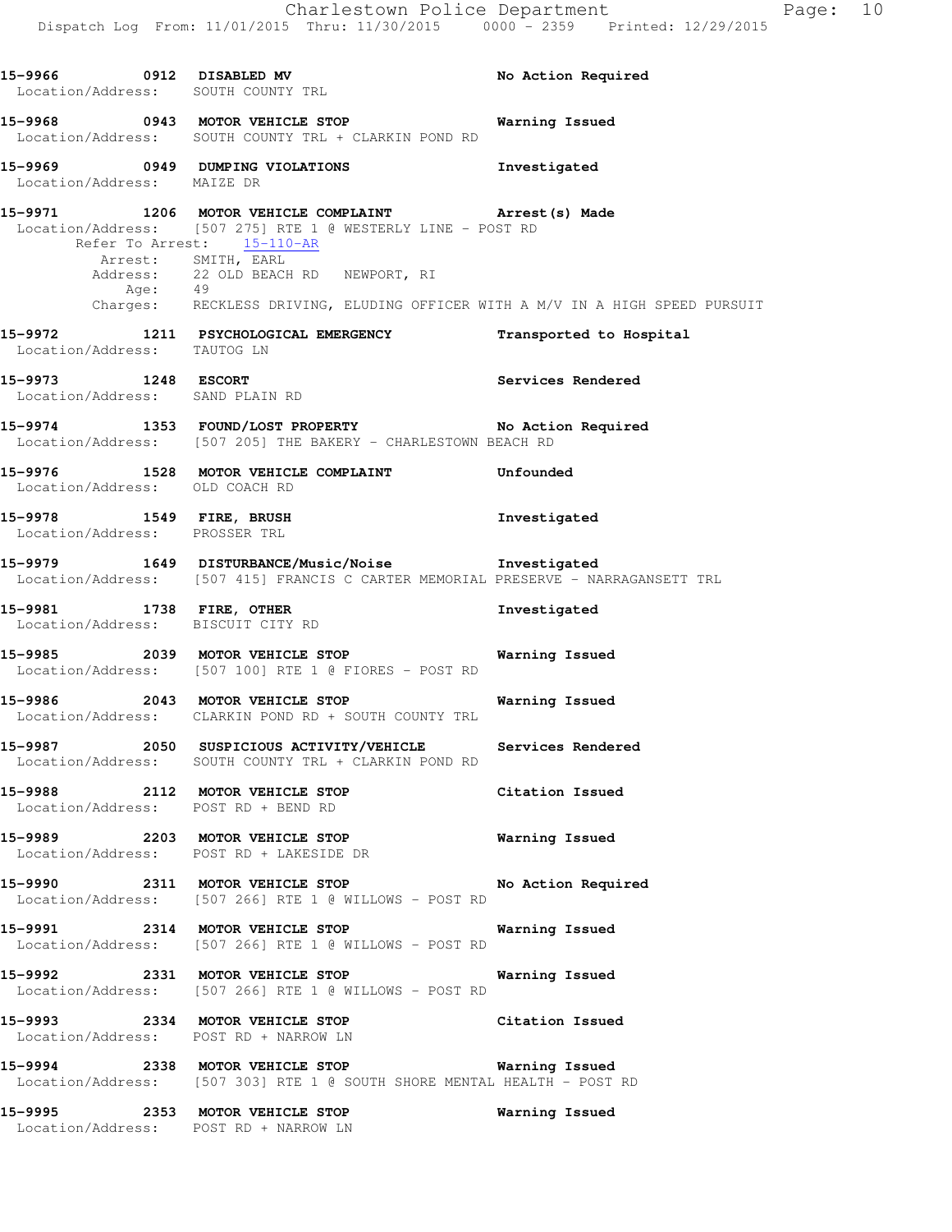15-9966 0912 DISABLED MV **No Action Required**  Location/Address: SOUTH COUNTY TRL **15-9968 0943 MOTOR VEHICLE STOP Warning Issued**  Location/Address: SOUTH COUNTY TRL + CLARKIN POND RD **15-9969 0949 DUMPING VIOLATIONS Investigated**  Location/Address: MAIZE DR **15-9971 1206 MOTOR VEHICLE COMPLAINT Arrest(s) Made**  Location/Address: [507 275] RTE 1 @ WESTERLY LINE - POST RD Refer To Arrest: 15-110-AR Arrest: SMITH, EARL Address: 22 OLD BEACH RD NEWPORT, RI Age: 49 Charges: RECKLESS DRIVING, ELUDING OFFICER WITH A M/V IN A HIGH SPEED PURSUIT **15-9972 1211 PSYCHOLOGICAL EMERGENCY Transported to Hospital**  Location/Address: TAUTOG LN **15-9973 1248 ESCORT Services Rendered**  Location/Address: SAND PLAIN RD **15-9974 1353 FOUND/LOST PROPERTY No Action Required**  Location/Address: [507 205] THE BAKERY - CHARLESTOWN BEACH RD **15-9976 1528 MOTOR VEHICLE COMPLAINT Unfounded**  Location/Address: OLD COACH RD **15-9978 1549 FIRE, BRUSH Investigated**  Location/Address: PROSSER TRL **15-9979 1649 DISTURBANCE/Music/Noise Investigated**  Location/Address: [507 415] FRANCIS C CARTER MEMORIAL PRESERVE - NARRAGANSETT TRL **15-9981 1738 FIRE, OTHER Investigated**  Location/Address: BISCUIT CITY RD **15-9985 2039 MOTOR VEHICLE STOP Warning Issued**  Location/Address: [507 100] RTE 1 @ FIORES - POST RD **15-9986 2043 MOTOR VEHICLE STOP Warning Issued**  Location/Address: CLARKIN POND RD + SOUTH COUNTY TRL **15-9987 2050 SUSPICIOUS ACTIVITY/VEHICLE Services Rendered**  Location/Address: SOUTH COUNTY TRL + CLARKIN POND RD **15-9988 2112 MOTOR VEHICLE STOP Citation Issued**  Location/Address: POST RD + BEND RD **15-9989 2203 MOTOR VEHICLE STOP Warning Issued**  Location/Address: POST RD + LAKESIDE DR **15-9990 2311 MOTOR VEHICLE STOP No Action Required**  Location/Address: [507 266] RTE 1 @ WILLOWS - POST RD **15-9991 2314 MOTOR VEHICLE STOP Warning Issued**  Location/Address: [507 266] RTE 1 @ WILLOWS - POST RD **15-9992 2331 MOTOR VEHICLE STOP Warning Issued**  Location/Address: [507 266] RTE 1 @ WILLOWS - POST RD **15-9993 2334 MOTOR VEHICLE STOP Citation Issued**  Location/Address: POST RD + NARROW LN **15-9994 2338 MOTOR VEHICLE STOP Warning Issued**  Location/Address: [507 303] RTE 1 @ SOUTH SHORE MENTAL HEALTH - POST RD **15-9995 2353 MOTOR VEHICLE STOP Warning Issued** 

Location/Address: POST RD + NARROW LN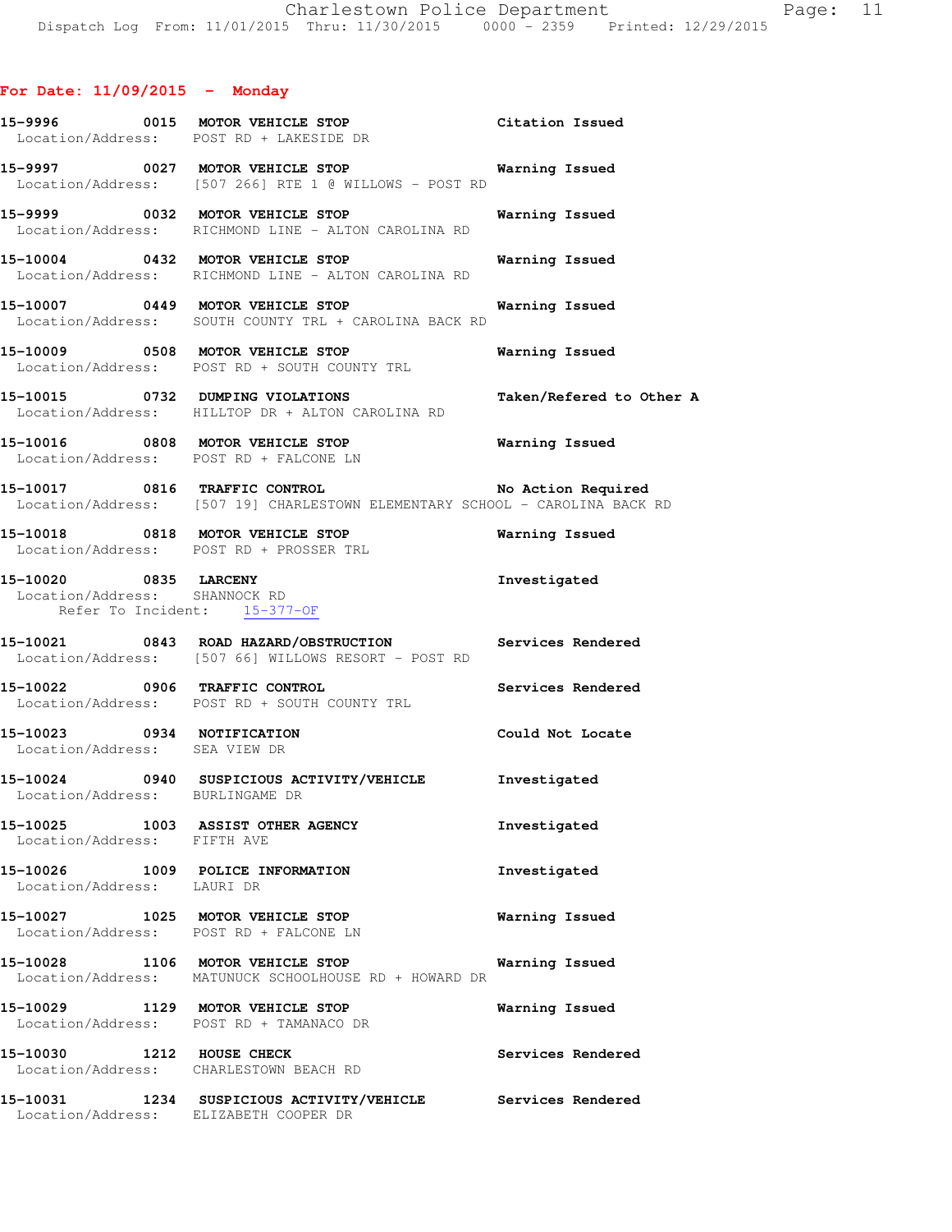# **For Date: 11/09/2015 - Monday**

|                                                             | 15-9996 0015 MOTOR VEHICLE STOP Citation Issued<br>Location/Address: POST RD + LAKESIDE DR                                      |                          |
|-------------------------------------------------------------|---------------------------------------------------------------------------------------------------------------------------------|--------------------------|
|                                                             | 15-9997 0027 MOTOR VEHICLE STOP 6 Warning Issued<br>Location/Address: [507 266] RTE 1 @ WILLOWS - POST RD                       |                          |
|                                                             | 15-9999 0032 MOTOR VEHICLE STOP<br>Location/Address: RICHMOND LINE - ALTON CAROLINA RD                                          | Warning Issued           |
|                                                             | 15-10004 0432 MOTOR VEHICLE STOP Warning Issued<br>Location/Address: RICHMOND LINE - ALTON CAROLINA RD                          |                          |
|                                                             | 15-10007 0449 MOTOR VEHICLE STOP<br>Location/Address: SOUTH COUNTY TRL + CAROLINA BACK RD                                       | Warning Issued           |
|                                                             | 15-10009 0508 MOTOR VEHICLE STOP<br>Location/Address: POST RD + SOUTH COUNTY TRL                                                | Warning Issued           |
|                                                             | 15-10015 0732 DUMPING VIOLATIONS<br>Location/Address: HILLTOP DR + ALTON CAROLINA RD                                            | Taken/Refered to Other A |
|                                                             | 15-10016 0808 MOTOR VEHICLE STOP<br>Location/Address: POST RD + FALCONE LN                                                      | <b>Warning Issued</b>    |
|                                                             | 15-10017 0816 TRAFFIC CONTROL No Action Required<br>Location/Address: [507 19] CHARLESTOWN ELEMENTARY SCHOOL - CAROLINA BACK RD |                          |
|                                                             | 15-10018 0818 MOTOR VEHICLE STOP <b>Warning Issued</b><br>Location/Address: POST RD + PROSSER TRL                               |                          |
| Location/Address: SHANNOCK RD                               | 15-10020 0835 LARCENY<br>Refer To Incident: 15-377-OF                                                                           | Investigated             |
|                                                             | 15-10021 0843 ROAD HAZARD/OBSTRUCTION Services Rendered<br>Location/Address: [507 66] WILLOWS RESORT - POST RD                  |                          |
|                                                             | 15-10022 0906 TRAFFIC CONTROL<br>Location/Address: POST RD + SOUTH COUNTY TRL                                                   | Services Rendered        |
| 15-10023 0934 NOTIFICATION<br>Location/Address: SEA VIEW DR |                                                                                                                                 | Could Not Locate         |
| Location/Address: BURLINGAME DR                             | 15-10024 0940 SUSPICIOUS ACTIVITY/VEHICLE Investigated                                                                          |                          |
| Location/Address: FIFTH AVE                                 | 15-10025 1003 ASSIST OTHER AGENCY                                                                                               | Investigated             |
| Location/Address: LAURI DR                                  | 15-10026 1009 POLICE INFORMATION                                                                                                | Investigated             |
|                                                             | 15-10027 1025 MOTOR VEHICLE STOP<br>Location/Address: POST RD + FALCONE LN                                                      | Warning Issued           |
|                                                             | 15-10028 1106 MOTOR VEHICLE STOP<br>Location/Address: MATUNUCK SCHOOLHOUSE RD + HOWARD DR                                       | Warning Issued           |
|                                                             | 15-10029 1129 MOTOR VEHICLE STOP<br>Location/Address: POST RD + TAMANACO DR                                                     | Warning Issued           |
|                                                             | 15-10030 1212 HOUSE CHECK<br>Location/Address: CHARLESTOWN BEACH RD                                                             | Services Rendered        |
|                                                             | 15-10031 1234 SUSPICIOUS ACTIVITY/VEHICLE Services Rendered<br>Location/Address: ELIZABETH COOPER DR                            |                          |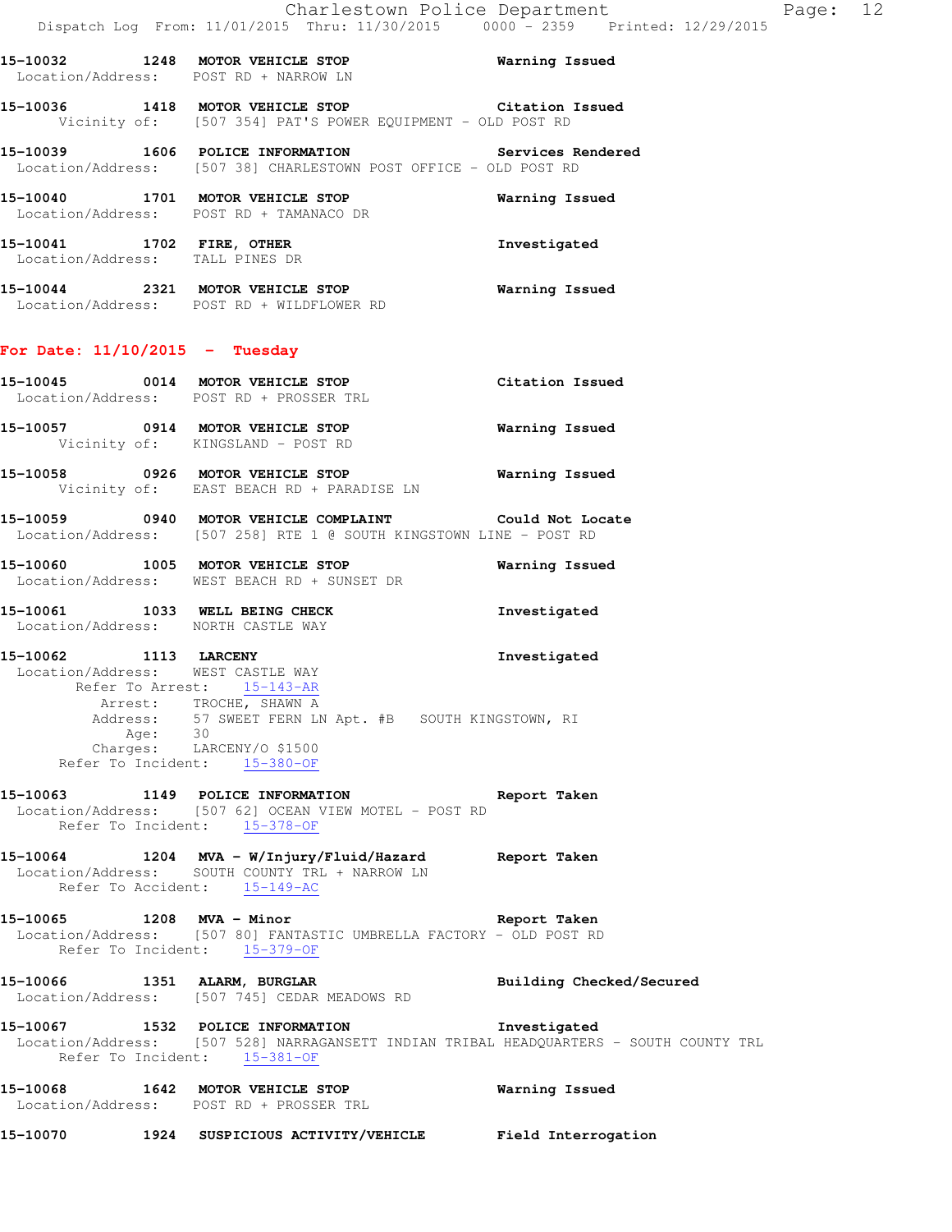**15-10032 1248 MOTOR VEHICLE STOP Warning Issued**  Location/Address: POST RD + NARROW LN **15-10036 1418 MOTOR VEHICLE STOP Citation Issued**  Vicinity of: [507 354] PAT'S POWER EQUIPMENT - OLD POST RD

**15-10039 1606 POLICE INFORMATION Services Rendered**  Location/Address: [507 38] CHARLESTOWN POST OFFICE - OLD POST RD

**15-10040 1701 MOTOR VEHICLE STOP Warning Issued**  Location/Address: POST RD + TAMANACO DR

**15-10041 1702 FIRE, OTHER Investigated**  Location/Address: TALL PINES DR

**15-10044 2321 MOTOR VEHICLE STOP Warning Issued**  Location/Address: POST RD + WILDFLOWER RD

### **For Date: 11/10/2015 - Tuesday**

**15-10045 0014 MOTOR VEHICLE STOP Citation Issued**  Location/Address: POST RD + PROSSER TRL **15-10057 0914 MOTOR VEHICLE STOP Warning Issued** 

Vicinity of: KINGSLAND - POST RD

**15-10058 0926 MOTOR VEHICLE STOP Warning Issued**  Vicinity of: EAST BEACH RD + PARADISE LN

**15-10059 0940 MOTOR VEHICLE COMPLAINT Could Not Locate**  Location/Address: [507 258] RTE 1 @ SOUTH KINGSTOWN LINE - POST RD

**15-10060 1005 MOTOR VEHICLE STOP Warning Issued**  Location/Address: WEST BEACH RD + SUNSET DR

**15-10061 1033 WELL BEING CHECK Investigated**  Location/Address: NORTH CASTLE WAY

**15-10062 1113 LARCENY Investigated**  Location/Address: WEST CASTLE WAY Refer To Arrest: 15-143-AR Arrest: TROCHE, SHAWN A Address: 57 SWEET FERN LN Apt. #B SOUTH KINGSTOWN, RI Age: 30 Charges: LARCENY/O \$1500 Refer To Incident: 15-380-OF

**15-10063 1149 POLICE INFORMATION Report Taken**  Location/Address: [507 62] OCEAN VIEW MOTEL - POST RD Refer To Incident: 15-378-OF

**15-10064 1204 MVA - W/Injury/Fluid/Hazard Report Taken**  Location/Address: SOUTH COUNTY TRL + NARROW LN Refer To Accident: 15-149-AC

**15-10065 1208 MVA - Minor Report Taken**  Location/Address: [507 80] FANTASTIC UMBRELLA FACTORY - OLD POST RD Refer To Incident: 15-379-OF

**15-10066 1351 ALARM, BURGLAR Building Checked/Secured**  Location/Address: [507 745] CEDAR MEADOWS RD

**15-10067 1532 POLICE INFORMATION Investigated**  Location/Address: [507 528] NARRAGANSETT INDIAN TRIBAL HEADQUARTERS - SOUTH COUNTY TRL Refer To Incident: 15-381-OF

**15-10068 1642 MOTOR VEHICLE STOP Warning Issued**  Location/Address: POST RD + PROSSER TRL

**15-10070 1924 SUSPICIOUS ACTIVITY/VEHICLE Field Interrogation**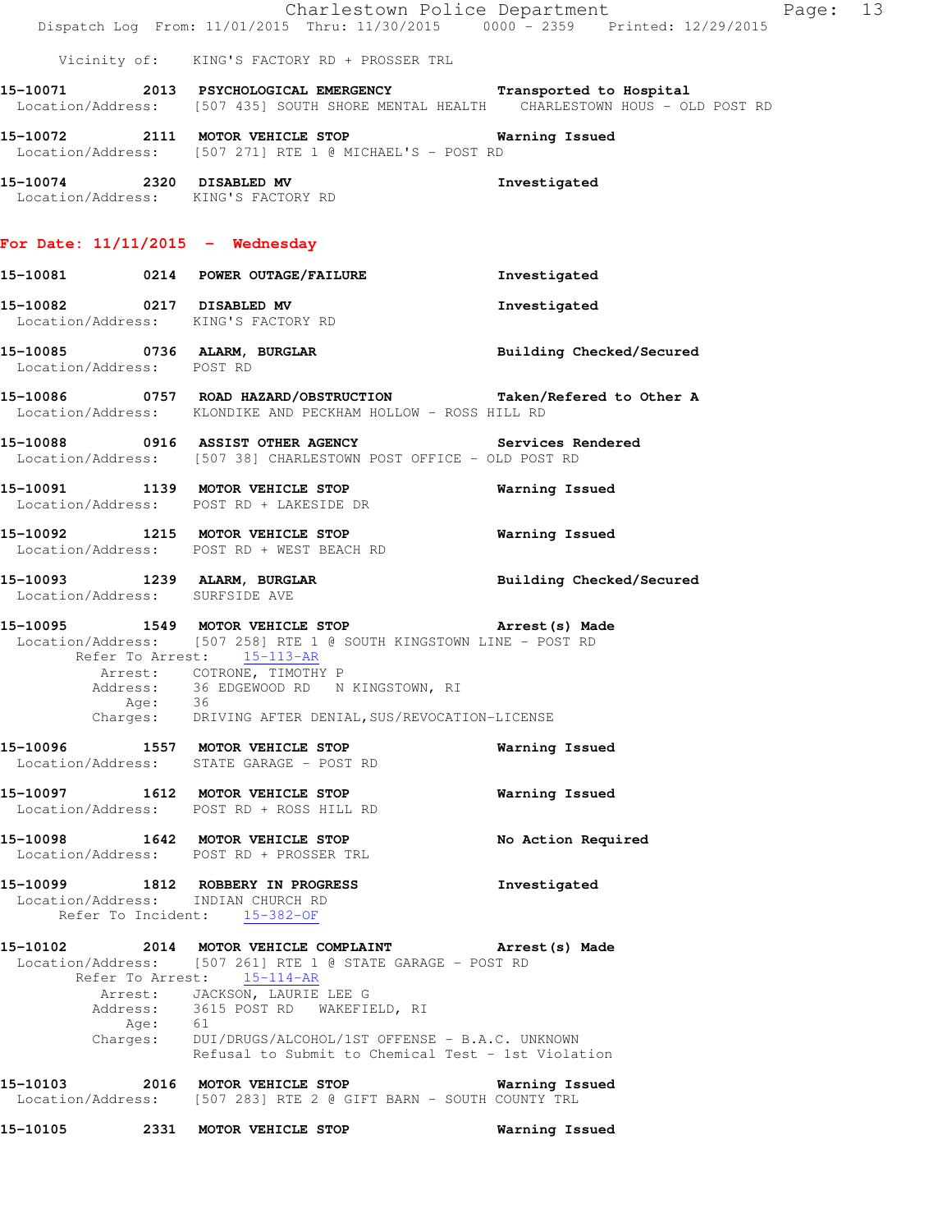|                           |         | 15-10105 2331 MOTOR VEHICLE STOP                                                                                                                                                  | Warning Issued                |          |  |
|---------------------------|---------|-----------------------------------------------------------------------------------------------------------------------------------------------------------------------------------|-------------------------------|----------|--|
|                           |         | $15-10103$ 2016 MOTOR VEHICLE STOP<br>Location/Address: [507 283] RTE 2 @ GIFT BARN - SOUTH COUNTY TRL                                                                            | Warning Issued                |          |  |
|                           |         | Address: 3615 POST RD WAKEFIELD, RI<br>Age: 61<br>Charges: DUI/DRUGS/ALCOHOL/1ST OFFENSE - B.A.C. UNKNOWN<br>Refusal to Submit to Chemical Test - 1st Violation                   |                               |          |  |
|                           |         | 15-10102 2014 MOTOR VEHICLE COMPLAINT Arrest(s) Made<br>Location/Address: [507 261] RTE 1 @ STATE GARAGE - POST RD<br>Refer To Arrest: 15-114-AR<br>Arrest: JACKSON, LAURIE LEE G |                               |          |  |
|                           |         | 15-10099 1812 ROBBERY IN PROGRESS<br>Location/Address: INDIAN CHURCH RD<br>Refer To Incident: 15-382-OF                                                                           | Investigated                  |          |  |
|                           |         | 15-10098 1642 MOTOR VEHICLE STOP<br>Location/Address: POST RD + PROSSER TRL                                                                                                       | No Action Required            |          |  |
|                           |         | 15-10097 1612 MOTOR VEHICLE STOP<br>Location/Address: POST RD + ROSS HILL RD                                                                                                      | Warning Issued                |          |  |
|                           |         | 15-10096 1557 MOTOR VEHICLE STOP<br>Location/Address: STATE GARAGE - POST RD                                                                                                      | Warning Issued                |          |  |
|                           | Age: 36 | Arrest: COTRONE, TIMOTHY P<br>Address: 36 EDGEWOOD RD N KINGSTOWN, RI<br>Charges: DRIVING AFTER DENIAL, SUS/REVOCATION-LICENSE                                                    |                               |          |  |
|                           |         | 15-10095 1549 MOTOR VEHICLE STOP 3 Arrest (s) Made<br>Location/Address: [507 258] RTE 1 @ SOUTH KINGSTOWN LINE - POST RD<br>Refer To Arrest: 15-113-AR                            |                               |          |  |
|                           |         | 15-10093 1239 ALARM, BURGLAR<br>Location/Address: SURFSIDE AVE                                                                                                                    | Building Checked/Secured      |          |  |
|                           |         | 15-10092 1215 MOTOR VEHICLE STOP<br>Location/Address: POST RD + WEST BEACH RD                                                                                                     | <b>Warning Issued</b>         |          |  |
|                           |         | 15-10091 1139 MOTOR VEHICLE STOP<br>Location/Address: POST RD + LAKESIDE DR                                                                                                       | Warning Issued                |          |  |
|                           |         | 15-10088 0916 ASSIST OTHER AGENCY Services Rendered<br>Location/Address: [507 38] CHARLESTOWN POST OFFICE - OLD POST RD                                                           |                               |          |  |
|                           |         | 15-10086 0757 ROAD HAZARD/OBSTRUCTION Taken/Refered to Other A<br>Location/Address: KLONDIKE AND PECKHAM HOLLOW - ROSS HILL RD                                                    |                               |          |  |
| Location/Address: POST RD |         | 15-10085 0736 ALARM, BURGLAR BURGLAR Building Checked/Secured                                                                                                                     |                               |          |  |
|                           |         | 15-10082 0217 DISABLED MV<br>Location/Address: KING'S FACTORY RD                                                                                                                  | Investigated                  |          |  |
|                           |         | For Date: $11/11/2015$ - Wednesday<br>15-10081 0214 POWER OUTAGE/FAILURE                                                                                                          | Investigated                  |          |  |
|                           |         | Location/Address: KING'S FACTORY RD                                                                                                                                               |                               |          |  |
|                           |         | Location/Address: [507 271] RTE 1 @ MICHAEL'S - POST RD<br>15-10074 2320 DISABLED MV                                                                                              | Investigated                  |          |  |
|                           |         | Location/Address: [507 435] SOUTH SHORE MENTAL HEALTH CHARLESTOWN HOUS - OLD POST RD<br>15-10072 2111 MOTOR VEHICLE STOP Warning Issued                                           |                               |          |  |
|                           |         | 15-10071 2013 PSYCHOLOGICAL EMERGENCY Transported to Hospital                                                                                                                     |                               |          |  |
|                           |         | Dispatch Log From: 11/01/2015 Thru: 11/30/2015 0000 - 2359 Printed: 12/29/2015<br>Vicinity of: KING'S FACTORY RD + PROSSER TRL                                                    |                               |          |  |
|                           |         |                                                                                                                                                                                   | Charlestown Police Department | Page: 13 |  |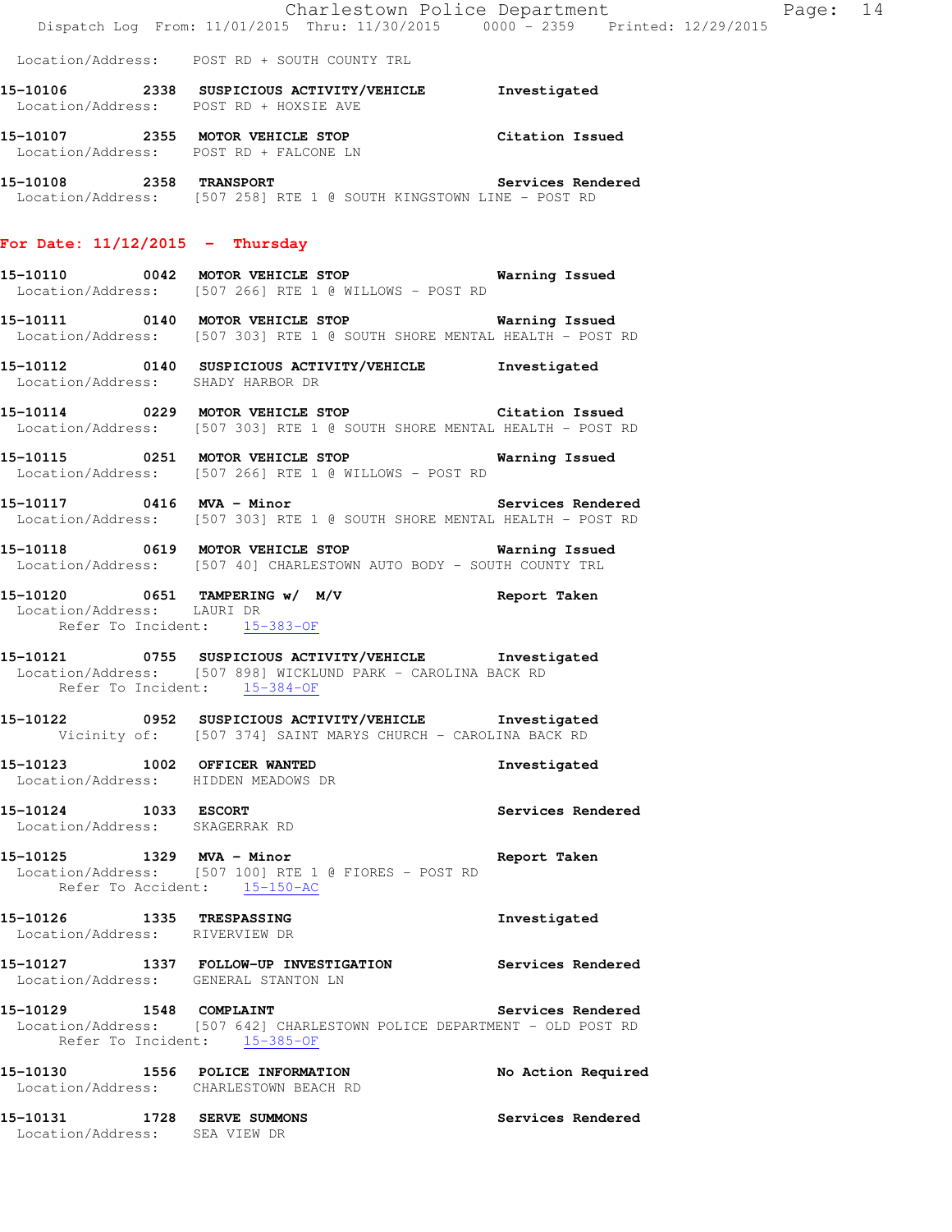Location/Address: POST RD + SOUTH COUNTY TRL

- **15-10106 2338 SUSPICIOUS ACTIVITY/VEHICLE Investigated**  Location/Address: POST RD + HOXSIE AVE
- **15-10107 2355 MOTOR VEHICLE STOP Citation Issued**  Location/Address: POST RD + FALCONE LN
- **15-10108 2358 TRANSPORT Services Rendered**  Location/Address: [507 258] RTE 1 @ SOUTH KINGSTOWN LINE - POST RD

#### **For Date: 11/12/2015 - Thursday**

- **15-10110 0042 MOTOR VEHICLE STOP Warning Issued**  Location/Address: [507 266] RTE 1 @ WILLOWS - POST RD
- **15-10111 0140 MOTOR VEHICLE STOP Warning Issued**  Location/Address: [507 303] RTE 1 @ SOUTH SHORE MENTAL HEALTH - POST RD
- **15-10112 0140 SUSPICIOUS ACTIVITY/VEHICLE Investigated**  Location/Address: SHADY HARBOR DR
- **15-10114 0229 MOTOR VEHICLE STOP Citation Issued**  Location/Address: [507 303] RTE 1 @ SOUTH SHORE MENTAL HEALTH - POST RD
- **15-10115 0251 MOTOR VEHICLE STOP Warning Issued**  Location/Address: [507 266] RTE 1 @ WILLOWS - POST RD
- **15-10117 0416 MVA Minor Services Rendered**  Location/Address: [507 303] RTE 1 @ SOUTH SHORE MENTAL HEALTH - POST RD
- **15-10118 0619 MOTOR VEHICLE STOP Warning Issued**  Location/Address: [507 40] CHARLESTOWN AUTO BODY - SOUTH COUNTY TRL
- **15-10120 0651 TAMPERING w/ M/V Report Taken**  Location/Address: LAURI DR Refer To Incident: 15-383-OF
- **15-10121 0755 SUSPICIOUS ACTIVITY/VEHICLE Investigated**  Location/Address: [507 898] WICKLUND PARK - CAROLINA BACK RD Refer To Incident: 15-384-OF
- **15-10122 0952 SUSPICIOUS ACTIVITY/VEHICLE Investigated**  Vicinity of: [507 374] SAINT MARYS CHURCH - CAROLINA BACK RD
- **15-10123 1002 OFFICER WANTED Investigated**  Location/Address: HIDDEN MEADOWS DR
- **15-10124 1033 ESCORT Services Rendered**  Location/Address: SKAGERRAK RD
- **15-10125 1329 MVA Minor Report Taken**  Location/Address: [507 100] RTE 1 @ FIORES - POST RD Refer To Accident: 15-150-AC
- **15-10126 1335 TRESPASSING Investigated**  Location/Address: RIVERVIEW DR
- **15-10127 1337 FOLLOW-UP INVESTIGATION Services Rendered**  Location/Address: GENERAL STANTON LN
- **15-10129 1548 COMPLAINT Services Rendered**  Location/Address: [507 642] CHARLESTOWN POLICE DEPARTMENT - OLD POST RD Refer To Incident: 15-385-OF
- **15-10130 1556 POLICE INFORMATION No Action Required**  Location/Address: CHARLESTOWN BEACH RD **15-10131 1728 SERVE SUMMONS Services Rendered**  Location/Address: SEA VIEW DR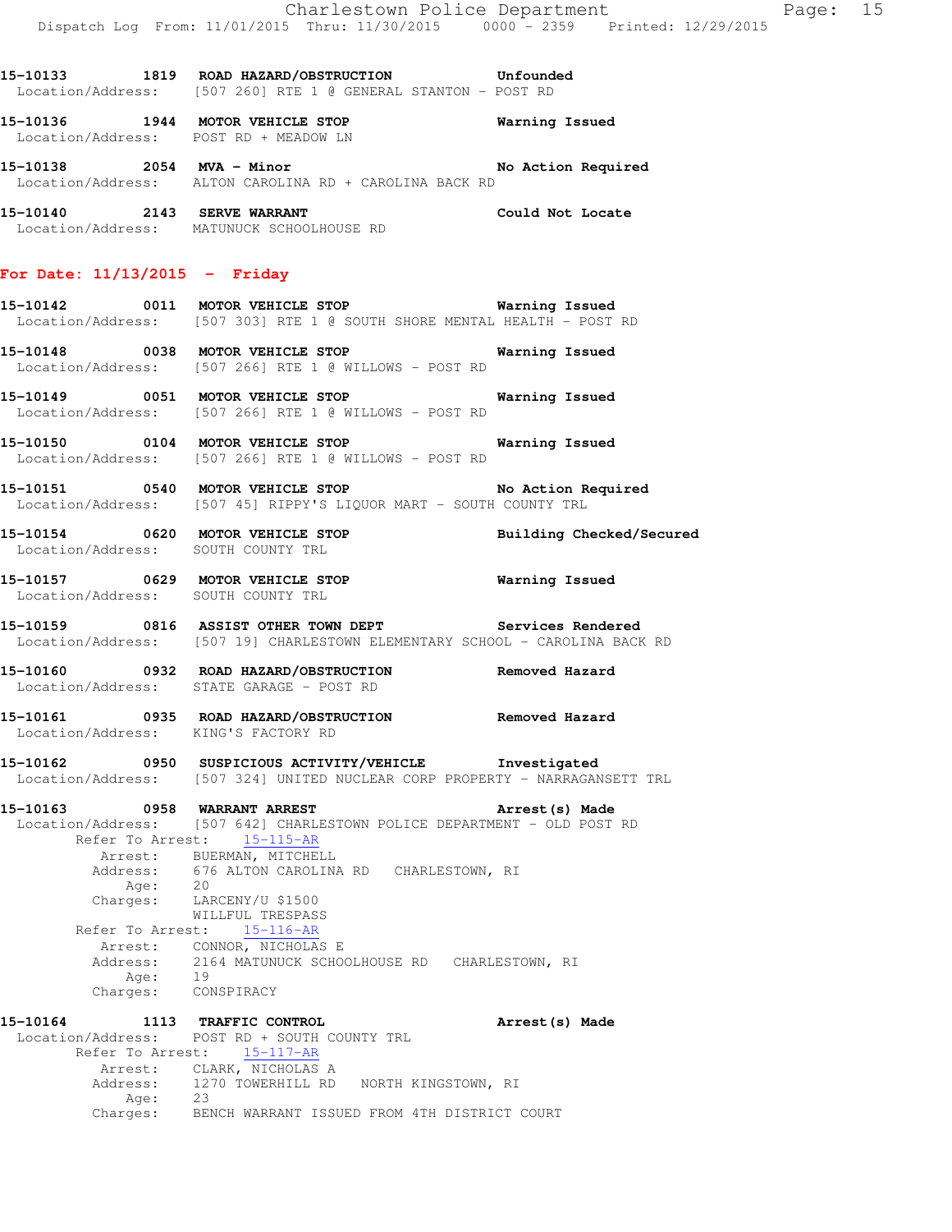**15-10133 1819 ROAD HAZARD/OBSTRUCTION Unfounded**  Location/Address: [507 260] RTE 1 @ GENERAL STANTON - POST RD

**15-10136 1944 MOTOR VEHICLE STOP Warning Issued**  Location/Address: POST RD + MEADOW LN **15-10138 2054 MVA - Minor No Action Required**  Location/Address: ALTON CAROLINA RD + CAROLINA BACK RD **15-10140 2143 SERVE WARRANT Could Not Locate**  Location/Address: MATUNUCK SCHOOLHOUSE RD **For Date: 11/13/2015 - Friday 15-10142 0011 MOTOR VEHICLE STOP Warning Issued**  Location/Address: [507 303] RTE 1 @ SOUTH SHORE MENTAL HEALTH - POST RD **15-10148 0038 MOTOR VEHICLE STOP Warning Issued**  Location/Address: [507 266] RTE 1 @ WILLOWS - POST RD **15-10149 0051 MOTOR VEHICLE STOP Warning Issued**  Location/Address: [507 266] RTE 1 @ WILLOWS - POST RD **15-10150 0104 MOTOR VEHICLE STOP Warning Issued**  Location/Address: [507 266] RTE 1 @ WILLOWS - POST RD **15-10151 0540 MOTOR VEHICLE STOP No Action Required**  Location/Address: [507 45] RIPPY'S LIQUOR MART - SOUTH COUNTY TRL **15-10154 0620 MOTOR VEHICLE STOP Building Checked/Secured**  Location/Address: SOUTH COUNTY TRL **15-10157 0629 MOTOR VEHICLE STOP Warning Issued**  Location/Address: SOUTH COUNTY TRL **15-10159 0816 ASSIST OTHER TOWN DEPT Services Rendered**  Location/Address: [507 19] CHARLESTOWN ELEMENTARY SCHOOL - CAROLINA BACK RD **15-10160 0932 ROAD HAZARD/OBSTRUCTION Removed Hazard**  Location/Address: STATE GARAGE - POST RD **15-10161 0935 ROAD HAZARD/OBSTRUCTION Removed Hazard**  Location/Address: KING'S FACTORY RD **15-10162 0950 SUSPICIOUS ACTIVITY/VEHICLE Investigated**  Location/Address: [507 324] UNITED NUCLEAR CORP PROPERTY - NARRAGANSETT TRL **15-10163 0958 WARRANT ARREST Arrest(s) Made**  Location/Address: [507 642] CHARLESTOWN POLICE DEPARTMENT - OLD POST RD Refer To Arrest: 15-115-AR Arrest: BUERMAN, MITCHELL<br>Address: 676 ALTON CAROLINA 676 ALTON CAROLINA RD CHARLESTOWN, RI Age: 20 Charges: LARCENY/U \$1500 WILLFUL TRESPASS

 Refer To Arrest: 15-116-AR Arrest: CONNOR, NICHOLAS E 2164 MATUNUCK SCHOOLHOUSE RD CHARLESTOWN, RI Age: 19 Charges: CONSPIRACY

**15-10164 1113 TRAFFIC CONTROL Arrest(s) Made**  Location/Address: POST RD + SOUTH COUNTY TRL Refer To Arrest: 15-117-AR Arrest: CLARK, NICHOLAS A 1270 TOWERHILL RD NORTH KINGSTOWN, RI Age: 23 Charges: BENCH WARRANT ISSUED FROM 4TH DISTRICT COURT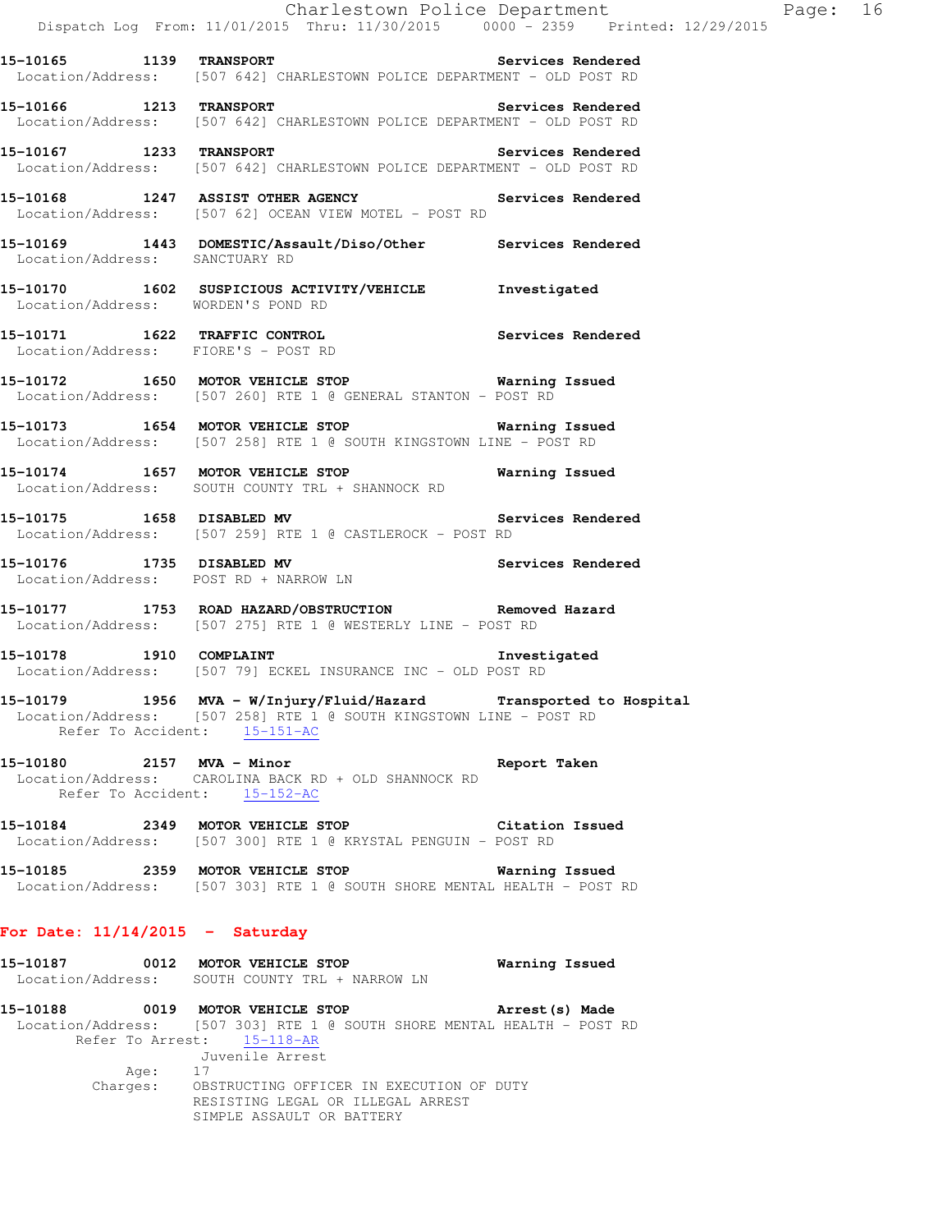**15-10165 1139 TRANSPORT Services Rendered**  Location/Address: [507 642] CHARLESTOWN POLICE DEPARTMENT - OLD POST RD

**15-10166 1213 TRANSPORT Services Rendered**  Location/Address: [507 642] CHARLESTOWN POLICE DEPARTMENT - OLD POST RD

**15-10167 1233 TRANSPORT Services Rendered**  Location/Address: [507 642] CHARLESTOWN POLICE DEPARTMENT - OLD POST RD

**15-10168 1247 ASSIST OTHER AGENCY Services Rendered**  Location/Address: [507 62] OCEAN VIEW MOTEL - POST RD

- **15-10169 1443 DOMESTIC/Assault/Diso/Other Services Rendered**  Location/Address: SANCTUARY RD
- **15-10170 1602 SUSPICIOUS ACTIVITY/VEHICLE Investigated**  Location/Address: WORDEN'S POND RD
- **15-10171 1622 TRAFFIC CONTROL Services Rendered**  Location/Address: FIORE'S - POST RD
- **15-10172 1650 MOTOR VEHICLE STOP Warning Issued**  Location/Address: [507 260] RTE 1 @ GENERAL STANTON - POST RD
- **15-10173 1654 MOTOR VEHICLE STOP Warning Issued**  Location/Address: [507 258] RTE 1 @ SOUTH KINGSTOWN LINE - POST RD
- **15-10174 1657 MOTOR VEHICLE STOP Warning Issued**  Location/Address: SOUTH COUNTY TRL + SHANNOCK RD
- **15-10175 1658 DISABLED MV Services Rendered**  Location/Address: [507 259] RTE 1 @ CASTLEROCK - POST RD
- **15-10176 1735 DISABLED MV Services Rendered**  Location/Address: POST RD + NARROW LN
- **15-10177 1753 ROAD HAZARD/OBSTRUCTION Removed Hazard**  Location/Address: [507 275] RTE 1 @ WESTERLY LINE - POST RD
- **15-10178 1910 COMPLAINT Investigated**  Location/Address: [507 79] ECKEL INSURANCE INC - OLD POST RD
- **15-10179 1956 MVA W/Injury/Fluid/Hazard Transported to Hospital**  Location/Address: [507 258] RTE 1 @ SOUTH KINGSTOWN LINE - POST RD Refer To Accident: 15-151-AC
- **15-10180 2157 MVA Minor Report Taken**  Location/Address: CAROLINA BACK RD + OLD SHANNOCK RD Refer To Accident: 15-152-AC
- **15-10184 2349 MOTOR VEHICLE STOP Citation Issued**  Location/Address: [507 300] RTE 1 @ KRYSTAL PENGUIN - POST RD
- **15-10185 2359 MOTOR VEHICLE STOP Warning Issued**  Location/Address: [507 303] RTE 1 @ SOUTH SHORE MENTAL HEALTH - POST RD

### **For Date: 11/14/2015 - Saturday**

| 15-10187 | 0012     | MOTOR VEHICLE STOP                                                      | Warning Issued  |
|----------|----------|-------------------------------------------------------------------------|-----------------|
|          |          | Location/Address: SOUTH COUNTY TRL + NARROW LN                          |                 |
| 15-10188 |          | 0019 MOTOR VEHICLE STOP                                                 | Arrest (s) Made |
|          |          | Location/Address: [507 303] RTE 1 @ SOUTH SHORE MENTAL HEALTH - POST RD |                 |
|          |          | Refer To Arrest: 15-118-AR                                              |                 |
|          |          | Juvenile Arrest                                                         |                 |
|          | Age:     | -17                                                                     |                 |
|          | Charges: | OBSTRUCTING OFFICER IN EXECUTION OF DUTY                                |                 |
|          |          | RESISTING LEGAL OR ILLEGAL ARREST                                       |                 |
|          |          | SIMPLE ASSAULT OR BATTERY                                               |                 |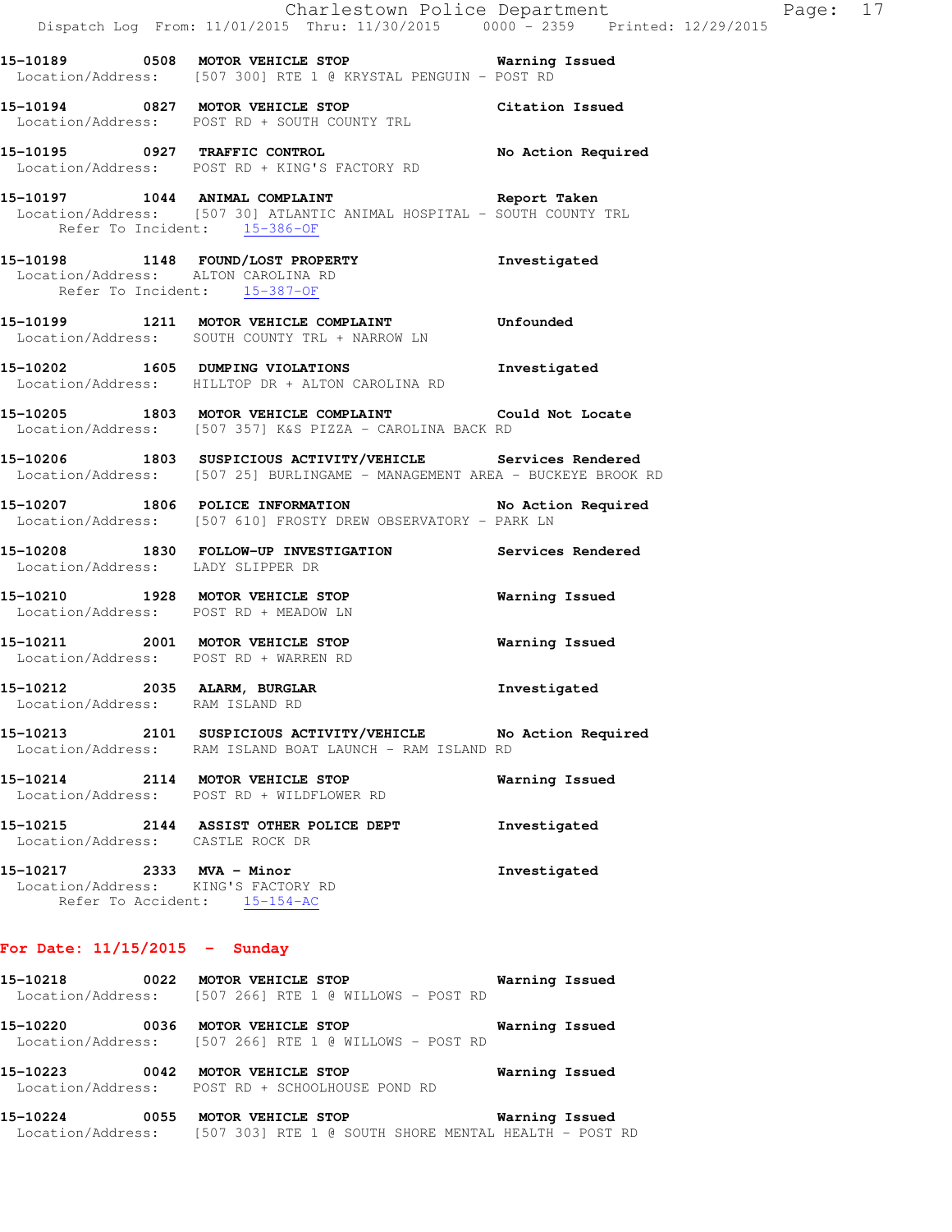|                                                                     | Dispatch Log From: 11/01/2015 Thru: 11/30/2015 0000 - 2359 Printed: 12/29/2015                                                            | Charlestown Police Department | Page: 17 |  |
|---------------------------------------------------------------------|-------------------------------------------------------------------------------------------------------------------------------------------|-------------------------------|----------|--|
|                                                                     | 15-10189 		 0508 MOTOR VEHICLE STOP 		 Warning Issued<br>Location/Address: [507 300] RTE 1 @ KRYSTAL PENGUIN - POST RD                    |                               |          |  |
|                                                                     | 15-10194 0827 MOTOR VEHICLE STOP Citation Issued<br>Location/Address: POST RD + SOUTH COUNTY TRL                                          |                               |          |  |
|                                                                     | 15-10195 0927 TRAFFIC CONTROL<br>Location/Address: POST RD + KING'S FACTORY RD                                                            | No Action Required            |          |  |
| Refer To Incident: 15-386-OF                                        | 15-10197 1044 ANIMAL COMPLAINT Report Taken<br>Location/Address: [507 30] ATLANTIC ANIMAL HOSPITAL - SOUTH COUNTY TRL                     |                               |          |  |
| Location/Address: ALTON CAROLINA RD<br>Refer To Incident: 15-387-OF | 15-10198 1148 FOUND/LOST PROPERTY                                                                                                         | Investigated                  |          |  |
|                                                                     | 15-10199 1211 MOTOR VEHICLE COMPLAINT Unfounded<br>Location/Address: SOUTH COUNTY TRL + NARROW LN                                         |                               |          |  |
|                                                                     | 15-10202 1605 DUMPING VIOLATIONS<br>Location/Address: HILLTOP DR + ALTON CAROLINA RD                                                      | Investigated                  |          |  |
|                                                                     | 15-10205 1803 MOTOR VEHICLE COMPLAINT Could Not Locate<br>Location/Address: [507 357] K&S PIZZA - CAROLINA BACK RD                        |                               |          |  |
|                                                                     | 15-10206 1803 SUSPICIOUS ACTIVITY/VEHICLE Services Rendered<br>Location/Address: [507 25] BURLINGAME - MANAGEMENT AREA - BUCKEYE BROOK RD |                               |          |  |
|                                                                     | 15-10207 1806 POLICE INFORMATION No Action Required<br>Location/Address: [507 610] FROSTY DREW OBSERVATORY - PARK LN                      |                               |          |  |
| Location/Address: LADY SLIPPER DR                                   | 15-10208 1830 FOLLOW-UP INVESTIGATION Services Rendered                                                                                   |                               |          |  |
| Location/Address: POST RD + MEADOW LN                               | 15-10210 1928 MOTOR VEHICLE STOP                                                                                                          | Warning Issued                |          |  |
| Location/Address: POST RD + WARREN RD                               | 15-10211 2001 MOTOR VEHICLE STOP                                                                                                          | <b>Warning Issued</b>         |          |  |
| 15-10212 2035 ALARM, BURGLAR<br>Location/Address: RAM ISLAND RD     |                                                                                                                                           | Investigated                  |          |  |
|                                                                     | 15-10213 2101 SUSPICIOUS ACTIVITY/VEHICLE<br>Location/Address: RAM ISLAND BOAT LAUNCH - RAM ISLAND RD                                     | No Action Required            |          |  |
| 15-10214 2114 MOTOR VEHICLE STOP                                    | Location/Address: POST RD + WILDFLOWER RD                                                                                                 | Warning Issued                |          |  |
| Location/Address: CASTLE ROCK DR                                    | 15-10215 2144 ASSIST OTHER POLICE DEPT                                                                                                    | Investigated                  |          |  |
| 15-10217 2333 MVA - Minor<br>Location/Address: KING'S FACTORY RD    | Refer To Accident: 15-154-AC                                                                                                              | Investigated                  |          |  |

# **For Date: 11/15/2015 - Sunday**

| 15-10218                      | 0022 | Warning Issued<br>MOTOR VEHICLE STOP<br>Location/Address: [507 266] RTE 1 @ WILLOWS - POST RD |  |
|-------------------------------|------|-----------------------------------------------------------------------------------------------|--|
| 15-10220                      | 0036 | Warning Issued<br>MOTOR VEHICLE STOP<br>Location/Address: [507 266] RTE 1 @ WILLOWS - POST RD |  |
| 15-10223<br>Location/Address: | 0042 | Warning Issued<br>MOTOR VEHICLE STOP<br>POST RD + SCHOOLHOUSE POND RD                         |  |
| 15–10224                      | 0055 | Warning Issued<br>MOTOR VEHICLE STOP                                                          |  |

Location/Address: [507 303] RTE 1 @ SOUTH SHORE MENTAL HEALTH - POST RD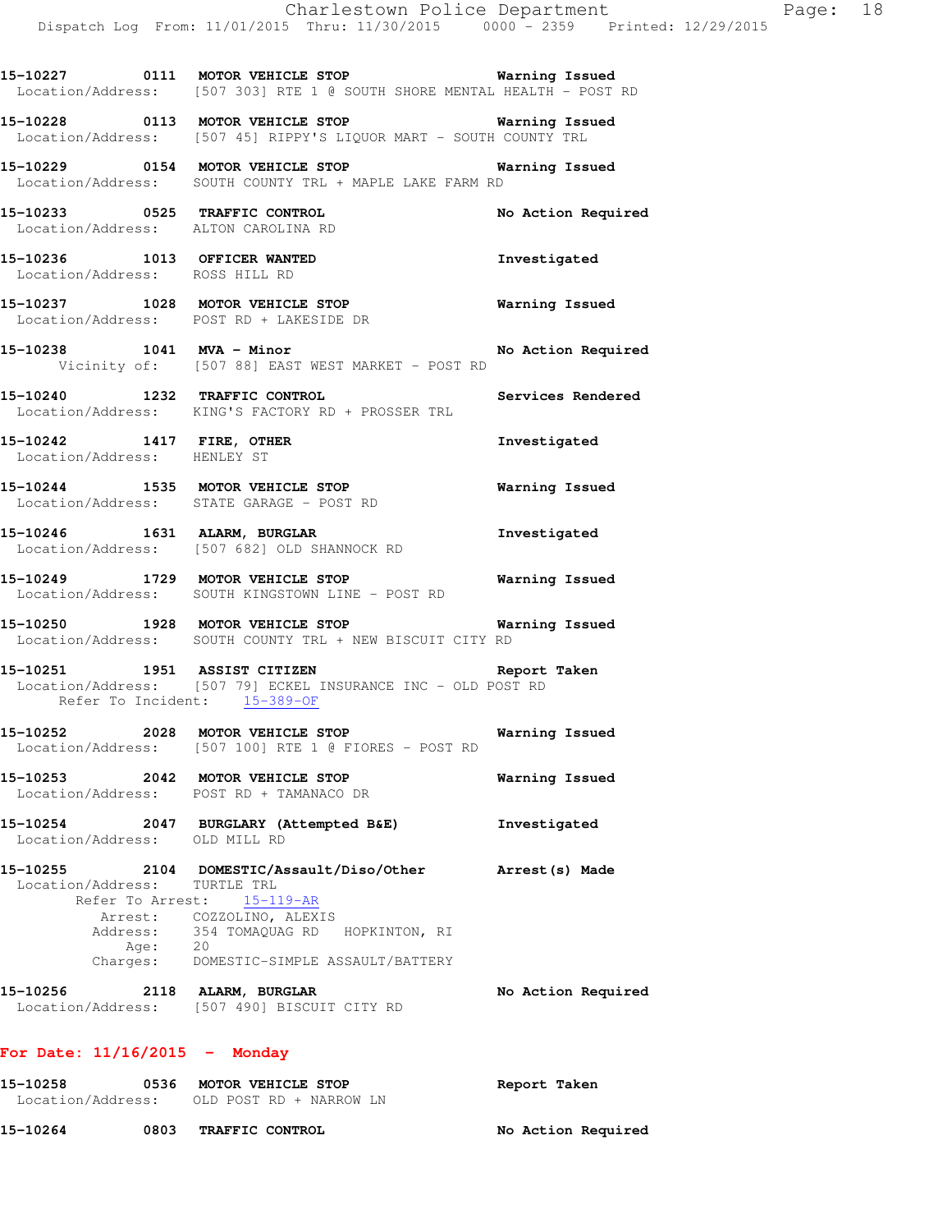**15-10228 0113 MOTOR VEHICLE STOP Warning Issued**  Location/Address: [507 45] RIPPY'S LIQUOR MART - SOUTH COUNTY TRL

**15-10229 0154 MOTOR VEHICLE STOP Warning Issued**  Location/Address: SOUTH COUNTY TRL + MAPLE LAKE FARM RD

**15-10233 0525 TRAFFIC CONTROL No Action Required**  Location/Address: ALTON CAROLINA RD

**15-10236 1013 OFFICER WANTED Investigated**  Location/Address: ROSS HILL RD

**15-10237 1028 MOTOR VEHICLE STOP Warning Issued**  Location/Address: POST RD + LAKESIDE DR

15-10238 1041 MVA - Minor **No Action Required** Vicinity of: [507 88] EAST WEST MARKET - POST RD

**15-10240 1232 TRAFFIC CONTROL Services Rendered**  Location/Address: KING'S FACTORY RD + PROSSER TRL

**15-10242 1417 FIRE, OTHER Investigated**  Location/Address: HENLEY ST

**15-10244 1535 MOTOR VEHICLE STOP Warning Issued**  Location/Address: STATE GARAGE - POST RD

**15-10246 1631 ALARM, BURGLAR Investigated**  Location/Address: [507 682] OLD SHANNOCK RD

**15-10249 1729 MOTOR VEHICLE STOP Warning Issued**  Location/Address: SOUTH KINGSTOWN LINE - POST RD

**15-10250 1928 MOTOR VEHICLE STOP Warning Issued**  Location/Address: SOUTH COUNTY TRL + NEW BISCUIT CITY RD

**15-10251 1951 ASSIST CITIZEN Report Taken**  Location/Address: [507 79] ECKEL INSURANCE INC - OLD POST RD Refer To Incident: 15-389-OF

**15-10252 2028 MOTOR VEHICLE STOP Warning Issued**  Location/Address: [507 100] RTE 1 @ FIORES - POST RD

**15-10253 2042 MOTOR VEHICLE STOP Warning Issued**  Location/Address: POST RD + TAMANACO DR

**15-10254 2047 BURGLARY (Attempted B&E) Investigated**  Location/Address: OLD MILL RD

**15-10255 2104 DOMESTIC/Assault/Diso/Other Arrest(s) Made**  Location/Address: TURTLE TRL Refer To Arrest: 15-119-AR Arrest: COZZOLINO, ALEXIS Address: 354 TOMAQUAG RD HOPKINTON, RI Age: 20 Charges: DOMESTIC-SIMPLE ASSAULT/BATTERY

**15-10256 2118 ALARM, BURGLAR No Action Required**  Location/Address: [507 490] BISCUIT CITY RD

**For Date: 11/16/2015 - Monday**

| 15-10258          |       | 0536 MOTOR VEHICLE STOP | Report Taken       |
|-------------------|-------|-------------------------|--------------------|
| Location/Address: |       | OLD POST RD + NARROW LN |                    |
| 15-10264          | 0803. | <b>TRAFFIC CONTROL</b>  | No Action Required |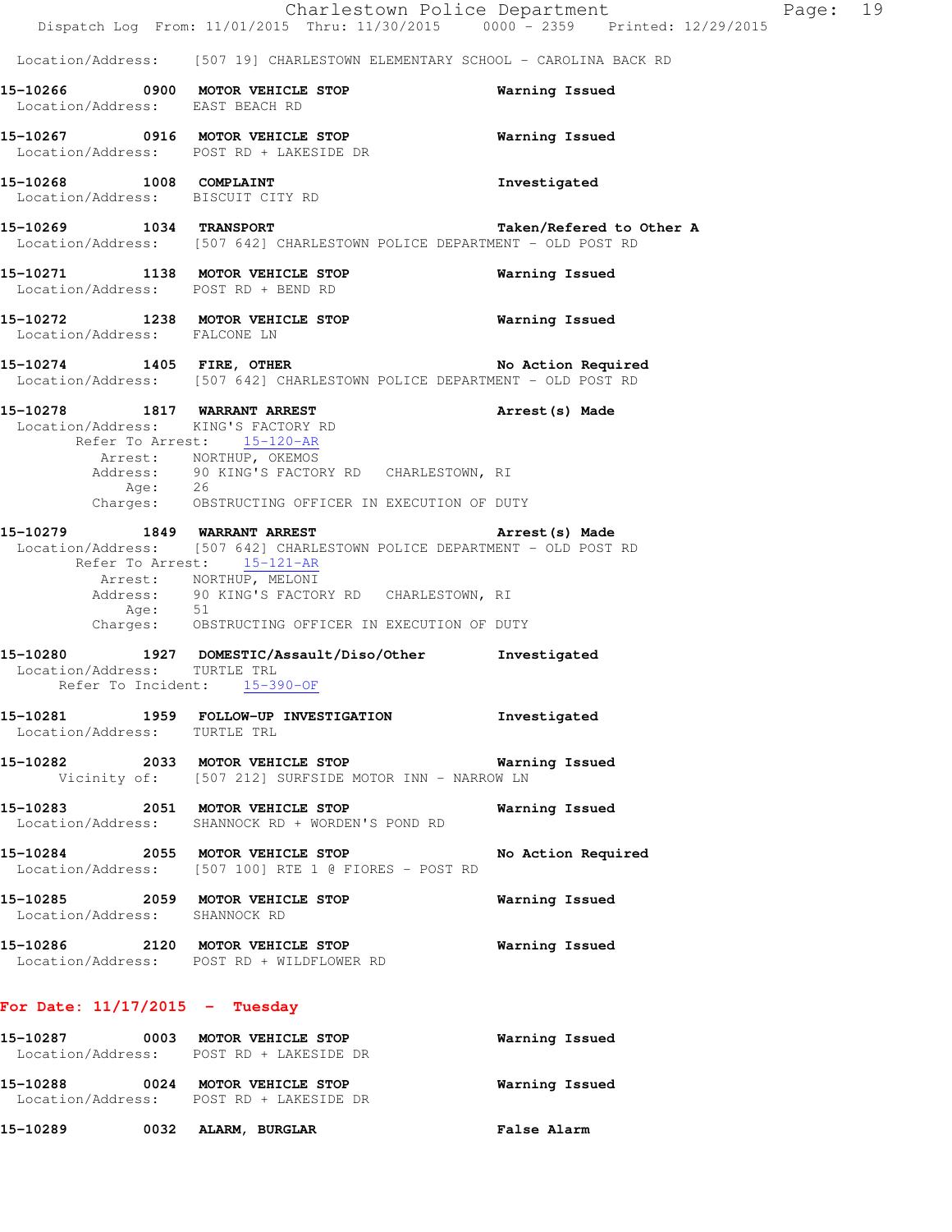|                                  | Charlestown Police Department                                                                                                                                    |                          | Page: 19 |  |
|----------------------------------|------------------------------------------------------------------------------------------------------------------------------------------------------------------|--------------------------|----------|--|
|                                  | Dispatch Log From: 11/01/2015 Thru: 11/30/2015 0000 - 2359 Printed: 12/29/2015                                                                                   |                          |          |  |
|                                  | Location/Address: [507 19] CHARLESTOWN ELEMENTARY SCHOOL - CAROLINA BACK RD                                                                                      |                          |          |  |
| Location/Address: EAST BEACH RD  | 15-10266 0900 MOTOR VEHICLE STOP                                                                                                                                 | Warning Issued           |          |  |
|                                  | 15-10267 0916 MOTOR VEHICLE STOP<br>Location/Address: POST RD + LAKESIDE DR                                                                                      | Warning Issued           |          |  |
| 15-10268 1008 COMPLAINT          | Location/Address: BISCUIT CITY RD                                                                                                                                | Investigated             |          |  |
| 15-10269 1034 TRANSPORT          | Location/Address: [507 642] CHARLESTOWN POLICE DEPARTMENT - OLD POST RD                                                                                          | Taken/Refered to Other A |          |  |
|                                  | 15-10271 1138 MOTOR VEHICLE STOP<br>Location/Address: POST RD + BEND RD                                                                                          | Warning Issued           |          |  |
| Location/Address: FALCONE LN     | 15-10272 1238 MOTOR VEHICLE STOP                                                                                                                                 | Warning Issued           |          |  |
|                                  | 15-10274 1405 FIRE, OTHER No Action Required<br>Location/Address: [507 642] CHARLESTOWN POLICE DEPARTMENT - OLD POST RD                                          |                          |          |  |
|                                  | 15-10278 1817 WARRANT ARREST<br>Location/Address: KING'S FACTORY RD<br>Refer To Arrest: 15-120-AR                                                                | Arrest (s) Made          |          |  |
|                                  | Arrest: NORTHUP, OKEMOS<br>Address: 90 KING'S FACTORY RD CHARLESTOWN, RI<br>Age: 26                                                                              |                          |          |  |
|                                  | Charges: OBSTRUCTING OFFICER IN EXECUTION OF DUTY                                                                                                                |                          |          |  |
|                                  | 15-10279 1849 WARRANT ARREST<br>Location/Address: [507 642] CHARLESTOWN POLICE DEPARTMENT - OLD POST RD<br>Refer To Arrest: 15-121-AR<br>Arrest: NORTHUP, MELONI | Arrest(s) Made           |          |  |
|                                  | Address: 90 KING'S FACTORY RD CHARLESTOWN, RI<br>Age: 51<br>Charges: OBSTRUCTING OFFICER IN EXECUTION OF DUTY                                                    |                          |          |  |
| Location/Address: TURTLE TRL     | 15-10280 1927 DOMESTIC/Assault/Diso/Other<br>Refer To Incident: 15-390-OF                                                                                        | Investigated             |          |  |
| Location/Address: TURTLE TRL     | 15-10281 1959 FOLLOW-UP INVESTIGATION                                                                                                                            | Investigated             |          |  |
|                                  | 15-10282 2033 MOTOR VEHICLE STOP<br>Vicinity of: [507 212] SURFSIDE MOTOR INN - NARROW LN                                                                        | Warning Issued           |          |  |
|                                  | 15-10283 2051 MOTOR VEHICLE STOP<br>Location/Address: SHANNOCK RD + WORDEN'S POND RD                                                                             | Warning Issued           |          |  |
|                                  | 15-10284 2055 MOTOR VEHICLE STOP<br>Location/Address: [507 100] RTE 1 @ FIORES - POST RD                                                                         | No Action Required       |          |  |
| Location/Address: SHANNOCK RD    | 15-10285 2059 MOTOR VEHICLE STOP                                                                                                                                 | Warning Issued           |          |  |
|                                  | 15-10286 2120 MOTOR VEHICLE STOP<br>Location/Address: POST RD + WILDFLOWER RD                                                                                    | Warning Issued           |          |  |
| For Date: $11/17/2015$ - Tuesday |                                                                                                                                                                  |                          |          |  |
|                                  | 15-10287 0003 MOTOR VEHICLE STOP<br>Location/Address: POST RD + LAKESIDE DR                                                                                      | Warning Issued           |          |  |

 Location/Address: POST RD + LAKESIDE DR **15-10289 0032 ALARM, BURGLAR False Alarm** 

**15-10288 0024 MOTOR VEHICLE STOP Warning Issued**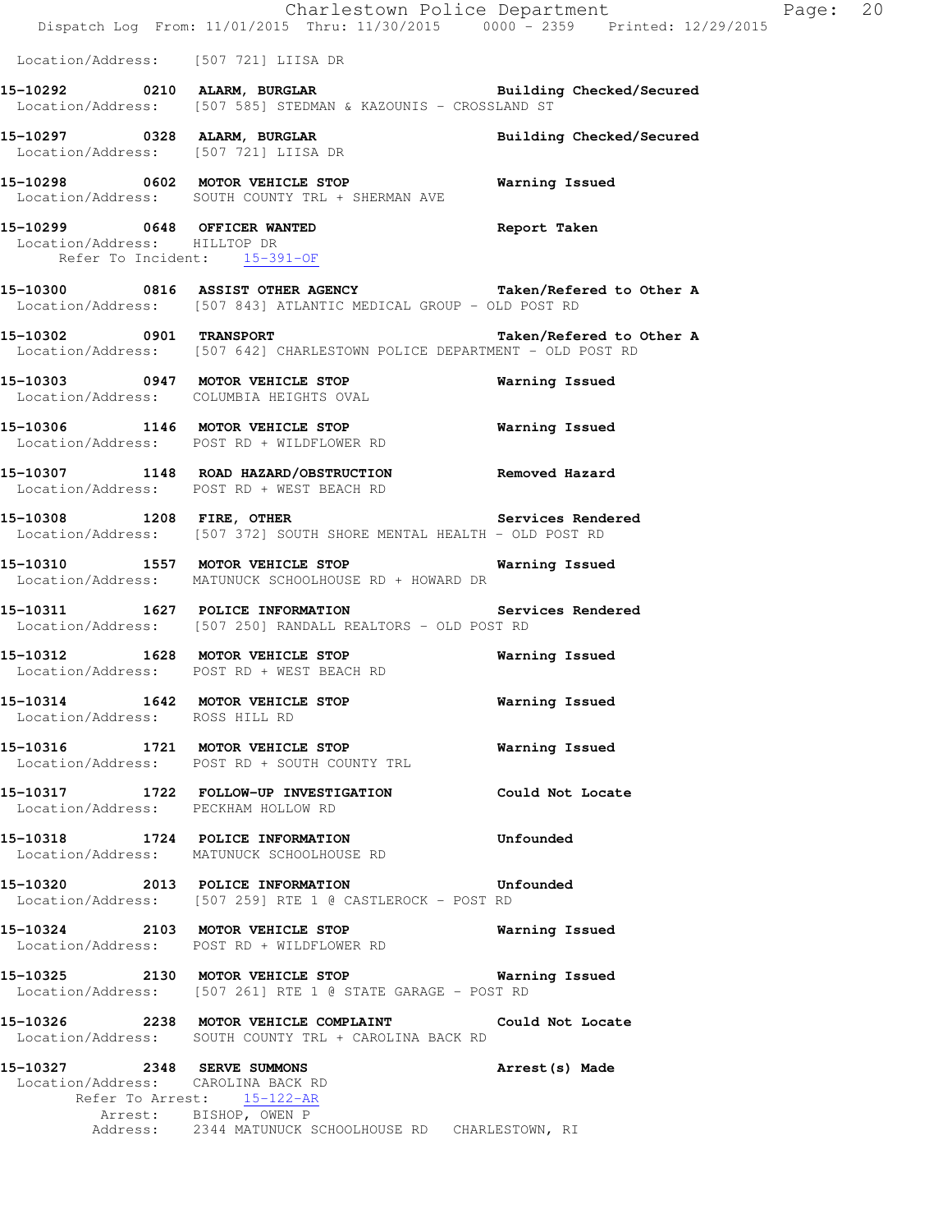|                                | Dispatch Log From: 11/01/2015 Thru: 11/30/2015 0000 - 2359 Printed: 12/29/2015                                                 | Charlestown Police Department Page: 20 |  |
|--------------------------------|--------------------------------------------------------------------------------------------------------------------------------|----------------------------------------|--|
|                                | Location/Address: [507 721] LIISA DR                                                                                           |                                        |  |
|                                | 15-10292 0210 ALARM, BURGLAR BURGER Building Checked/Secured<br>Location/Address: [507 585] STEDMAN & KAZOUNIS - CROSSLAND ST  |                                        |  |
|                                | 15-10297 0328 ALARM, BURGLAR<br>Location/Address: [507 721] LIISA DR                                                           | Building Checked/Secured               |  |
|                                | 15-10298 0602 MOTOR VEHICLE STOP 6 Warning Issued<br>Location/Address: SOUTH COUNTY TRL + SHERMAN AVE                          |                                        |  |
| Location/Address: HILLTOP DR   | 15-10299 0648 OFFICER WANTED Report Taken<br>Refer To Incident: 15-391-OF                                                      |                                        |  |
|                                | 15-10300 0816 ASSIST OTHER AGENCY Taken/Refered to Other A<br>Location/Address: [507 843] ATLANTIC MEDICAL GROUP - OLD POST RD |                                        |  |
|                                | 15-10302 0901 TRANSPORT 15-10302 Debias 15-10302<br>Location/Address: [507 642] CHARLESTOWN POLICE DEPARTMENT - OLD POST RD    |                                        |  |
|                                | 15-10303 0947 MOTOR VEHICLE STOP<br>Location/Address: COLUMBIA HEIGHTS OVAL                                                    | Warning Issued                         |  |
|                                | 15-10306 1146 MOTOR VEHICLE STOP<br>Location/Address: POST RD + WILDFLOWER RD                                                  | Warning Issued                         |  |
|                                | 15-10307 1148 ROAD HAZARD/OBSTRUCTION Removed Hazard<br>Location/Address: POST RD + WEST BEACH RD                              |                                        |  |
| 15-10308 1208 FIRE, OTHER      | Location/Address: [507 372] SOUTH SHORE MENTAL HEALTH - OLD POST RD                                                            | Services Rendered                      |  |
|                                | 15-10310 1557 MOTOR VEHICLE STOP 6 Warning Issued<br>Location/Address: MATUNUCK SCHOOLHOUSE RD + HOWARD DR                     |                                        |  |
|                                | 15-10311 1627 POLICE INFORMATION<br>Location/Address: [507 250] RANDALL REALTORS - OLD POST RD                                 | Services Rendered                      |  |
|                                | 15-10312 1628 MOTOR VEHICLE STOP<br>Location/Address: POST RD + WEST BEACH RD                                                  | Warning Issued                         |  |
| Location/Address: ROSS HILL RD | 15-10314 1642 MOTOR VEHICLE STOP                                                                                               | <b>Warning Issued</b>                  |  |
|                                | 15-10316 1721 MOTOR VEHICLE STOP<br>Location/Address: POST RD + SOUTH COUNTY TRL                                               | Warning Issued                         |  |
|                                | 15-10317 1722 FOLLOW-UP INVESTIGATION Could Not Locate<br>Location/Address: PECKHAM HOLLOW RD                                  |                                        |  |
|                                | 15-10318 1724 POLICE INFORMATION<br>Location/Address: MATUNUCK SCHOOLHOUSE RD                                                  | Unfounded                              |  |
|                                | 15-10320 2013 POLICE INFORMATION Unfounded<br>Location/Address: [507 259] RTE 1 @ CASTLEROCK - POST RD                         |                                        |  |
|                                | 15-10324 2103 MOTOR VEHICLE STOP Warning Issued<br>Location/Address: POST RD + WILDFLOWER RD                                   |                                        |  |
|                                | 15-10325 2130 MOTOR VEHICLE STOP 6 Warning Issued<br>Location/Address: [507 261] RTE 1 @ STATE GARAGE - POST RD                |                                        |  |
|                                | 15-10326 2238 MOTOR VEHICLE COMPLAINT Could Not Locate<br>Location/Address: SOUTH COUNTY TRL + CAROLINA BACK RD                |                                        |  |
|                                | 15-10327 2348 SERVE SUMMONS<br>Location/Address: CAROLINA BACK RD<br>Refer To Arrest: 15-122-AR<br>Arrest: BISHOP, OWEN P      | Arrest(s) Made                         |  |
|                                | Address: 2344 MATUNUCK SCHOOLHOUSE RD CHARLESTOWN, RI                                                                          |                                        |  |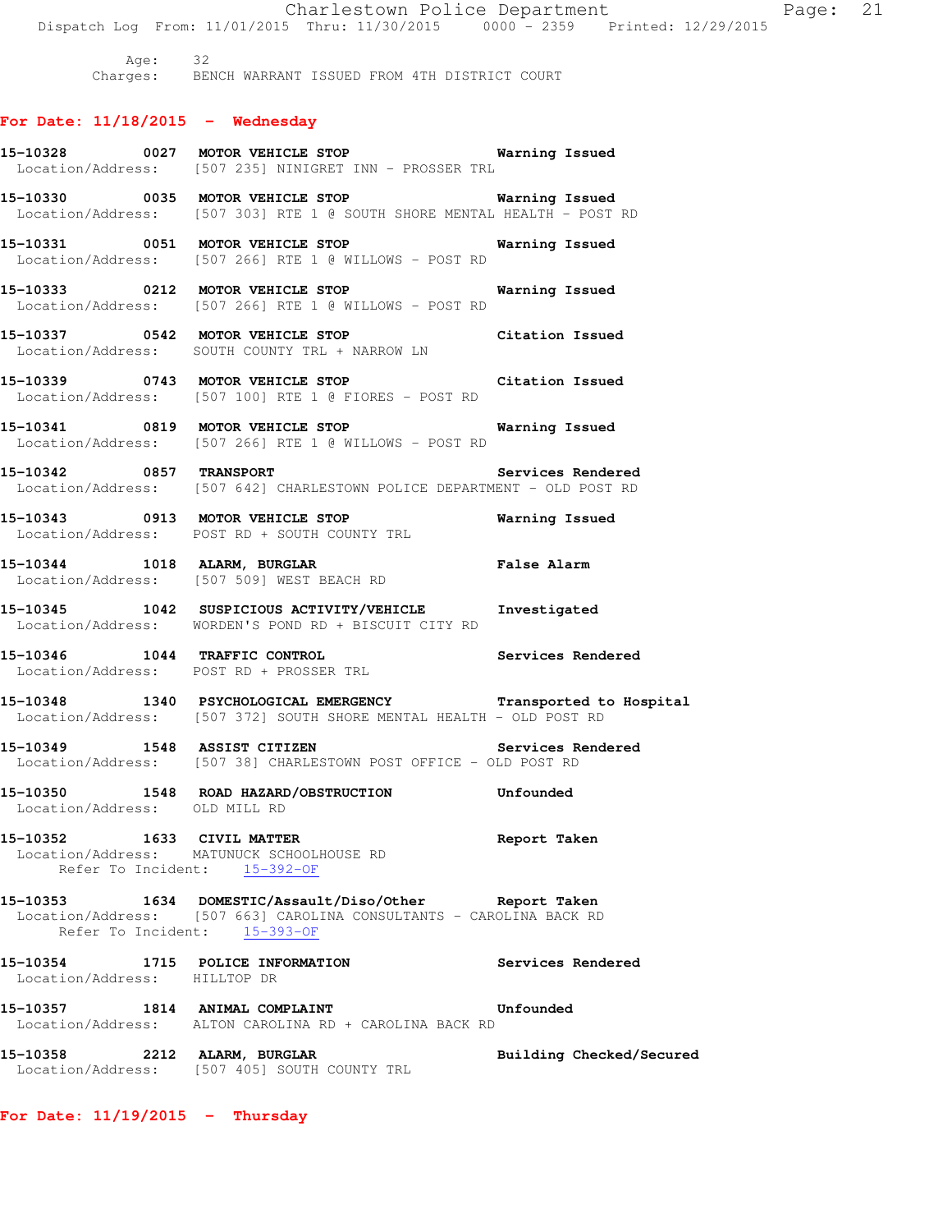Charlestown Police Department Fage: 21 Dispatch Log From: 11/01/2015 Thru: 11/30/2015 0000 - 2359 Printed: 12/29/2015 Age: 32 Charges: BENCH WARRANT ISSUED FROM 4TH DISTRICT COURT **For Date: 11/18/2015 - Wednesday 15-10328 0027 MOTOR VEHICLE STOP Warning Issued**  Location/Address: [507 235] NINIGRET INN - PROSSER TRL **15-10330 0035 MOTOR VEHICLE STOP Warning Issued**  Location/Address: [507 303] RTE 1 @ SOUTH SHORE MENTAL HEALTH - POST RD **15-10331 0051 MOTOR VEHICLE STOP Warning Issued**  Location/Address: [507 266] RTE 1 @ WILLOWS - POST RD **15-10333 0212 MOTOR VEHICLE STOP Warning Issued**  Location/Address: [507 266] RTE 1 @ WILLOWS - POST RD **15-10337 0542 MOTOR VEHICLE STOP Citation Issued**  Location/Address: SOUTH COUNTY TRL + NARROW LN **15-10339 0743 MOTOR VEHICLE STOP Citation Issued**  Location/Address: [507 100] RTE 1 @ FIORES - POST RD **15-10341 0819 MOTOR VEHICLE STOP Warning Issued**  Location/Address: [507 266] RTE 1 @ WILLOWS - POST RD **15-10342 0857 TRANSPORT Services Rendered**  Location/Address: [507 642] CHARLESTOWN POLICE DEPARTMENT - OLD POST RD **15-10343 0913 MOTOR VEHICLE STOP Warning Issued**  Location/Address: POST RD + SOUTH COUNTY TRL **15-10344 1018 ALARM, BURGLAR False Alarm**  Location/Address: [507 509] WEST BEACH RD **15-10345 1042 SUSPICIOUS ACTIVITY/VEHICLE Investigated**  Location/Address: WORDEN'S POND RD + BISCUIT CITY RD **15-10346 1044 TRAFFIC CONTROL Services Rendered**  Location/Address: POST RD + PROSSER TRL **15-10348 1340 PSYCHOLOGICAL EMERGENCY Transported to Hospital**  Location/Address: [507 372] SOUTH SHORE MENTAL HEALTH - OLD POST RD **15-10349 1548 ASSIST CITIZEN Services Rendered**  Location/Address: [507 38] CHARLESTOWN POST OFFICE - OLD POST RD **15-10350 1548 ROAD HAZARD/OBSTRUCTION Unfounded**  Location/Address: OLD MILL RD **15-10352 1633 CIVIL MATTER Report Taken**  Location/Address: MATUNUCK SCHOOLHOUSE RD Refer To Incident: 15-392-OF **15-10353 1634 DOMESTIC/Assault/Diso/Other Report Taken**  Location/Address: [507 663] CAROLINA CONSULTANTS - CAROLINA BACK RD Refer To Incident: 15-393-OF **15-10354 1715 POLICE INFORMATION Services Rendered**  Location/Address: HILLTOP DR **15-10357 1814 ANIMAL COMPLAINT Unfounded**  Location/Address: ALTON CAROLINA RD + CAROLINA BACK RD **15-10358 2212 ALARM, BURGLAR Building Checked/Secured**  Location/Address: [507 405] SOUTH COUNTY TRL

**For Date: 11/19/2015 - Thursday**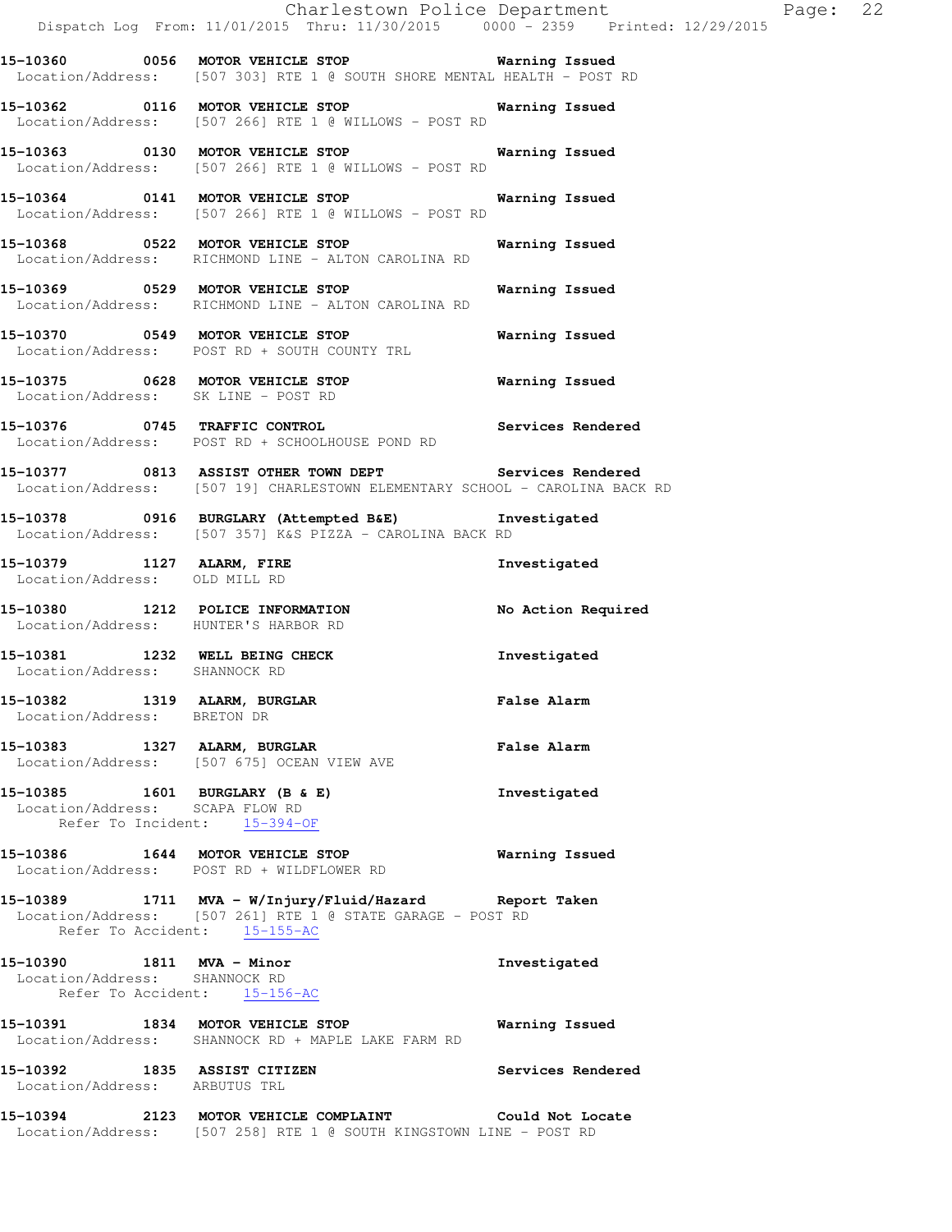|                                                             | Dispatch Log From: 11/01/2015 Thru: 11/30/2015 0000 - 2359 Printed: 12/29/2015                                                                       | Charlestown Police Department | Page: 22 |  |
|-------------------------------------------------------------|------------------------------------------------------------------------------------------------------------------------------------------------------|-------------------------------|----------|--|
|                                                             | 15-10360 0056 MOTOR VEHICLE STOP 6 Warning Issued<br>Location/Address: [507 303] RTE 1 @ SOUTH SHORE MENTAL HEALTH - POST RD                         |                               |          |  |
|                                                             | 15-10362 0116 MOTOR VEHICLE STOP Warning Issued<br>Location/Address: [507 266] RTE 1 @ WILLOWS - POST RD                                             |                               |          |  |
|                                                             | 15-10363 0130 MOTOR VEHICLE STOP 6 Warning Issued<br>Location/Address: [507 266] RTE 1 @ WILLOWS - POST RD                                           |                               |          |  |
|                                                             | 15-10364 0141 MOTOR VEHICLE STOP<br>Location/Address: [507 266] RTE 1 @ WILLOWS - POST RD                                                            | Warning Issued                |          |  |
|                                                             | 15-10368 0522 MOTOR VEHICLE STOP 6 Warning Issued<br>Location/Address: RICHMOND LINE - ALTON CAROLINA RD                                             |                               |          |  |
|                                                             | 15-10369 0529 MOTOR VEHICLE STOP<br>Location/Address: RICHMOND LINE - ALTON CAROLINA RD                                                              | Warning Issued                |          |  |
|                                                             | 15-10370 0549 MOTOR VEHICLE STOP<br>Location/Address: POST RD + SOUTH COUNTY TRL                                                                     | Warning Issued                |          |  |
|                                                             | 15-10375 0628 MOTOR VEHICLE STOP 60 Warning Issued<br>Location/Address: SK LINE - POST RD                                                            |                               |          |  |
|                                                             | 15-10376 0745 TRAFFIC CONTROL Services Rendered<br>Location/Address: POST RD + SCHOOLHOUSE POND RD                                                   |                               |          |  |
|                                                             | 15-10377 0813 ASSIST OTHER TOWN DEPT Services Rendered<br>Location/Address: [507 19] CHARLESTOWN ELEMENTARY SCHOOL - CAROLINA BACK RD                |                               |          |  |
|                                                             | 15-10378 0916 BURGLARY (Attempted B&E) Investigated<br>Location/Address: [507 357] K&S PIZZA - CAROLINA BACK RD                                      |                               |          |  |
| Location/Address: OLD MILL RD                               | 15-10379 1127 ALARM, FIRE                                                                                                                            | Investigated                  |          |  |
|                                                             | 15-10380 1212 POLICE INFORMATION<br>Location/Address: HUNTER'S HARBOR RD                                                                             | No Action Required            |          |  |
| Location/Address: SHANNOCK RD                               | 15-10381 1232 WELL BEING CHECK                                                                                                                       | Investigated                  |          |  |
| 15-10382 1319 ALARM, BURGLAR<br>Location/Address: BRETON DR |                                                                                                                                                      | False Alarm                   |          |  |
|                                                             | 15-10383 1327 ALARM, BURGLAR<br>Location/Address: [507 675] OCEAN VIEW AVE                                                                           | <b>False Alarm</b>            |          |  |
| Location/Address: SCAPA FLOW RD                             | 15-10385 1601 BURGLARY (B & E)<br>Refer To Incident: 15-394-OF                                                                                       | Investigated                  |          |  |
|                                                             | 15-10386 1644 MOTOR VEHICLE STOP<br>Location/Address: POST RD + WILDFLOWER RD                                                                        | <b>Warning Issued</b>         |          |  |
|                                                             | 15-10389 1711 MVA - W/Injury/Fluid/Hazard Report Taken<br>Location/Address: [507 261] RTE 1 @ STATE GARAGE - POST RD<br>Refer To Accident: 15-155-AC |                               |          |  |
| 15-10390 1811 MVA - Minor<br>Location/Address: SHANNOCK RD  | Refer To Accident: 15-156-AC                                                                                                                         | Investigated                  |          |  |
|                                                             | 15-10391 1834 MOTOR VEHICLE STOP<br>Location/Address: SHANNOCK RD + MAPLE LAKE FARM RD                                                               | Warning Issued                |          |  |
| Location/Address: ARBUTUS TRL                               | 15-10392 1835 ASSIST CITIZEN                                                                                                                         | Services Rendered             |          |  |
|                                                             | 15-10394 2123 MOTOR VEHICLE COMPLAINT Could Not Locate                                                                                               |                               |          |  |

Location/Address: [507 258] RTE 1 @ SOUTH KINGSTOWN LINE - POST RD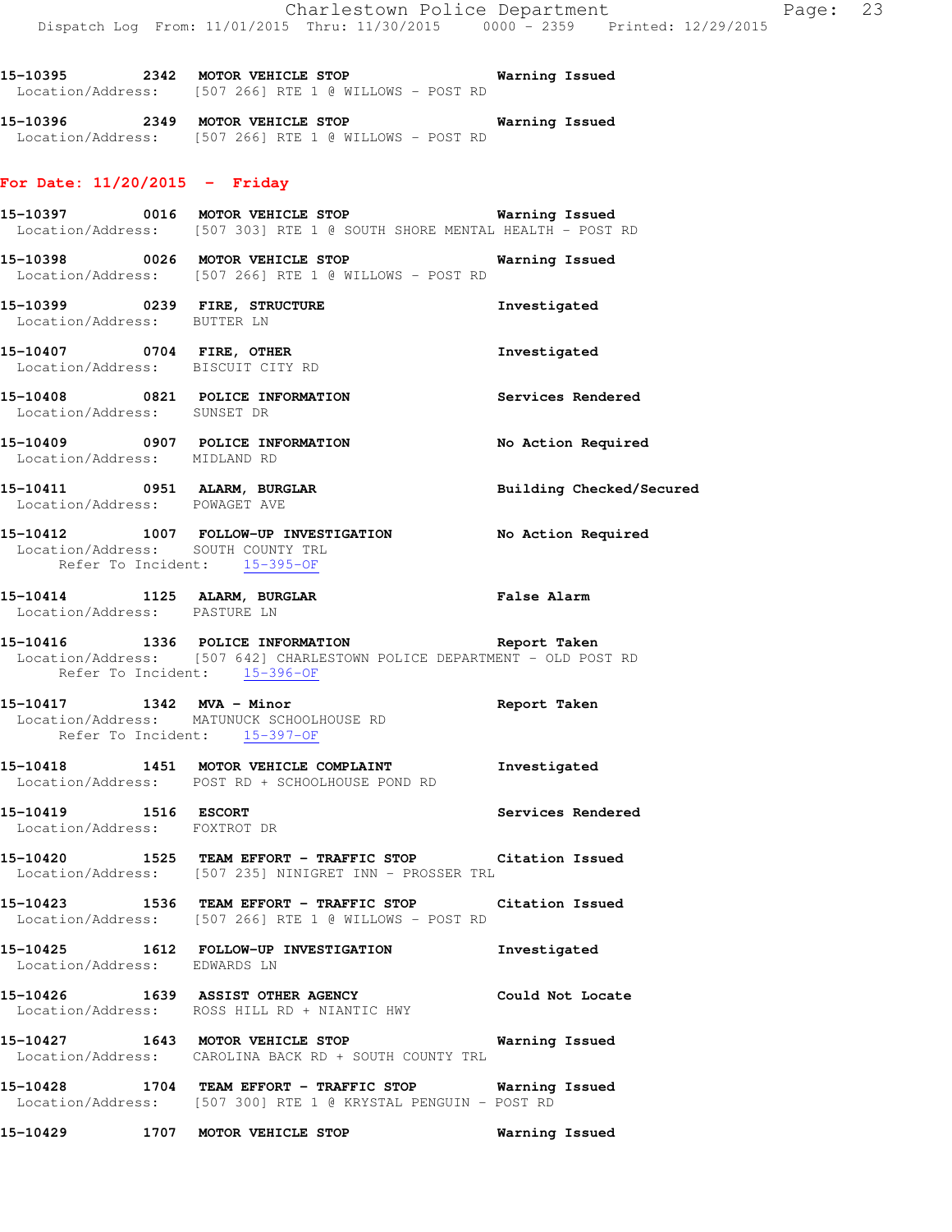**15-10395 2342 MOTOR VEHICLE STOP Warning Issued**  Location/Address: [507 266] RTE 1 @ WILLOWS - POST RD

**15-10396 2349 MOTOR VEHICLE STOP Warning Issued**  Location/Address: [507 266] RTE 1 @ WILLOWS - POST RD

## **For Date: 11/20/2015 - Friday**

- **15-10397 0016 MOTOR VEHICLE STOP Warning Issued**  Location/Address: [507 303] RTE 1 @ SOUTH SHORE MENTAL HEALTH - POST RD
- **15-10398 0026 MOTOR VEHICLE STOP Warning Issued**  Location/Address: [507 266] RTE 1 @ WILLOWS - POST RD
- **15-10399 0239 FIRE, STRUCTURE Investigated**  Location/Address: BUTTER LN
- **15-10407 0704 FIRE, OTHER Investigated**  Location/Address: BISCUIT CITY RD
- **15-10408 0821 POLICE INFORMATION Services Rendered**  Location/Address: SUNSET DR
- **15-10409 0907 POLICE INFORMATION No Action Required**  Location/Address: MIDLAND RD
- 15-10411 0951 ALARM, BURGLAR **Building Checked/Secured** Location/Address: POWAGET AVE
- **15-10412 1007 FOLLOW-UP INVESTIGATION No Action Required**  Location/Address: SOUTH COUNTY TRL Refer To Incident: 15-395-OF
- **15-10414 1125 ALARM, BURGLAR False Alarm**  Location/Address: PASTURE LN
- **15-10416 1336 POLICE INFORMATION Report Taken**  Location/Address: [507 642] CHARLESTOWN POLICE DEPARTMENT - OLD POST RD Refer To Incident: 15-396-OF
- **15-10417 1342 MVA Minor Report Taken**  Location/Address: MATUNUCK SCHOOLHOUSE RD Refer To Incident: 15-397-OF
- **15-10418 1451 MOTOR VEHICLE COMPLAINT Investigated**  Location/Address: POST RD + SCHOOLHOUSE POND RD
- **15-10419 1516 ESCORT Services Rendered**  Location/Address: FOXTROT DR
- **15-10420 1525 TEAM EFFORT TRAFFIC STOP Citation Issued**  Location/Address: [507 235] NINIGRET INN - PROSSER TRL
- **15-10423 1536 TEAM EFFORT TRAFFIC STOP Citation Issued**  Location/Address: [507 266] RTE 1 @ WILLOWS - POST RD
- **15-10425 1612 FOLLOW-UP INVESTIGATION Investigated**  Location/Address: EDWARDS LN
- **15-10426 1639 ASSIST OTHER AGENCY Could Not Locate**  Location/Address: ROSS HILL RD + NIANTIC HWY
- **15-10427 1643 MOTOR VEHICLE STOP Warning Issued**  Location/Address: CAROLINA BACK RD + SOUTH COUNTY TRL
- **15-10428 1704 TEAM EFFORT TRAFFIC STOP Warning Issued**  Location/Address: [507 300] RTE 1 @ KRYSTAL PENGUIN - POST RD
- **15-10429 1707 MOTOR VEHICLE STOP Warning Issued**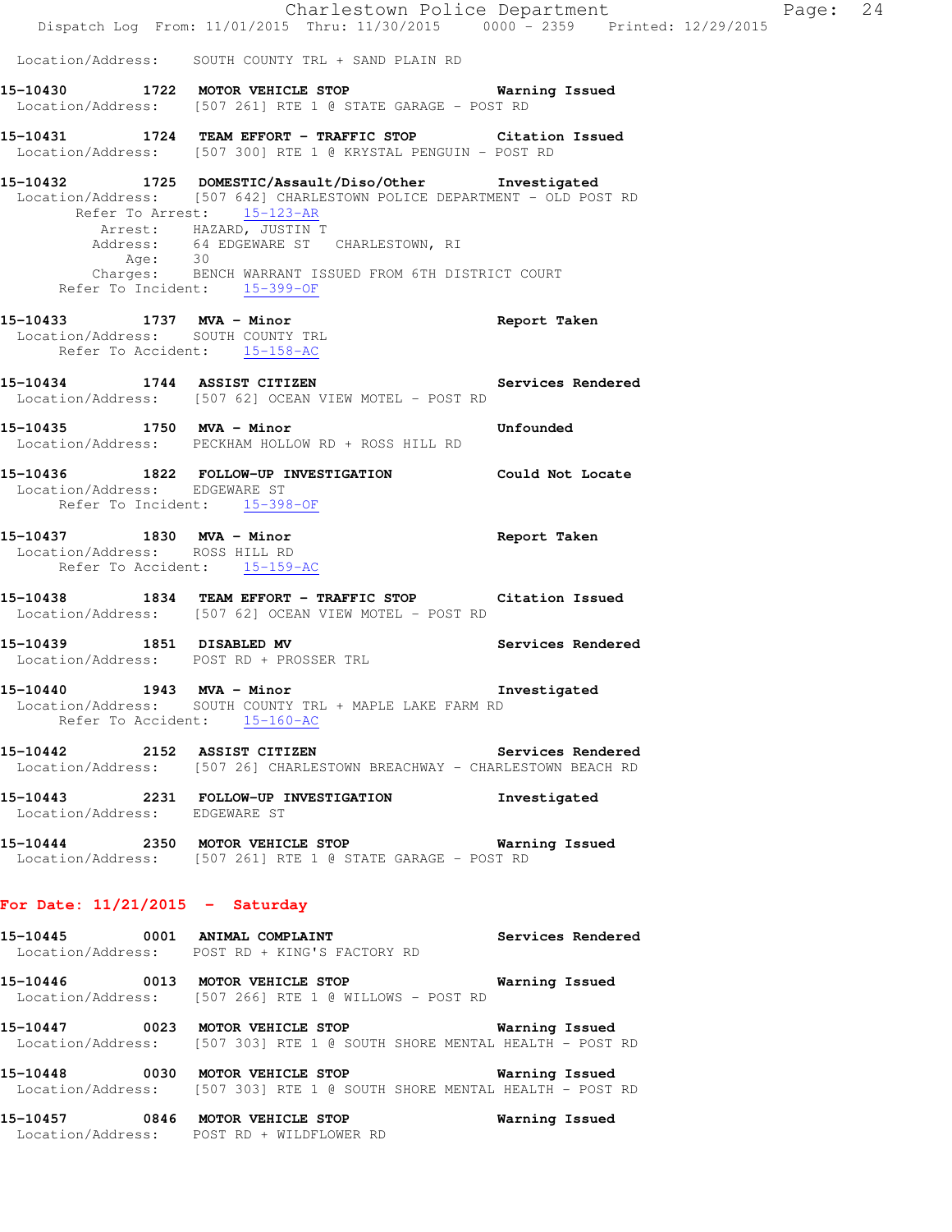|                                                             |                                                                                                                                                                                                                                                                                                                                            | Charlestown Police Department<br>Dispatch Log From: 11/01/2015 Thru: 11/30/2015 0000 - 2359 Printed: 12/29/2015 | Page: 24 |  |
|-------------------------------------------------------------|--------------------------------------------------------------------------------------------------------------------------------------------------------------------------------------------------------------------------------------------------------------------------------------------------------------------------------------------|-----------------------------------------------------------------------------------------------------------------|----------|--|
|                                                             | Location/Address: SOUTH COUNTY TRL + SAND PLAIN RD                                                                                                                                                                                                                                                                                         |                                                                                                                 |          |  |
|                                                             | 15-10430 1722 MOTOR VEHICLE STOP 6 Warning Issued<br>Location/Address: [507 261] RTE 1 @ STATE GARAGE - POST RD                                                                                                                                                                                                                            |                                                                                                                 |          |  |
|                                                             | 15-10431 1724 TEAM EFFORT - TRAFFIC STOP Citation Issued<br>Location/Address: [507 300] RTE 1 @ KRYSTAL PENGUIN - POST RD                                                                                                                                                                                                                  |                                                                                                                 |          |  |
|                                                             | 15-10432 1725 DOMESTIC/Assault/Diso/Other Investigated<br>Location/Address: [507 642] CHARLESTOWN POLICE DEPARTMENT - OLD POST RD<br>Refer To Arrest: 15-123-AR<br>Arrest: HAZARD, JUSTIN T<br>Address: 64 EDGEWARE ST CHARLESTOWN, RI<br>Age: 30<br>Charges: BENCH WARRANT ISSUED FROM 6TH DISTRICT COURT<br>Refer To Incident: 15-399-OF |                                                                                                                 |          |  |
|                                                             | 15-10433 1737 MVA - Minor<br>Location/Address: SOUTH COUNTY TRL<br>Refer To Accident: 15-158-AC                                                                                                                                                                                                                                            | Report Taken                                                                                                    |          |  |
|                                                             | 15-10434 1744 ASSIST CITIZEN Services Rendered<br>Location/Address: [507 62] OCEAN VIEW MOTEL - POST RD                                                                                                                                                                                                                                    |                                                                                                                 |          |  |
| 15-10435 1750 MVA - Minor                                   | <b>Example 2018</b> Unfounded<br>Location/Address: PECKHAM HOLLOW RD + ROSS HILL RD                                                                                                                                                                                                                                                        |                                                                                                                 |          |  |
| Location/Address: EDGEWARE ST                               | 15-10436 1822 FOLLOW-UP INVESTIGATION Could Not Locate<br>Refer To Incident: 15-398-OF                                                                                                                                                                                                                                                     |                                                                                                                 |          |  |
| 15-10437 1830 MVA - Minor<br>Location/Address: ROSS HILL RD | Refer To Accident: 15-159-AC                                                                                                                                                                                                                                                                                                               | Report Taken                                                                                                    |          |  |
|                                                             | 15-10438 1834 TEAM EFFORT - TRAFFIC STOP Citation Issued<br>Location/Address: [507 62] OCEAN VIEW MOTEL - POST RD                                                                                                                                                                                                                          |                                                                                                                 |          |  |
|                                                             | 15-10439 1851 DISABLED MV Services Rendered<br>Location/Address: POST RD + PROSSER TRL                                                                                                                                                                                                                                                     |                                                                                                                 |          |  |
| 15-10440 1943 MVA - Minor                                   | Location/Address: SOUTH COUNTY TRL + MAPLE LAKE FARM RD<br>Refer To Accident: 15-160-AC                                                                                                                                                                                                                                                    | Investigated                                                                                                    |          |  |
|                                                             | 15-10442 2152 ASSIST CITIZEN Services Rendered<br>Location/Address: [507 26] CHARLESTOWN BREACHWAY - CHARLESTOWN BEACH RD                                                                                                                                                                                                                  |                                                                                                                 |          |  |
| Location/Address: EDGEWARE ST                               | 15-10443 2231 FOLLOW-UP INVESTIGATION Investigated                                                                                                                                                                                                                                                                                         |                                                                                                                 |          |  |
|                                                             | 15-10444 2350 MOTOR VEHICLE STOP 6 Warning Issued<br>Location/Address: [507 261] RTE 1 @ STATE GARAGE - POST RD                                                                                                                                                                                                                            |                                                                                                                 |          |  |
| For Date: $11/21/2015$ - Saturday                           |                                                                                                                                                                                                                                                                                                                                            |                                                                                                                 |          |  |
|                                                             | 15-10445 0001 ANIMAL COMPLAINT Services Rendered<br>Location/Address: POST RD + KING'S FACTORY RD                                                                                                                                                                                                                                          |                                                                                                                 |          |  |
|                                                             | 15-10446  0013 MOTOR VEHICLE STOP <b>Warning Issued</b><br>Location/Address: [507 266] RTE 1 @ WILLOWS - POST RD                                                                                                                                                                                                                           |                                                                                                                 |          |  |
|                                                             | 15-10447 0023 MOTOR VEHICLE STOP 6 Warning Issued<br>Location/Address: [507 303] RTE 1 @ SOUTH SHORE MENTAL HEALTH - POST RD                                                                                                                                                                                                               |                                                                                                                 |          |  |
|                                                             | 15-10448 0030 MOTOR VEHICLE STOP<br>Location/Address: [507 303] RTE 1 @ SOUTH SHORE MENTAL HEALTH - POST RD                                                                                                                                                                                                                                | Warning Issued                                                                                                  |          |  |

**15-10457 0846 MOTOR VEHICLE STOP Warning Issued**  Location/Address: POST RD + WILDFLOWER RD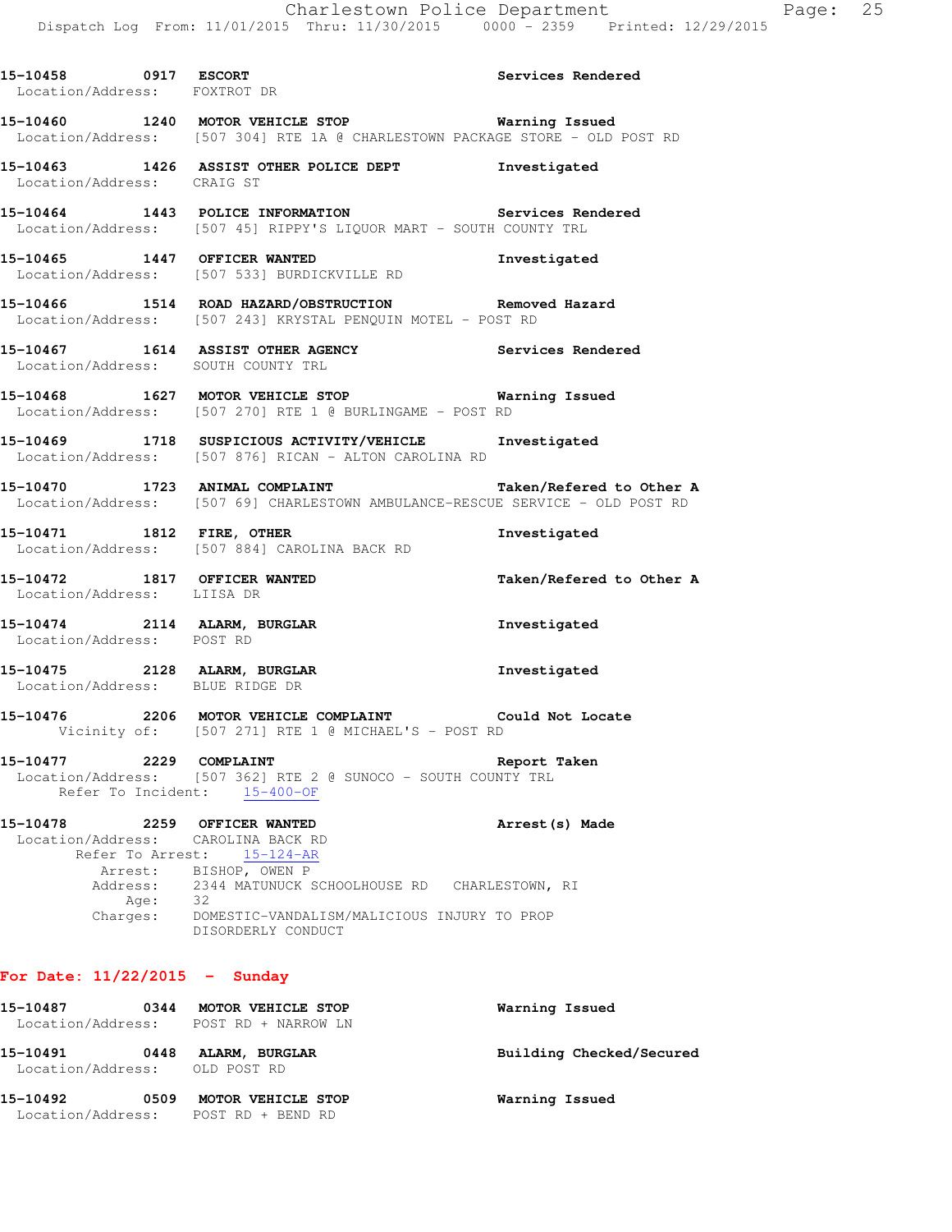| 15-10458 0917 ESCORT<br>Location/Address: FOXTROT DR       |      |                                                                                                                                                | Services Rendered        |
|------------------------------------------------------------|------|------------------------------------------------------------------------------------------------------------------------------------------------|--------------------------|
|                                                            |      | 15-10460 1240 MOTOR VEHICLE STOP Warning Issued<br>Location/Address: [507 304] RTE 1A @ CHARLESTOWN PACKAGE STORE - OLD POST RD                |                          |
| Location/Address: CRAIG ST                                 |      | 15-10463 1426 ASSIST OTHER POLICE DEPT 1nvestigated                                                                                            |                          |
|                                                            |      | 15-10464 1443 POLICE INFORMATION Services Rendered<br>Location/Address: [507 45] RIPPY'S LIQUOR MART - SOUTH COUNTY TRL                        |                          |
|                                                            |      | 15-10465 1447 OFFICER WANTED 100 Investigated<br>Location/Address: [507 533] BURDICKVILLE RD                                                   |                          |
|                                                            |      | 15-10466 1514 ROAD HAZARD/OBSTRUCTION Removed Hazard<br>Location/Address: [507 243] KRYSTAL PENQUIN MOTEL - POST RD                            |                          |
|                                                            |      | 15-10467 1614 ASSIST OTHER AGENCY Services Rendered<br>Location/Address: SOUTH COUNTY TRL                                                      |                          |
|                                                            |      | 15-10468 1627 MOTOR VEHICLE STOP 6 Warning Issued<br>Location/Address: [507 270] RTE 1 @ BURLINGAME - POST RD                                  |                          |
|                                                            |      | 15-10469 1718 SUSPICIOUS ACTIVITY/VEHICLE Investigated<br>Location/Address: [507 876] RICAN - ALTON CAROLINA RD                                |                          |
|                                                            |      | 15-10470 1723 ANIMAL COMPLAINT<br>Location/Address: [507 69] CHARLESTOWN AMBULANCE-RESCUE SERVICE - OLD POST RD                                | Taken/Refered to Other A |
|                                                            |      | 15-10471 1812 FIRE, OTHER<br>Location/Address: [507 884] CAROLINA BACK RD                                                                      | Investigated             |
| 15-10472 1817 OFFICER WANTED<br>Location/Address: LIISA DR |      |                                                                                                                                                | Taken/Refered to Other A |
|                                                            |      | 15-10474 2114 ALARM, BURGLAR<br>Location/Address: POST RD                                                                                      | Investigated             |
|                                                            |      | 15-10475 2128 ALARM, BURGLAR<br>Location/Address: BLUE RIDGE DR                                                                                | Investigated             |
|                                                            |      | 15-10476 2206 MOTOR VEHICLE COMPLAINT Could Not Locate<br>Vicinity of: [507 271] RTE 1 @ MICHAEL'S - POST RD                                   |                          |
|                                                            |      | 15-10477 2229 COMPLAINT 220 2008 2010<br>Location/Address: [507 362] RTE 2 @ SUNOCO - SOUTH COUNTY TRL<br>Refer To Incident: 15-400-OF         |                          |
| 15-10478 2259 OFFICER WANTED                               |      | Location/Address: CAROLINA BACK RD<br>Refer To Arrest: 15-124-AR<br>Arrest: BISHOP, OWEN P                                                     | Arrest (s) Made          |
|                                                            | Age: | Address: 2344 MATUNUCK SCHOOLHOUSE RD CHARLESTOWN, RI<br>Age: 32<br>Charges: DOMESTIC-VANDALISM/MALICIOUS INJURY TO PROP<br>DISORDERLY CONDUCT |                          |

# **For Date: 11/22/2015 - Sunday**

| 15-10487<br>Location/Address:             | 0344 | MOTOR VEHICLE STOP<br>POST RD + NARROW LN                 | Warning Issued           |
|-------------------------------------------|------|-----------------------------------------------------------|--------------------------|
| 15-10491<br>Location/Address: OLD POST RD | 0448 | ALARM, BURGLAR                                            | Building Checked/Secured |
| 15-10492                                  | 0509 | MOTOR VEHICLE STOP<br>Location/Address: POST RD + BEND RD | Warning Issued           |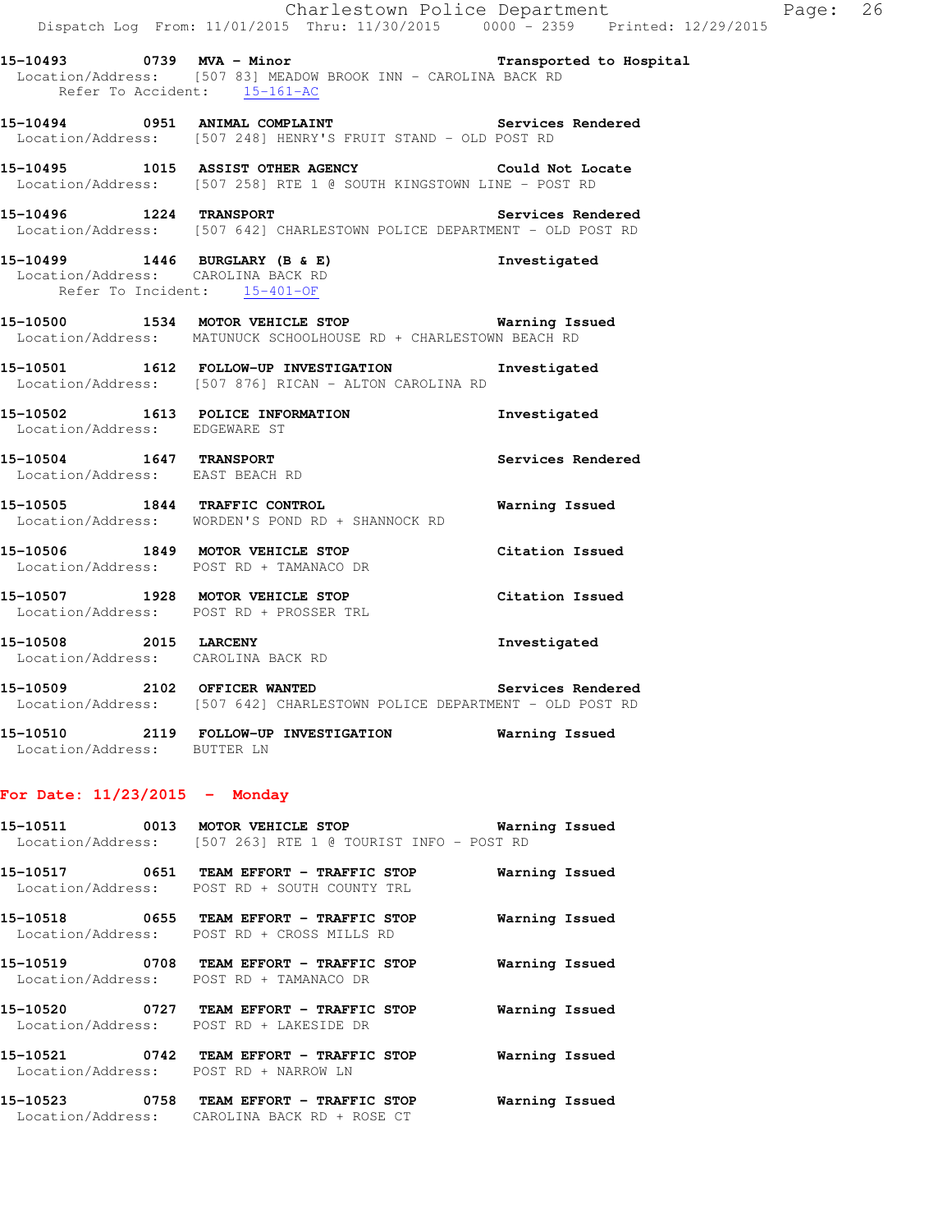|                                                                    | Dispatch Log From: 11/01/2015 Thru: 11/30/2015 0000 <sup>-</sup> 2359 Printed: 12/29/2015                                 | Charlestown Police Department | Page: 26 |  |
|--------------------------------------------------------------------|---------------------------------------------------------------------------------------------------------------------------|-------------------------------|----------|--|
| Refer To Accident: 15-161-AC                                       | 15-10493 		 0739 MVA - Minor 		 Transported to Hospital<br>Location/Address: [507 83] MEADOW BROOK INN - CAROLINA BACK RD |                               |          |  |
|                                                                    | 15-10494 0951 ANIMAL COMPLAINT Services Rendered<br>Location/Address: [507 248] HENRY'S FRUIT STAND - OLD POST RD         |                               |          |  |
|                                                                    | 15-10495 1015 ASSIST OTHER AGENCY Could Not Locate<br>Location/Address: [507 258] RTE 1 @ SOUTH KINGSTOWN LINE - POST RD  |                               |          |  |
| 15-10496 1224 TRANSPORT                                            | Location/Address: [507 642] CHARLESTOWN POLICE DEPARTMENT - OLD POST RD                                                   | Services Rendered             |          |  |
| Location/Address: CAROLINA BACK RD<br>Refer To Incident: 15-401-OF | 15-10499 1446 BURGLARY (B & E) Investigated                                                                               |                               |          |  |
|                                                                    | 15-10500 1534 MOTOR VEHICLE STOP 6 Warning Issued<br>Location/Address: MATUNUCK SCHOOLHOUSE RD + CHARLESTOWN BEACH RD     |                               |          |  |
|                                                                    | 15-10501   1612   FOLLOW-UP INVESTIGATION   Investigated<br>Location/Address: [507 876] RICAN - ALTON CAROLINA RD         |                               |          |  |
| Location/Address: EDGEWARE ST                                      | 15-10502 1613 POLICE INFORMATION                                                                                          | Investigated                  |          |  |
| 15-10504 1647 TRANSPORT<br>Location/Address: EAST BEACH RD         |                                                                                                                           | Services Rendered             |          |  |
|                                                                    | 15-10505 1844 TRAFFIC CONTROL<br>Location/Address: WORDEN'S POND RD + SHANNOCK RD                                         | Warning Issued                |          |  |
| Location/Address: POST RD + TAMANACO DR                            | 15-10506 1849 MOTOR VEHICLE STOP                                                                                          | Citation Issued               |          |  |
|                                                                    | 15-10507 1928 MOTOR VEHICLE STOP<br>Location/Address: POST RD + PROSSER TRL                                               | Citation Issued               |          |  |
| Location/Address: CAROLINA BACK RD                                 | 15-10508 2015 LARCENY                                                                                                     | Investigated                  |          |  |
| $- - - - - - -$<br>$\sim$ $\sim$                                   |                                                                                                                           |                               |          |  |

- **15-10509 2102 OFFICER WANTED Services Rendered**  Location/Address: [507 642] CHARLESTOWN POLICE DEPARTMENT - OLD POST RD
- **15-10510 2119 FOLLOW-UP INVESTIGATION Warning Issued**  Location/Address: BUTTER LN

## **For Date: 11/23/2015 - Monday**

| 15-10511          | 0013 | MOTOR VEHICLE STOP |  |  |                                          |  |  | Warning Issued |  |
|-------------------|------|--------------------|--|--|------------------------------------------|--|--|----------------|--|
| Location/Address: |      |                    |  |  | [507 263] RTE 1 @ TOURIST INFO - POST RD |  |  |                |  |

**15-10517 0651 TEAM EFFORT - TRAFFIC STOP Warning Issued**  Location/Address: POST RD + SOUTH COUNTY TRL **15-10518 0655 TEAM EFFORT - TRAFFIC STOP Warning Issued**  Location/Address: POST RD + CROSS MILLS RD

**15-10519 0708 TEAM EFFORT - TRAFFIC STOP Warning Issued**  Location/Address: POST RD + TAMANACO DR

**15-10520 0727 TEAM EFFORT - TRAFFIC STOP Warning Issued**  Location/Address: POST RD + LAKESIDE DR

**15-10521 0742 TEAM EFFORT - TRAFFIC STOP Warning Issued**  Location/Address: POST RD + NARROW LN

**15-10523 0758 TEAM EFFORT - TRAFFIC STOP Warning Issued**  Location/Address: CAROLINA BACK RD + ROSE CT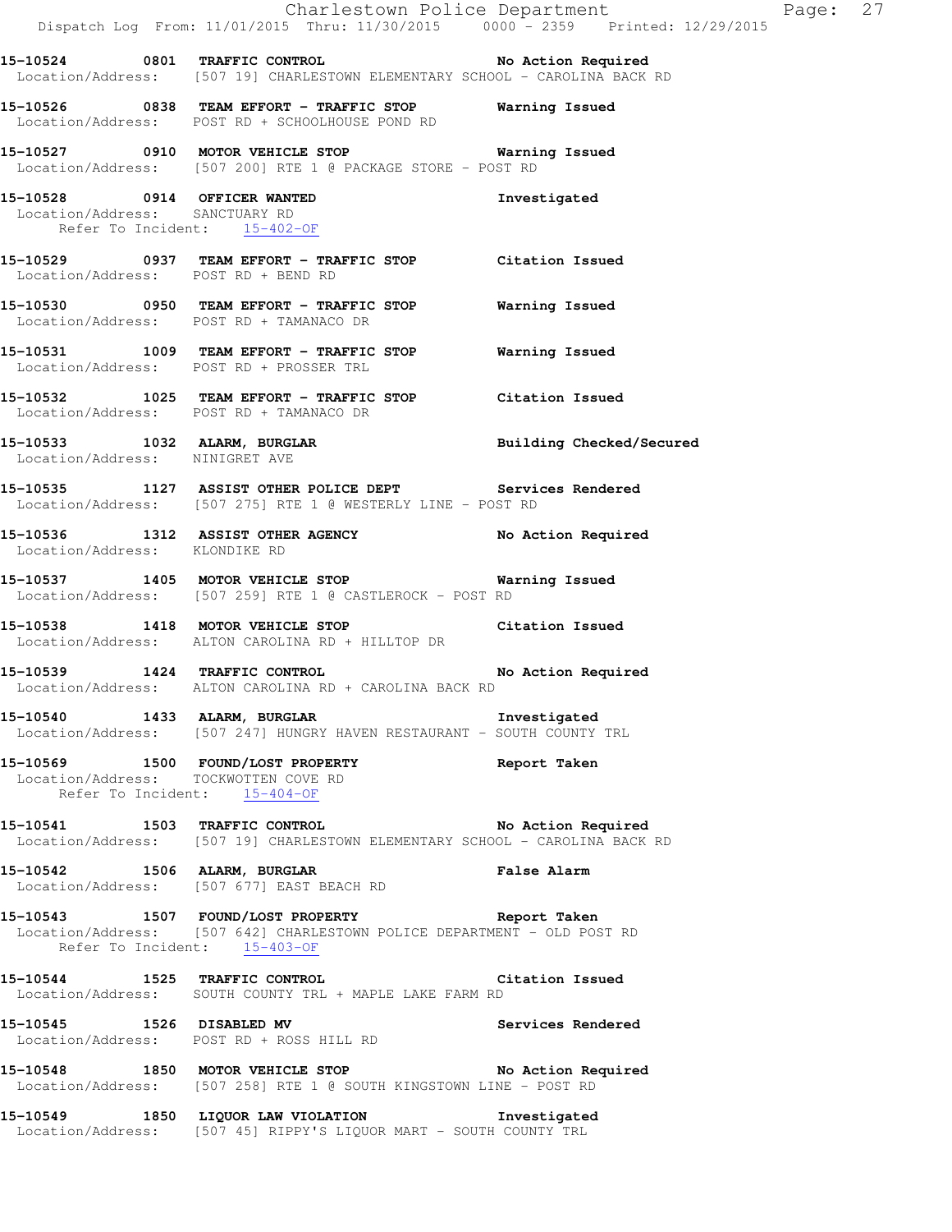**15-10524 0801 TRAFFIC CONTROL No Action Required**  Location/Address: [507 19] CHARLESTOWN ELEMENTARY SCHOOL - CAROLINA BACK RD **15-10526 0838 TEAM EFFORT - TRAFFIC STOP Warning Issued**  Location/Address: POST RD + SCHOOLHOUSE POND RD **15-10527 0910 MOTOR VEHICLE STOP Warning Issued**  Location/Address: [507 200] RTE 1 @ PACKAGE STORE - POST RD **15-10528 0914 OFFICER WANTED Investigated**  Location/Address: SANCTUARY RD Refer To Incident: 15-402-OF **15-10529 0937 TEAM EFFORT - TRAFFIC STOP Citation Issued**  Location/Address: POST RD + BEND RD **15-10530 0950 TEAM EFFORT - TRAFFIC STOP Warning Issued**  Location/Address: POST RD + TAMANACO DR **15-10531 1009 TEAM EFFORT - TRAFFIC STOP Warning Issued**  Location/Address: POST RD + PROSSER TRL **15-10532 1025 TEAM EFFORT - TRAFFIC STOP Citation Issued**  Location/Address: POST RD + TAMANACO DR **15-10533 1032 ALARM, BURGLAR Building Checked/Secured**  Location/Address: NINIGRET AVE **15-10535 1127 ASSIST OTHER POLICE DEPT Services Rendered**  Location/Address: [507 275] RTE 1 @ WESTERLY LINE - POST RD **15-10536 1312 ASSIST OTHER AGENCY No Action Required**  Location/Address: KLONDIKE RD **15-10537 1405 MOTOR VEHICLE STOP Warning Issued**  Location/Address: [507 259] RTE 1 @ CASTLEROCK - POST RD **15-10538 1418 MOTOR VEHICLE STOP Citation Issued**  Location/Address: ALTON CAROLINA RD + HILLTOP DR **15-10539 1424 TRAFFIC CONTROL No Action Required**  Location/Address: ALTON CAROLINA RD + CAROLINA BACK RD **15-10540 1433 ALARM, BURGLAR Investigated**  Location/Address: [507 247] HUNGRY HAVEN RESTAURANT - SOUTH COUNTY TRL **15-10569 1500 FOUND/LOST PROPERTY Report Taken**  Location/Address: TOCKWOTTEN COVE RD Refer To Incident: 15-404-OF **15-10541 1503 TRAFFIC CONTROL No Action Required**  Location/Address: [507 19] CHARLESTOWN ELEMENTARY SCHOOL - CAROLINA BACK RD **15-10542 1506 ALARM, BURGLAR False Alarm**  Location/Address: [507 677] EAST BEACH RD **15-10543 1507 FOUND/LOST PROPERTY Report Taken**  Location/Address: [507 642] CHARLESTOWN POLICE DEPARTMENT - OLD POST RD Refer To Incident: 15-403-OF **15-10544 1525 TRAFFIC CONTROL Citation Issued**  Location/Address: SOUTH COUNTY TRL + MAPLE LAKE FARM RD **15-10545 1526 DISABLED MV Services Rendered**  Location/Address: POST RD + ROSS HILL RD **15-10548 1850 MOTOR VEHICLE STOP No Action Required**  Location/Address: [507 258] RTE 1 @ SOUTH KINGSTOWN LINE - POST RD **15-10549 1850 LIQUOR LAW VIOLATION Investigated**  Location/Address: [507 45] RIPPY'S LIQUOR MART - SOUTH COUNTY TRL

Dispatch Log From: 11/01/2015 Thru: 11/30/2015 0000 - 2359 Printed: 12/29/2015

Charlestown Police Department Fage: 27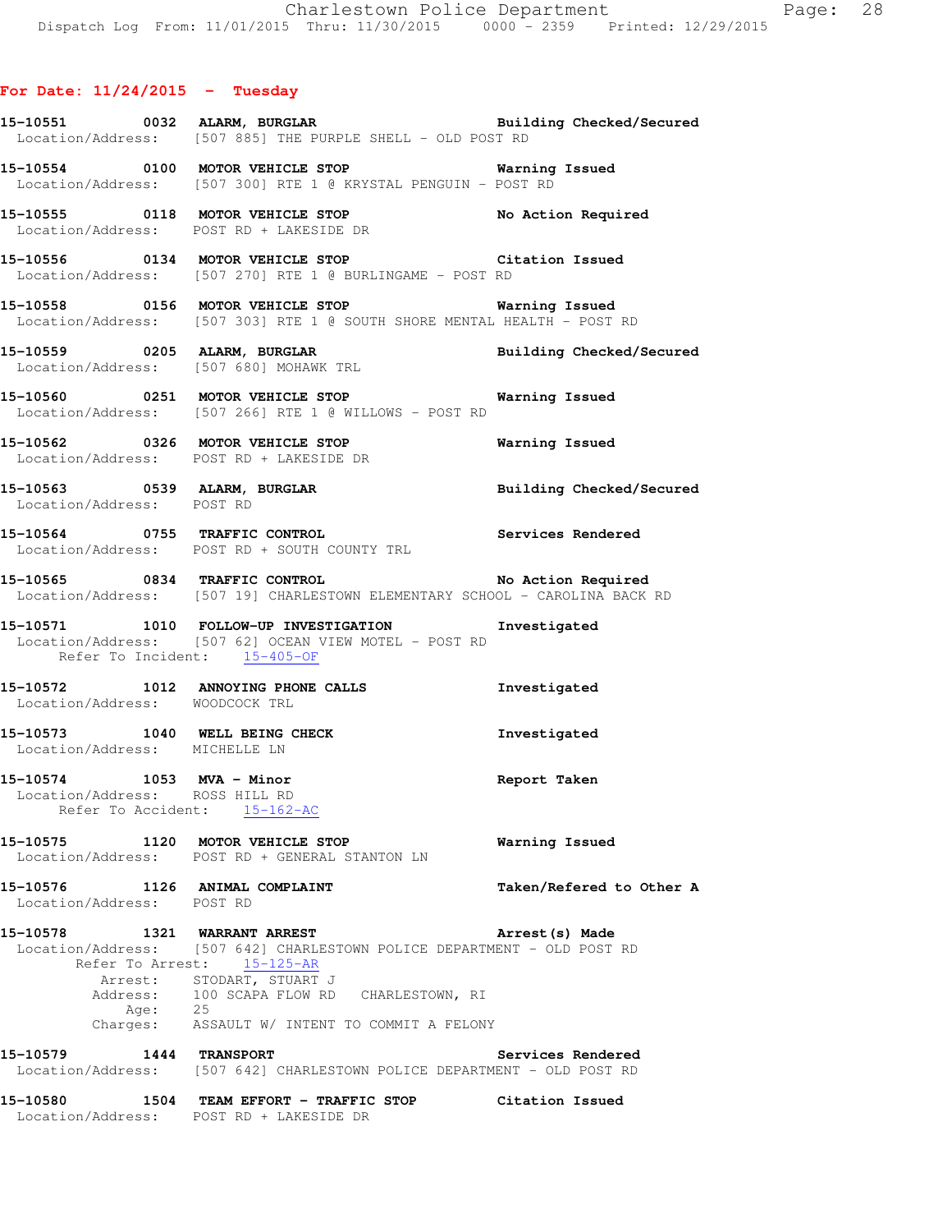## **For Date: 11/24/2015 - Tuesday**

- **15-10551 0032 ALARM, BURGLAR Building Checked/Secured**  Location/Address: [507 885] THE PURPLE SHELL - OLD POST RD
- **15-10554 0100 MOTOR VEHICLE STOP Warning Issued**  Location/Address: [507 300] RTE 1 @ KRYSTAL PENGUIN - POST RD
- **15-10555 0118 MOTOR VEHICLE STOP No Action Required**  Location/Address: POST RD + LAKESIDE DR
- **15-10556 0134 MOTOR VEHICLE STOP Citation Issued**  Location/Address: [507 270] RTE 1 @ BURLINGAME - POST RD
- **15-10558 0156 MOTOR VEHICLE STOP Warning Issued**  Location/Address: [507 303] RTE 1 @ SOUTH SHORE MENTAL HEALTH - POST RD
- **15-10559 0205 ALARM, BURGLAR Building Checked/Secured**  Location/Address: [507 680] MOHAWK TRL
- **15-10560 0251 MOTOR VEHICLE STOP Warning Issued**  Location/Address: [507 266] RTE 1 @ WILLOWS - POST RD
- **15-10562 0326 MOTOR VEHICLE STOP Warning Issued**  Location/Address: POST RD + LAKESIDE DR
- **15-10563 0539 ALARM, BURGLAR Building Checked/Secured**  Location/Address: POST RD
- **15-10564 0755 TRAFFIC CONTROL Services Rendered**  Location/Address: POST RD + SOUTH COUNTY TRL
- **15-10565 0834 TRAFFIC CONTROL No Action Required**  Location/Address: [507 19] CHARLESTOWN ELEMENTARY SCHOOL - CAROLINA BACK RD
- **15-10571 1010 FOLLOW-UP INVESTIGATION Investigated**  Location/Address: [507 62] OCEAN VIEW MOTEL - POST RD Refer To Incident: 15-405-OF
- **15-10572 1012 ANNOYING PHONE CALLS Investigated**  Location/Address: WOODCOCK TRL
- **15-10573 1040 WELL BEING CHECK Investigated**  Location/Address: MICHELLE LN
- **15-10574 1053 MVA Minor Report Taken**  Location/Address: ROSS HILL RD Refer To Accident: 15-162-AC
- **15-10575 1120 MOTOR VEHICLE STOP Warning Issued**  Location/Address: POST RD + GENERAL STANTON LN
- **15-10576 1126 ANIMAL COMPLAINT Taken/Refered to Other A**  Location/Address: POST RD
- 
- **15-10578 1321 WARRANT ARREST Arrest(s) Made**  Location/Address: [507 642] CHARLESTOWN POLICE DEPARTMENT - OLD POST RD Refer To Arrest: 15-125-AR Arrest: STODART, STUART J Address: 100 SCAPA FLOW RD CHARLESTOWN, RI Age: 25 Charges: ASSAULT W/ INTENT TO COMMIT A FELONY
- **15-10579 1444 TRANSPORT Services Rendered**  Location/Address: [507 642] CHARLESTOWN POLICE DEPARTMENT - OLD POST RD
- **15-10580 1504 TEAM EFFORT TRAFFIC STOP Citation Issued**  Location/Address: POST RD + LAKESIDE DR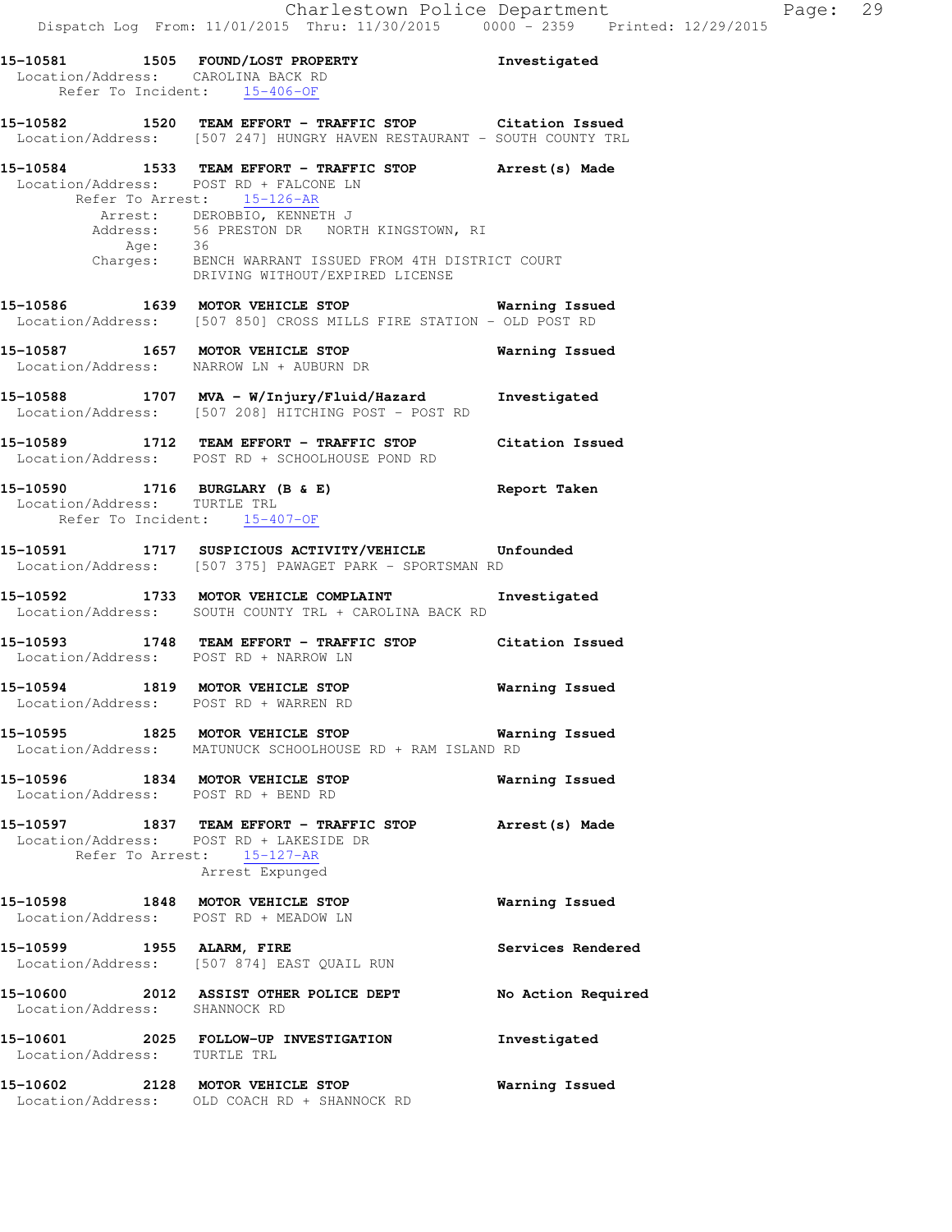|                              | 15-10581 1505 FOUND/LOST PROPERTY<br>Location/Address: CAROLINA BACK RD<br>Refer To Incident: 15-406-OF                                                                                                                                                                                                          | Investigated       |
|------------------------------|------------------------------------------------------------------------------------------------------------------------------------------------------------------------------------------------------------------------------------------------------------------------------------------------------------------|--------------------|
|                              | 15-10582 1520 TEAM EFFORT - TRAFFIC STOP Citation Issued<br>Location/Address: [507 247] HUNGRY HAVEN RESTAURANT - SOUTH COUNTY TRL                                                                                                                                                                               |                    |
|                              | 15-10584 1533 TEAM EFFORT - TRAFFIC STOP Arrest(s) Made Location/Address: POST RD + FALCONE LN<br>Refer To Arrest: 15-126-AR<br>Arrest: DEROBBIO, KENNETH J<br>Address: 56 PRESTON DR NORTH KINGSTOWN, RI<br>Age: 36<br>Charges: BENCH WARRANT ISSUED FROM 4TH DISTRICT COURT<br>DRIVING WITHOUT/EXPIRED LIGENCE |                    |
|                              | 15-10586 1639 MOTOR VEHICLE STOP 15-10586 Warning Issued<br>Location/Address: [507 850] CROSS MILLS FIRE STATION - OLD POST RD                                                                                                                                                                                   |                    |
|                              | 15-10587 1657 MOTOR VEHICLE STOP 16 Warning Issued<br>Location/Address: NARROW LN + AUBURN DR                                                                                                                                                                                                                    |                    |
|                              | 15-10588 1707 MVA - W/Injury/Fluid/Hazard Investigated<br>Location/Address: [507 208] HITCHING POST - POST RD                                                                                                                                                                                                    |                    |
|                              | 15-10589 1712 TEAM EFFORT - TRAFFIC STOP Citation Issued<br>Location/Address: POST RD + SCHOOLHOUSE POND RD                                                                                                                                                                                                      |                    |
| Location/Address: TURTLE TRL | 15-10590 1716 BURGLARY (B & E)<br>Refer To Incident: 15-407-OF                                                                                                                                                                                                                                                   | Report Taken       |
|                              | 15-10591 1717 SUSPICIOUS ACTIVITY/VEHICLE Unfounded<br>Location/Address: [507 375] PAWAGET PARK - SPORTSMAN RD                                                                                                                                                                                                   |                    |
|                              | 15-10592 1733 MOTOR VEHICLE COMPLAINT<br>Location/Address: SOUTH COUNTY TRL + CAROLINA BACK RD                                                                                                                                                                                                                   | Investigated       |
|                              | 15-10593 1748 TEAM EFFORT - TRAFFIC STOP Citation Issued<br>Location/Address: POST RD + NARROW LN                                                                                                                                                                                                                |                    |
|                              | 15-10594 1819 MOTOR VEHICLE STOP<br>Location/Address: POST RD + WARREN RD                                                                                                                                                                                                                                        | Warning Issued     |
|                              | 15-10595 1825 MOTOR VEHICLE STOP<br>Location/Address: MATUNUCK SCHOOLHOUSE RD + RAM ISLAND RD                                                                                                                                                                                                                    | Warning Issued     |
|                              | 15-10596 1834 MOTOR VEHICLE STOP<br>Location/Address: POST RD + BEND RD                                                                                                                                                                                                                                          | Warning Issued     |
|                              | 15-10597 1837 TEAM EFFORT - TRAFFIC STOP Arrest (s) Made<br>Location/Address: POST RD + LAKESIDE DR<br>Refer To Arrest: 15-127-AR<br>Arrest Expunged                                                                                                                                                             |                    |
|                              | 15-10598 1848 MOTOR VEHICLE STOP<br>Location/Address: POST RD + MEADOW LN                                                                                                                                                                                                                                        | Warning Issued     |
|                              | 15-10599 1955 ALARM, FIRE<br>Location/Address: [507 874] EAST QUAIL RUN                                                                                                                                                                                                                                          | Services Rendered  |
|                              | 15-10600 2012 ASSIST OTHER POLICE DEPT<br>Location/Address: SHANNOCK RD                                                                                                                                                                                                                                          | No Action Required |
|                              | 15-10601 2025 FOLLOW-UP INVESTIGATION<br>Location/Address: TURTLE TRL                                                                                                                                                                                                                                            | Investigated       |
|                              | 15-10602 2128 MOTOR VEHICLE STOP<br>Location/Address: OLD COACH RD + SHANNOCK RD                                                                                                                                                                                                                                 | Warning Issued     |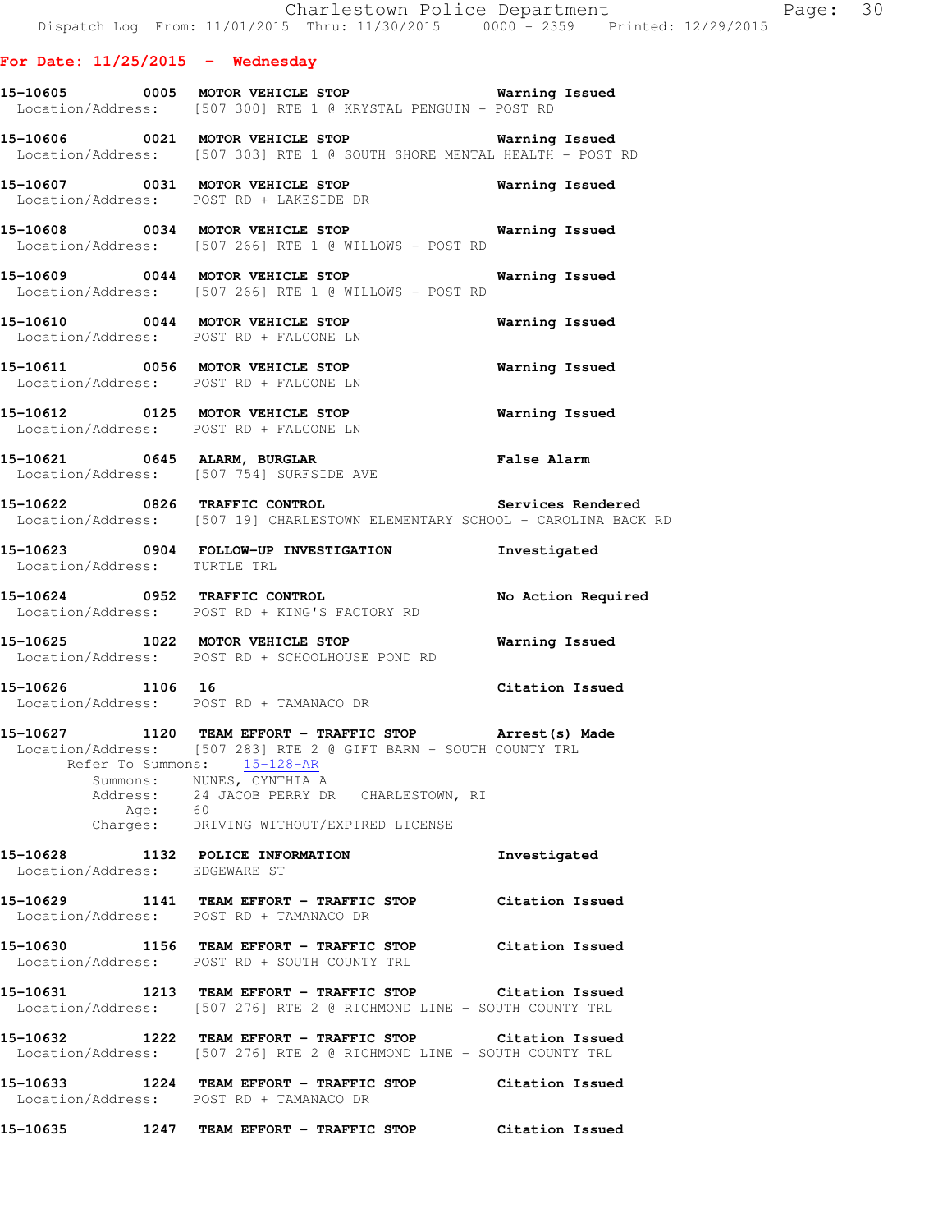#### **For Date: 11/25/2015 - Wednesday**

**15-10605 0005 MOTOR VEHICLE STOP Warning Issued**  Location/Address: [507 300] RTE 1 @ KRYSTAL PENGUIN - POST RD

**15-10606 0021 MOTOR VEHICLE STOP Warning Issued**  Location/Address: [507 303] RTE 1 @ SOUTH SHORE MENTAL HEALTH - POST RD

**15-10607 0031 MOTOR VEHICLE STOP Warning Issued**  Location/Address: POST RD + LAKESIDE DR

**15-10608 0034 MOTOR VEHICLE STOP Warning Issued**  Location/Address: [507 266] RTE 1 @ WILLOWS - POST RD

**15-10609 0044 MOTOR VEHICLE STOP Warning Issued**  Location/Address: [507 266] RTE 1 @ WILLOWS - POST RD

**15-10610 0044 MOTOR VEHICLE STOP Warning Issued**  Location/Address: POST RD + FALCONE LN

**15-10611 0056 MOTOR VEHICLE STOP Warning Issued**  Location/Address: POST RD + FALCONE LN

**15-10612 0125 MOTOR VEHICLE STOP Warning Issued**  Location/Address: POST RD + FALCONE LN

**15-10621 0645 ALARM, BURGLAR False Alarm**  Location/Address: [507 754] SURFSIDE AVE

**15-10622 0826 TRAFFIC CONTROL Services Rendered**  Location/Address: [507 19] CHARLESTOWN ELEMENTARY SCHOOL - CAROLINA BACK RD

**15-10623 0904 FOLLOW-UP INVESTIGATION Investigated**  Location/Address: TURTLE TRL

**15-10624 0952 TRAFFIC CONTROL No Action Required**  Location/Address: POST RD + KING'S FACTORY RD

**15-10625 1022 MOTOR VEHICLE STOP Warning Issued**  Location/Address: POST RD + SCHOOLHOUSE POND RD

**15-10626 1106 16 Citation Issued**  Location/Address: POST RD + TAMANACO DR

**15-10627 1120 TEAM EFFORT - TRAFFIC STOP Arrest(s) Made**  Location/Address: [507 283] RTE 2 @ GIFT BARN - SOUTH COUNTY TRL Refer To Summons: 15-128-AR Summons: NUNES, CYNTHIA A Address: 24 JACOB PERRY DR CHARLESTOWN, RI Age: 60 Charges: DRIVING WITHOUT/EXPIRED LICENSE

**15-10628 1132 POLICE INFORMATION Investigated**  Location/Address: EDGEWARE ST

**15-10629 1141 TEAM EFFORT - TRAFFIC STOP Citation Issued**  Location/Address: POST RD + TAMANACO DR

**15-10630 1156 TEAM EFFORT - TRAFFIC STOP Citation Issued**  Location/Address: POST RD + SOUTH COUNTY TRL

**15-10631 1213 TEAM EFFORT - TRAFFIC STOP Citation Issued**  Location/Address: [507 276] RTE 2 @ RICHMOND LINE - SOUTH COUNTY TRL

**15-10632 1222 TEAM EFFORT - TRAFFIC STOP Citation Issued**  Location/Address: [507 276] RTE 2 @ RICHMOND LINE - SOUTH COUNTY TRL

**15-10633 1224 TEAM EFFORT - TRAFFIC STOP Citation Issued**  Location/Address: POST RD + TAMANACO DR

**15-10635 1247 TEAM EFFORT - TRAFFIC STOP Citation Issued**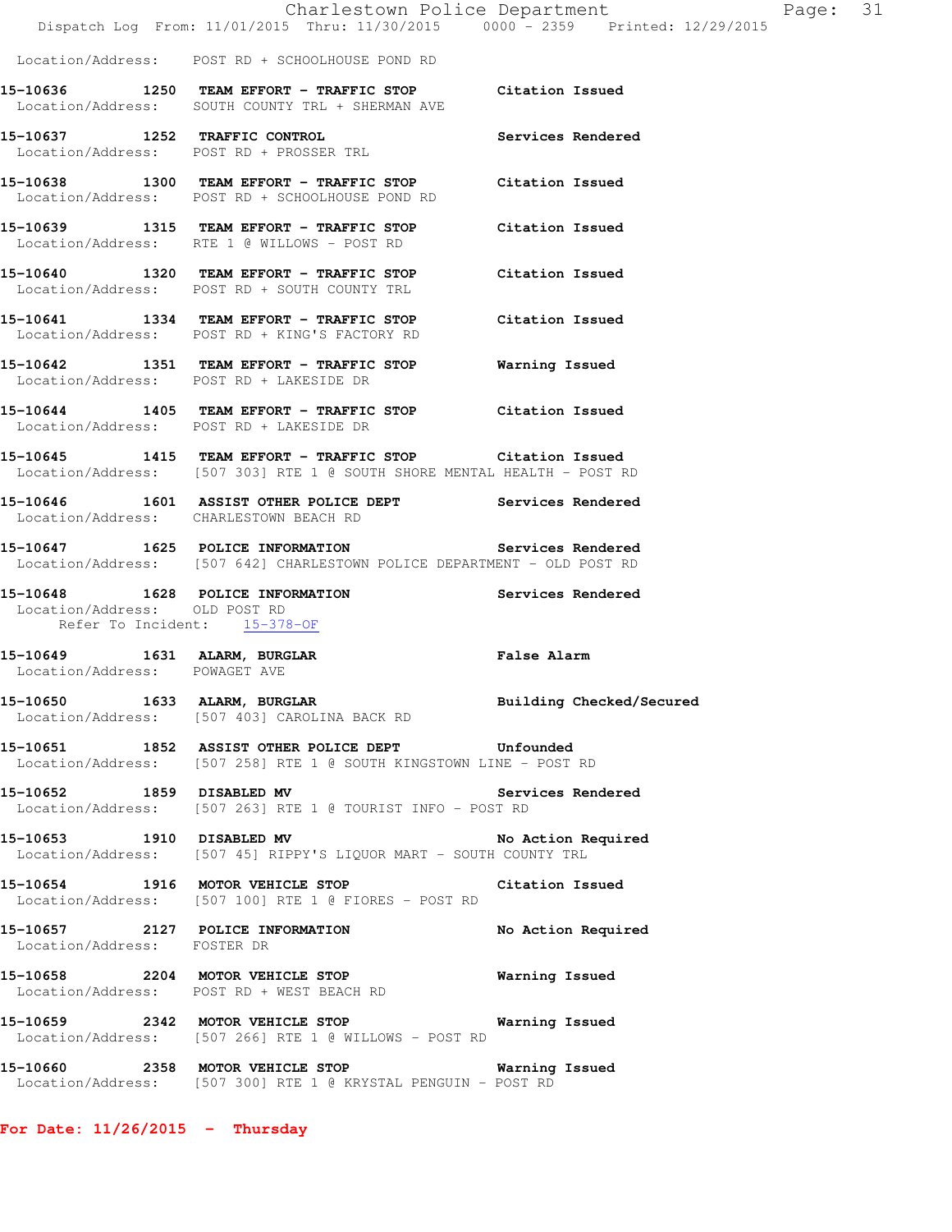|                                                               | Dispatch Log From: 11/01/2015 Thru: 11/30/2015 0000 - 2359 Printed: 12/29/2015                                                      | Charlestown Police Department | Page: 31 |  |
|---------------------------------------------------------------|-------------------------------------------------------------------------------------------------------------------------------------|-------------------------------|----------|--|
|                                                               | Location/Address: POST RD + SCHOOLHOUSE POND RD                                                                                     |                               |          |  |
|                                                               | 15-10636 1250 TEAM EFFORT - TRAFFIC STOP Citation Issued<br>Location/Address: SOUTH COUNTY TRL + SHERMAN AVE                        |                               |          |  |
|                                                               | 15-10637 1252 TRAFFIC CONTROL<br>Location/Address: POST RD + PROSSER TRL                                                            | Services Rendered             |          |  |
|                                                               | 15-10638 1300 TEAM EFFORT - TRAFFIC STOP Citation Issued<br>Location/Address: POST RD + SCHOOLHOUSE POND RD                         |                               |          |  |
|                                                               | 15-10639 1315 TEAM EFFORT - TRAFFIC STOP Citation Issued<br>Location/Address: RTE 1 @ WILLOWS - POST RD                             |                               |          |  |
|                                                               | 15-10640 1320 TEAM EFFORT - TRAFFIC STOP Citation Issued<br>Location/Address: POST RD + SOUTH COUNTY TRL                            |                               |          |  |
|                                                               | 15-10641 1334 TEAM EFFORT - TRAFFIC STOP Citation Issued<br>Location/Address: POST RD + KING'S FACTORY RD                           |                               |          |  |
|                                                               | 15-10642 1351 TEAM EFFORT - TRAFFIC STOP Warning Issued<br>Location/Address: POST RD + LAKESIDE DR                                  |                               |          |  |
|                                                               | 15-10644 1405 TEAM EFFORT - TRAFFIC STOP Citation Issued<br>Location/Address: POST RD + LAKESIDE DR                                 |                               |          |  |
|                                                               | 15-10645 1415 TEAM EFFORT - TRAFFIC STOP Citation Issued<br>Location/Address: [507 303] RTE 1 @ SOUTH SHORE MENTAL HEALTH - POST RD |                               |          |  |
|                                                               | 15-10646 1601 ASSIST OTHER POLICE DEPT Services Rendered<br>Location/Address: CHARLESTOWN BEACH RD                                  |                               |          |  |
|                                                               | 15-10647 1625 POLICE INFORMATION Services Rendered<br>Location/Address: [507 642] CHARLESTOWN POLICE DEPARTMENT - OLD POST RD       |                               |          |  |
| Location/Address: OLD POST RD                                 | 15-10648 1628 POLICE INFORMATION<br>Refer To Incident: 15-378-OF                                                                    | Services Rendered             |          |  |
| 15-10649 1631 ALARM, BURGLAR<br>Location/Address: POWAGET AVE | <b>Example 21 False Alarm</b>                                                                                                       |                               |          |  |
|                                                               | 15-10650 1633 ALARM, BURGLAR 2008 Building Checked/Secured<br>Location/Address: [507 403] CAROLINA BACK RD                          |                               |          |  |
|                                                               | 15-10651 1852 ASSIST OTHER POLICE DEPT Unfounded<br>Location/Address: [507 258] RTE 1 @ SOUTH KINGSTOWN LINE - POST RD              |                               |          |  |
| 15-10652 1859 DISABLED MV                                     | Location/Address: [507 263] RTE 1 @ TOURIST INFO - POST RD                                                                          | Services Rendered             |          |  |
|                                                               | 15-10653 1910 DISABLED MV<br>Location/Address: [507 45] RIPPY'S LIQUOR MART - SOUTH COUNTY TRL                                      | No Action Required            |          |  |
|                                                               | 15-10654 1916 MOTOR VEHICLE STOP<br>Location/Address: [507 100] RTE 1 @ FIORES - POST RD                                            | Citation Issued               |          |  |
| Location/Address: FOSTER DR                                   | 15-10657 2127 POLICE INFORMATION                                                                                                    | No Action Required            |          |  |
|                                                               | 15-10658 2204 MOTOR VEHICLE STOP<br>Location/Address: POST RD + WEST BEACH RD                                                       | <b>Warning Issued</b>         |          |  |
|                                                               | 15-10659 2342 MOTOR VEHICLE STOP Warning Issued<br>Location/Address: [507 266] RTE 1 @ WILLOWS - POST RD                            |                               |          |  |
|                                                               | 15-10660 2358 MOTOR VEHICLE STOP<br>Location/Address: [507 300] RTE 1 @ KRYSTAL PENGUIN - POST RD                                   | Warning Issued                |          |  |

**For Date: 11/26/2015 - Thursday**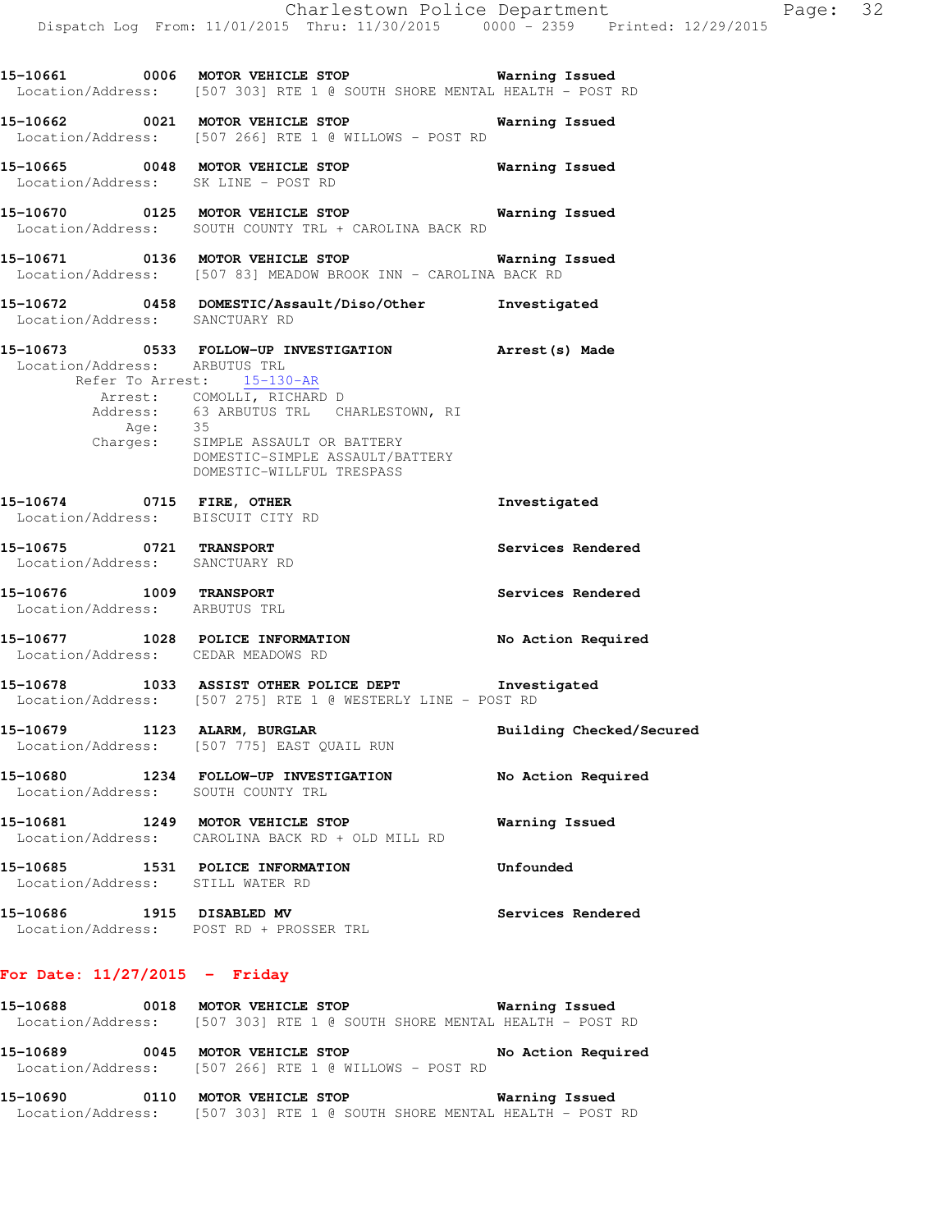**15-10661 0006 MOTOR VEHICLE STOP Warning Issued**  Location/Address: [507 303] RTE 1 @ SOUTH SHORE MENTAL HEALTH - POST RD

**15-10662 0021 MOTOR VEHICLE STOP Warning Issued**  Location/Address: [507 266] RTE 1 @ WILLOWS - POST RD **15-10665 0048 MOTOR VEHICLE STOP Warning Issued**  Location/Address: SK LINE - POST RD **15-10670 0125 MOTOR VEHICLE STOP Warning Issued**  Location/Address: SOUTH COUNTY TRL + CAROLINA BACK RD **15-10671 0136 MOTOR VEHICLE STOP Warning Issued**  Location/Address: [507 83] MEADOW BROOK INN - CAROLINA BACK RD **15-10672 0458 DOMESTIC/Assault/Diso/Other Investigated**  Location/Address: SANCTUARY RD **15-10673 0533 FOLLOW-UP INVESTIGATION Arrest(s) Made**  Location/Address: ARBUTUS TRL Refer To Arrest: 15-130-AR Arrest: COMOLLI, RICHARD D Address: 63 ARBUTUS TRL CHARLESTOWN, RI Age: 35 Charges: SIMPLE ASSAULT OR BATTERY DOMESTIC-SIMPLE ASSAULT/BATTERY DOMESTIC-WILLFUL TRESPASS **15-10674 0715 FIRE, OTHER Investigated**  Location/Address: BISCUIT CITY RD **15-10675 0721 TRANSPORT Services Rendered**  Location/Address: SANCTUARY RD **15-10676 1009 TRANSPORT Services Rendered**  Location/Address: ARBUTUS TRL **15-10677 1028 POLICE INFORMATION No Action Required**  Location/Address: CEDAR MEADOWS RD **15-10678 1033 ASSIST OTHER POLICE DEPT Investigated**  Location/Address: [507 275] RTE 1 @ WESTERLY LINE - POST RD **15-10679 1123 ALARM, BURGLAR Building Checked/Secured**  Location/Address: [507 775] EAST QUAIL RUN **15-10680 1234 FOLLOW-UP INVESTIGATION No Action Required**  Location/Address: SOUTH COUNTY TRL **15-10681 1249 MOTOR VEHICLE STOP Warning Issued**  Location/Address: CAROLINA BACK RD + OLD MILL RD **15-10685 1531 POLICE INFORMATION Unfounded**  Location/Address: STILL WATER RD **15-10686 1915 DISABLED MV Services Rendered**  Location/Address: POST RD + PROSSER TRL

## **For Date: 11/27/2015 - Friday**

| 15-10688 | 0018 | MOTOR VEHICLE STOP | Warning Issued                                                          |
|----------|------|--------------------|-------------------------------------------------------------------------|
|          |      |                    | Location/Address: [507 303] RTE 1 @ SOUTH SHORE MENTAL HEALTH - POST RD |
|          |      |                    |                                                                         |
| 15–10689 | 0045 | MOTOR VEHICLE STOP | No Action Required                                                      |

## **15-10690 0110 MOTOR VEHICLE STOP Warning Issued**  Location/Address: [507 303] RTE 1 @ SOUTH SHORE MENTAL HEALTH - POST RD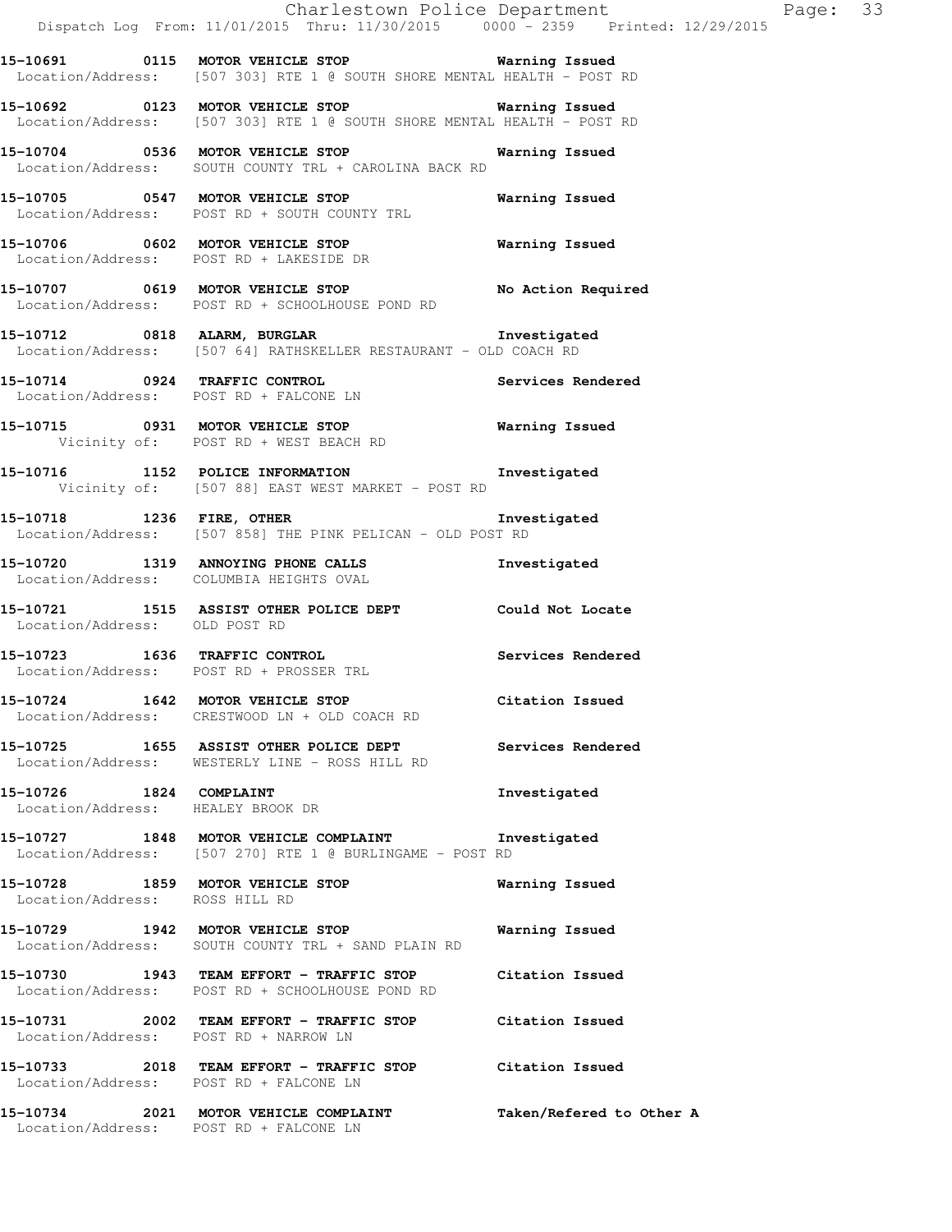|                                                              | Dispatch Log From: 11/01/2015 Thru: 11/30/2015 0000 - 2359 Printed: 12/29/2015                                                                                                    | Charlestown Police Department | Page: 33 |  |
|--------------------------------------------------------------|-----------------------------------------------------------------------------------------------------------------------------------------------------------------------------------|-------------------------------|----------|--|
|                                                              | 15-10691  0115 MOTOR VEHICLE STOP    Varning Issued<br>Location/Address: [507 303] RTE 1 @ SOUTH SHORE MENTAL HEALTH - POST RD                                                    |                               |          |  |
|                                                              | 15-10692 0123 MOTOR VEHICLE STOP <b>Warning Issued</b><br>Location/Address: [507 303] RTE 1 @ SOUTH SHORE MENTAL HEALTH - POST RD                                                 |                               |          |  |
|                                                              | 15-10704 0536 MOTOR VEHICLE STOP 6 Warning Issued<br>Location/Address: SOUTH COUNTY TRL + CAROLINA BACK RD                                                                        |                               |          |  |
|                                                              | 15-10705 0547 MOTOR VEHICLE STOP<br>Location/Address: POST RD + SOUTH COUNTY TRL                                                                                                  | Warning Issued                |          |  |
|                                                              | 15-10706 0602 MOTOR VEHICLE STOP 60 Warning Issued<br>Location/Address: POST RD + LAKESIDE DR                                                                                     |                               |          |  |
|                                                              | 15-10707 0619 MOTOR VEHICLE STOP No Action Required<br>Location/Address: POST RD + SCHOOLHOUSE POND RD                                                                            |                               |          |  |
|                                                              | 15-10712 0818 ALARM, BURGLAR COMPARENT MINUSTREED AND THE STATE OF THE SET OF THE SET OF THE SET OF THE SET O<br>Location/Address: [507 64] RATHSKELLER RESTAURANT - OLD COACH RD |                               |          |  |
|                                                              | 15-10714 0924 TRAFFIC CONTROL<br>Location/Address: POST RD + FALCONE LN                                                                                                           | Services Rendered             |          |  |
|                                                              | 15-10715 0931 MOTOR VEHICLE STOP 6 Warning Issued<br>Vicinity of: POST RD + WEST BEACH RD                                                                                         |                               |          |  |
|                                                              | 15-10716 1152 POLICE INFORMATION 1nvestigated<br>Vicinity of: [507 88] EAST WEST MARKET - POST RD                                                                                 |                               |          |  |
|                                                              | 15-10718 1236 FIRE, OTHER 15-10718<br>Location/Address: [507 858] THE PINK PELICAN - OLD POST RD                                                                                  |                               |          |  |
|                                                              | 15-10720 1319 ANNOYING PHONE CALLS<br>Location/Address: COLUMBIA HEIGHTS OVAL                                                                                                     | Investigated                  |          |  |
| Location/Address: OLD POST RD                                | 15-10721 1515 ASSIST OTHER POLICE DEPT Could Not Locate                                                                                                                           |                               |          |  |
|                                                              | 15-10723 1636 TRAFFIC CONTROL<br>Location/Address: POST RD + PROSSER TRL                                                                                                          | Services Rendered             |          |  |
|                                                              | 15-10724 1642 MOTOR VEHICLE STOP<br>Location/Address: CRESTWOOD LN + OLD COACH RD                                                                                                 | Citation Issued               |          |  |
|                                                              | 15-10725 1655 ASSIST OTHER POLICE DEPT Services Rendered<br>Location/Address: WESTERLY LINE - ROSS HILL RD                                                                        |                               |          |  |
| 15-10726 1824 COMPLAINT<br>Location/Address: HEALEY BROOK DR |                                                                                                                                                                                   | Investigated                  |          |  |
|                                                              | 15-10727 1848 MOTOR VEHICLE COMPLAINT 1nvestigated<br>Location/Address: [507 270] RTE 1 @ BURLINGAME - POST RD                                                                    |                               |          |  |
| Location/Address: ROSS HILL RD                               | 15-10728 1859 MOTOR VEHICLE STOP                                                                                                                                                  | Warning Issued                |          |  |
|                                                              | 15-10729 1942 MOTOR VEHICLE STOP<br>Location/Address: SOUTH COUNTY TRL + SAND PLAIN RD                                                                                            | Warning Issued                |          |  |
|                                                              | 15-10730 1943 TEAM EFFORT - TRAFFIC STOP Citation Issued<br>Location/Address: POST RD + SCHOOLHOUSE POND RD                                                                       |                               |          |  |
| Location/Address: POST RD + NARROW LN                        | 15-10731 2002 TEAM EFFORT - TRAFFIC STOP Citation Issued                                                                                                                          |                               |          |  |
| Location/Address: POST RD + FALCONE LN                       | 15-10733 2018 TEAM EFFORT - TRAFFIC STOP Citation Issued                                                                                                                          |                               |          |  |
| Location/Address: POST RD + FALCONE LN                       | 15-10734 2021 MOTOR VEHICLE COMPLAINT                                                                                                                                             | Taken/Refered to Other A      |          |  |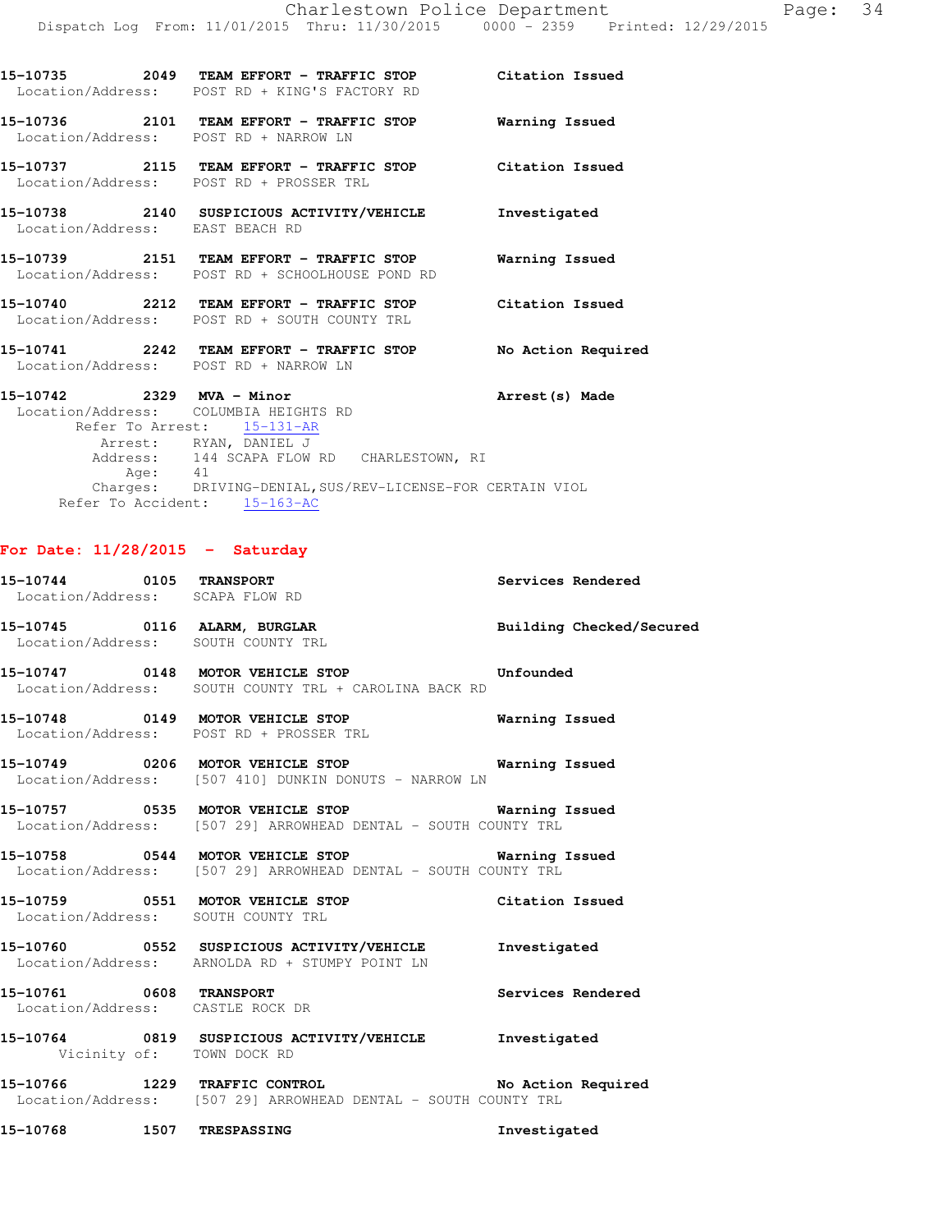|                                 |         | Location/Address: POST RD + KING'S FACTORY RD                                                                                                                            |                    |
|---------------------------------|---------|--------------------------------------------------------------------------------------------------------------------------------------------------------------------------|--------------------|
|                                 |         | 15-10736 2101 TEAM EFFORT - TRAFFIC STOP Warning Issued<br>Location/Address: POST RD + NARROW LN                                                                         |                    |
|                                 |         | 15-10737 2115 TEAM EFFORT - TRAFFIC STOP Citation Issued<br>Location/Address: POST RD + PROSSER TRL                                                                      |                    |
| Location/Address: EAST BEACH RD |         | 15-10738 2140 SUSPICIOUS ACTIVITY/VEHICLE Thvestigated                                                                                                                   |                    |
|                                 |         | 15-10739 2151 TEAM EFFORT - TRAFFIC STOP Warning Issued<br>Location/Address: POST RD + SCHOOLHOUSE POND RD                                                               |                    |
|                                 |         | 15-10740 2212 TEAM EFFORT - TRAFFIC STOP Citation Issued<br>Location/Address: POST RD + SOUTH COUNTY TRL                                                                 |                    |
|                                 |         | 15-10741 2242 TEAM EFFORT - TRAFFIC STOP<br>Location/Address: POST RD + NARROW LN                                                                                        | No Action Required |
|                                 | Age: 41 | 15-10742 2329 MVA - Minor<br>Location/Address: COLUMBIA HEIGHTS RD<br>Refer To Arrest: 15-131-AR<br>Arrest: RYAN, DANIEL J<br>Address: 144 SCAPA FLOW RD CHARLESTOWN, RI | Arrest (s) Made    |
|                                 |         | Charges: DRIVING-DENIAL, SUS/REV-LICENSE-FOR CERTAIN VIOL                                                                                                                |                    |

Refer To Accident: 15-163-AC

## **For Date: 11/28/2015 - Saturday**

| 15-10744 0105 TRANSPORT<br>Location/Address: SCAPA FLOW RD  |                                                                                                                     | Services Rendered        |
|-------------------------------------------------------------|---------------------------------------------------------------------------------------------------------------------|--------------------------|
| Location/Address: SOUTH COUNTY TRL                          | 15-10745 0116 ALARM, BURGLAR                                                                                        | Building Checked/Secured |
|                                                             | 15-10747 0148 MOTOR VEHICLE STOP Unfounded<br>Location/Address: SOUTH COUNTY TRL + CAROLINA BACK RD                 |                          |
|                                                             | 15-10748 0149 MOTOR VEHICLE STOP<br>Location/Address: POST RD + PROSSER TRL                                         | Warning Issued           |
|                                                             | Location/Address: [507 410] DUNKIN DONUTS - NARROW LN                                                               |                          |
|                                                             | Location/Address: [507 29] ARROWHEAD DENTAL - SOUTH COUNTY TRL                                                      |                          |
|                                                             | 15-10758 0544 MOTOR VEHICLE STOP 6 Warning Issued<br>Location/Address: [507 29] ARROWHEAD DENTAL - SOUTH COUNTY TRL |                          |
| Location/Address: SOUTH COUNTY TRL                          | 15-10759 0551 MOTOR VEHICLE STOP Citation Issued                                                                    |                          |
|                                                             | 15-10760 0552 SUSPICIOUS ACTIVITY/VEHICLE Investigated<br>Location/Address: ARNOLDA RD + STUMPY POINT LN            |                          |
| 15-10761 0608 TRANSPORT<br>Location/Address: CASTLE ROCK DR |                                                                                                                     | Services Rendered        |
| Vicinity of: TOWN DOCK RD                                   | 15-10764 0819 SUSPICIOUS ACTIVITY/VEHICLE Investigated                                                              |                          |
|                                                             | 15-10766 1229 TRAFFIC CONTROL No Action Required<br>Location/Address: [507 29] ARROWHEAD DENTAL - SOUTH COUNTY TRL  |                          |
| 15-10768 1507 TRESPASSING                                   |                                                                                                                     | Investigated             |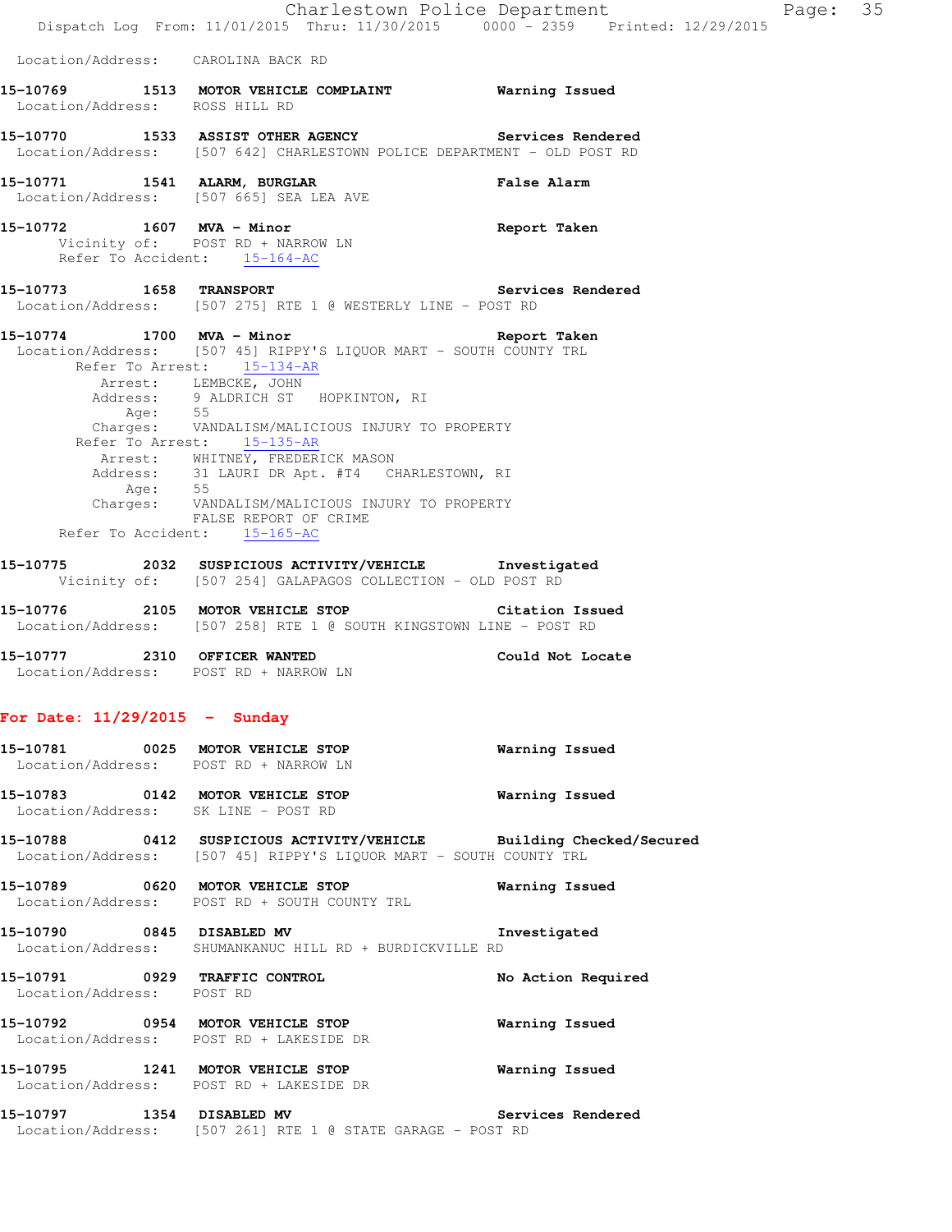|                                                                       | Dispatch Log From: 11/01/2015 Thru: 11/30/2015 0000 - 2359 Printed: 12/29/2015                                                                                                                                                                             | Charlestown Police Department<br>Page: 35 |
|-----------------------------------------------------------------------|------------------------------------------------------------------------------------------------------------------------------------------------------------------------------------------------------------------------------------------------------------|-------------------------------------------|
| Location/Address: CAROLINA BACK RD                                    |                                                                                                                                                                                                                                                            |                                           |
| Location/Address: ROSS HILL RD                                        | 15-10769 1513 MOTOR VEHICLE COMPLAINT <b>Warning Issued</b>                                                                                                                                                                                                |                                           |
|                                                                       | 15-10770 1533 ASSIST OTHER AGENCY Services Rendered<br>Location/Address: [507 642] CHARLESTOWN POLICE DEPARTMENT - OLD POST RD                                                                                                                             |                                           |
| 15-10771 1541 ALARM, BURGLAR                                          | Location/Address: [507 665] SEA LEA AVE                                                                                                                                                                                                                    | <b>False Alarm</b>                        |
|                                                                       | 15-10772 1607 MVA - Minor<br>Vicinity of: POST RD + NARROW LN<br>Refer To Accident: 15-164-AC                                                                                                                                                              | Report Taken                              |
|                                                                       | 15-10773 1658 TRANSPORT<br>Location/Address: [507 275] RTE 1 @ WESTERLY LINE - POST RD                                                                                                                                                                     | <b>Services Rendered</b>                  |
|                                                                       | 15-10774 1700 MVA - Minor<br>Location/Address: [507 45] RIPPY'S LIQUOR MART - SOUTH COUNTY TRL<br>Refer To Arrest: 15-134-AR<br>Arrest: LEMBCKE, JOHN<br>Address: 9 ALDRICH ST HOPKINTON, RI<br>Age: 55<br>Charges: VANDALISM/MALICIOUS INJURY TO PROPERTY | Report Taken                              |
| Age: 55                                                               | Refer To Arrest: 15-135-AR<br>Arrest: WHITNEY, FREDERICK MASON<br>Address: 31 LAURI DR Apt. #T4 CHARLESTOWN, RI<br>Charges: VANDALISM/MALICIOUS INJURY TO PROPERTY<br>FALSE REPORT OF CRIME<br>Refer To Accident: 15-165-AC                                |                                           |
|                                                                       | 15-10775 2032 SUSPICIOUS ACTIVITY/VEHICLE Investigated<br>Vicinity of: [507 254] GALAPAGOS COLLECTION - OLD POST RD                                                                                                                                        |                                           |
|                                                                       | 15-10776 2105 MOTOR VEHICLE STOP<br>Location/Address: [507 258] RTE 1 @ SOUTH KINGSTOWN LINE - POST RD                                                                                                                                                     | Citation Issued                           |
| 15-10777 2310 OFFICER WANTED<br>Location/Address: POST RD + NARROW LN |                                                                                                                                                                                                                                                            | Could Not Locate                          |
| For Date: $11/29/2015$ - Sunday                                       |                                                                                                                                                                                                                                                            |                                           |
| Location/Address: POST RD + NARROW LN                                 | 15-10781 0025 MOTOR VEHICLE STOP                                                                                                                                                                                                                           | Warning Issued                            |
|                                                                       | 15-10783 0142 MOTOR VEHICLE STOP<br>Location/Address: SK LINE - POST RD                                                                                                                                                                                    | <b>Warning Issued</b>                     |
|                                                                       | 15-10788 0412 SUSPICIOUS ACTIVITY/VEHICLE Building Checked/Secured<br>Location/Address: [507 45] RIPPY'S LIQUOR MART - SOUTH COUNTY TRL                                                                                                                    |                                           |
|                                                                       | 15-10789 0620 MOTOR VEHICLE STOP<br>Location/Address: POST RD + SOUTH COUNTY TRL                                                                                                                                                                           | Warning Issued                            |
|                                                                       | 15-10790 0845 DISABLED MV 1nvestigated<br>Location/Address: SHUMANKANUC HILL RD + BURDICKVILLE RD                                                                                                                                                          |                                           |
| 15-10791 0929 TRAFFIC CONTROL<br>Location/Address: POST RD            |                                                                                                                                                                                                                                                            | No Action Required                        |
|                                                                       | 15-10792 0954 MOTOR VEHICLE STOP<br>Location/Address: POST RD + LAKESIDE DR                                                                                                                                                                                | <b>Warning Issued</b>                     |
|                                                                       | 15-10795 1241 MOTOR VEHICLE STOP<br>Location/Address: POST RD + LAKESIDE DR                                                                                                                                                                                | Warning Issued                            |
|                                                                       | 15-10797 1354 DISABLED MV<br>Location/Address: [507 261] RTE 1 @ STATE GARAGE - POST RD                                                                                                                                                                    | Services Rendered                         |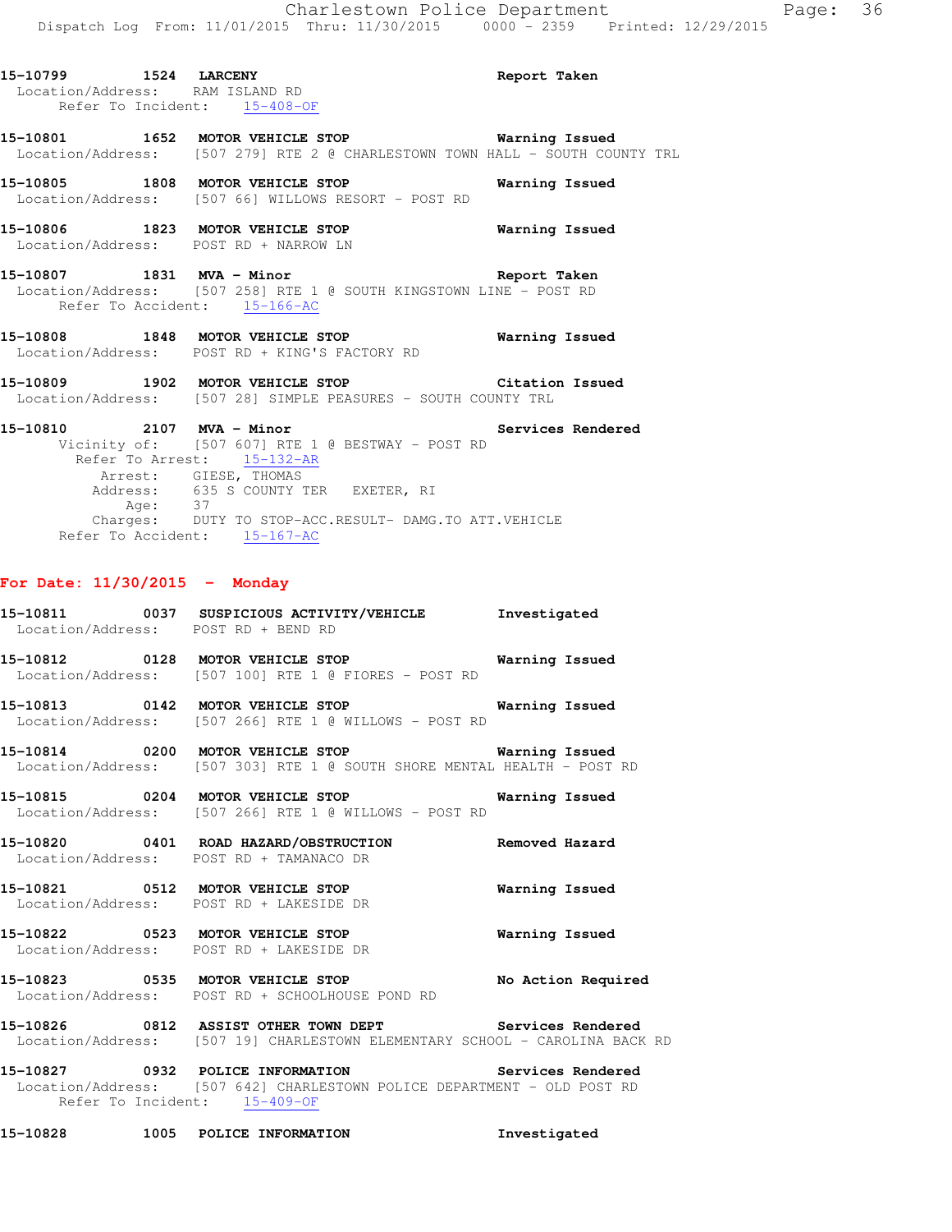| 15-10799 1524 LARCENY     | Location/Address: RAM ISLAND RD<br>Refer To Incident: 15-408-OF                                                                                        | Report Taken      |
|---------------------------|--------------------------------------------------------------------------------------------------------------------------------------------------------|-------------------|
|                           | 15-10801 1652 MOTOR VEHICLE STOP 5 - Narning Issued<br>Location/Address: [507 279] RTE 2 @ CHARLESTOWN TOWN HALL - SOUTH COUNTY TRL                    |                   |
|                           | 15-10805 1808 MOTOR VEHICLE STOP 6 Warning Issued<br>Location/Address: [507 66] WILLOWS RESORT - POST RD                                               |                   |
|                           | 15-10806 1823 MOTOR VEHICLE STOP 6 Warning Issued<br>Location/Address: POST RD + NARROW LN                                                             |                   |
|                           | 15-10807 1831 MVA - Minor 1899 1997 Report Taken<br>Location/Address: [507 258] RTE 1 @ SOUTH KINGSTOWN LINE - POST RD<br>Refer To Accident: 15-166-AC |                   |
|                           | 15-10808 1848 MOTOR VEHICLE STOP<br>Location/Address: POST RD + KING'S FACTORY RD                                                                      | Warning Issued    |
|                           | 15-10809 1902 MOTOR VEHICLE STOP Citation Issued<br>Location/Address: [507 28] SIMPLE PEASURES - SOUTH COUNTY TRL                                      |                   |
| 15-10810 2107 MVA - Minor | Vicinity of: [507 607] RTE 1 @ BESTWAY - POST RD<br>Refer To Arrest: 15-132-AR<br>Arrest: GIESE, THOMAS                                                | Services Rendered |

 Address: 635 S COUNTY TER EXETER, RI Age: 37 Charges: DUTY TO STOP-ACC.RESULT- DAMG.TO ATT.VEHICLE Refer To Accident: 15-167-AC

### **For Date: 11/30/2015 - Monday**

- **15-10811 0037 SUSPICIOUS ACTIVITY/VEHICLE Investigated**  Location/Address: POST RD + BEND RD
- **15-10812 0128 MOTOR VEHICLE STOP Warning Issued**  Location/Address: [507 100] RTE 1 @ FIORES - POST RD
- **15-10813 0142 MOTOR VEHICLE STOP Warning Issued**  Location/Address: [507 266] RTE 1 @ WILLOWS - POST RD
- **15-10814 0200 MOTOR VEHICLE STOP Warning Issued**  Location/Address: [507 303] RTE 1 @ SOUTH SHORE MENTAL HEALTH - POST RD
- **15-10815 0204 MOTOR VEHICLE STOP Warning Issued**  Location/Address: [507 266] RTE 1 @ WILLOWS - POST RD
- **15-10820 0401 ROAD HAZARD/OBSTRUCTION Removed Hazard**  Location/Address: POST RD + TAMANACO DR
- **15-10821 0512 MOTOR VEHICLE STOP Warning Issued**  Location/Address: POST RD + LAKESIDE DR
- **15-10822 0523 MOTOR VEHICLE STOP Warning Issued**  Location/Address: POST RD + LAKESIDE DR
- **15-10823 0535 MOTOR VEHICLE STOP No Action Required**  Location/Address: POST RD + SCHOOLHOUSE POND RD
- **15-10826 0812 ASSIST OTHER TOWN DEPT Services Rendered**  Location/Address: [507 19] CHARLESTOWN ELEMENTARY SCHOOL - CAROLINA BACK RD
- **15-10827 0932 POLICE INFORMATION Services Rendered**  Location/Address: [507 642] CHARLESTOWN POLICE DEPARTMENT - OLD POST RD Refer To Incident: 15-409-OF
- **15-10828 1005 POLICE INFORMATION Investigated**